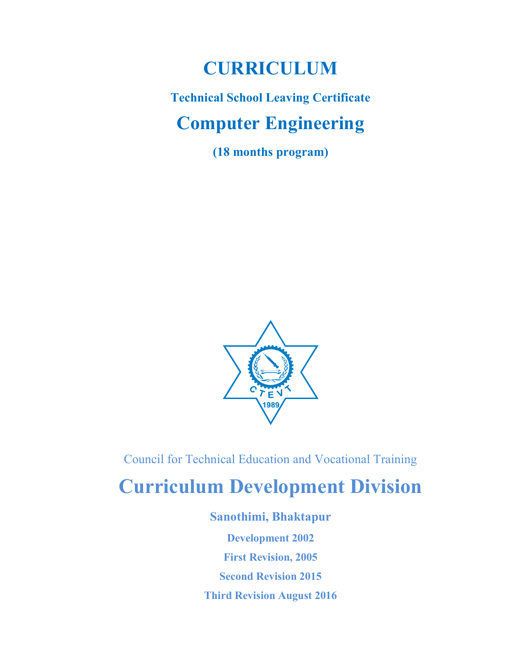## CURRICULUM

# Technical School Leaving Certificate Computer Engineering

(18 months program)



Council for Technical Education and Vocational Training

# Curriculum Development Division

Sanothimi, Bhaktapur Development 2002 First Revision, 2005 Second Revision 2015 Third Revision August 2016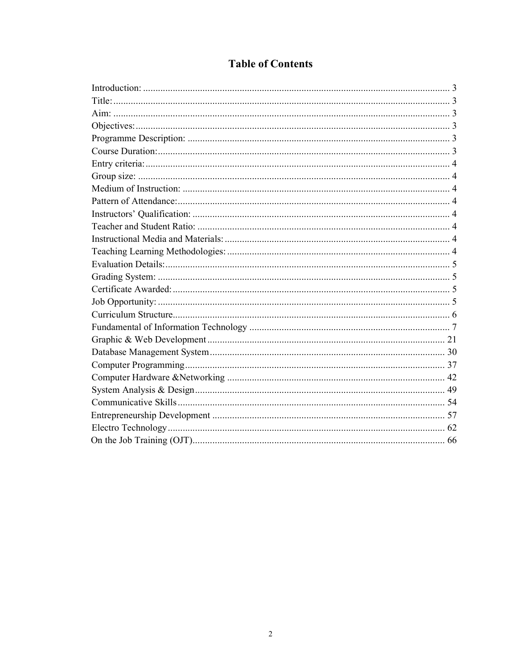### **Table of Contents**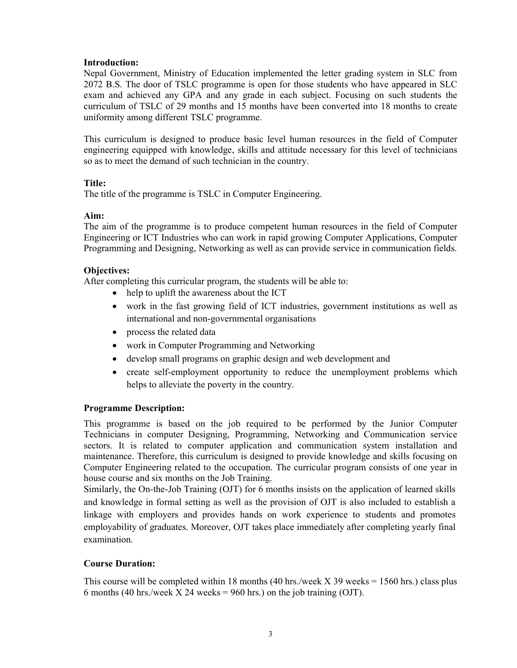### Introduction:

Nepal Government, Ministry of Education implemented the letter grading system in SLC from 2072 B.S. The door of TSLC programme is open for those students who have appeared in SLC exam and achieved any GPA and any grade in each subject. Focusing on such students the curriculum of TSLC of 29 months and 15 months have been converted into 18 months to create uniformity among different TSLC programme.

This curriculum is designed to produce basic level human resources in the field of Computer engineering equipped with knowledge, skills and attitude necessary for this level of technicians so as to meet the demand of such technician in the country.

### Title:

The title of the programme is TSLC in Computer Engineering.

### Aim:

The aim of the programme is to produce competent human resources in the field of Computer Engineering or ICT Industries who can work in rapid growing Computer Applications, Computer Programming and Designing, Networking as well as can provide service in communication fields.

### Objectives:

After completing this curricular program, the students will be able to:

- help to uplift the awareness about the ICT
- work in the fast growing field of ICT industries, government institutions as well as international and non-governmental organisations
- process the related data
- work in Computer Programming and Networking
- develop small programs on graphic design and web development and
- create self-employment opportunity to reduce the unemployment problems which helps to alleviate the poverty in the country.

### Programme Description:

This programme is based on the job required to be performed by the Junior Computer Technicians in computer Designing, Programming, Networking and Communication service sectors. It is related to computer application and communication system installation and maintenance. Therefore, this curriculum is designed to provide knowledge and skills focusing on Computer Engineering related to the occupation. The curricular program consists of one year in house course and six months on the Job Training.

Similarly, the On-the-Job Training (OJT) for 6 months insists on the application of learned skills and knowledge in formal setting as well as the provision of OJT is also included to establish a linkage with employers and provides hands on work experience to students and promotes employability of graduates. Moreover, OJT takes place immediately after completing yearly final examination.

### Course Duration:

This course will be completed within 18 months (40 hrs./week  $X$  39 weeks = 1560 hrs.) class plus 6 months (40 hrs./week  $X$  24 weeks = 960 hrs.) on the job training (OJT).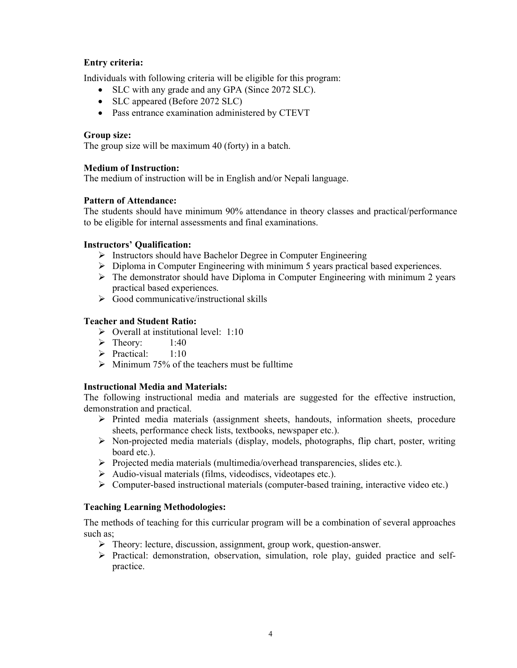### Entry criteria:

Individuals with following criteria will be eligible for this program:

- SLC with any grade and any GPA (Since 2072 SLC).
- SLC appeared (Before 2072 SLC)
- Pass entrance examination administered by CTEVT

### Group size:

The group size will be maximum 40 (forty) in a batch.

### Medium of Instruction:

The medium of instruction will be in English and/or Nepali language.

### Pattern of Attendance:

The students should have minimum 90% attendance in theory classes and practical/performance to be eligible for internal assessments and final examinations.

### Instructors' Qualification:

- $\triangleright$  Instructors should have Bachelor Degree in Computer Engineering
- $\triangleright$  Diploma in Computer Engineering with minimum 5 years practical based experiences.
- $\triangleright$  The demonstrator should have Diploma in Computer Engineering with minimum 2 years practical based experiences.
- $\triangleright$  Good communicative/instructional skills

### Teacher and Student Ratio:

- $\triangleright$  Overall at institutional level: 1:10
- $\triangleright$  Theory: 1:40
- $\triangleright$  Practical: 1:10
- $\triangleright$  Minimum 75% of the teachers must be fulltime

### Instructional Media and Materials:

The following instructional media and materials are suggested for the effective instruction, demonstration and practical.

- $\triangleright$  Printed media materials (assignment sheets, handouts, information sheets, procedure sheets, performance check lists, textbooks, newspaper etc.).
- $\triangleright$  Non-projected media materials (display, models, photographs, flip chart, poster, writing board etc.).
- $\triangleright$  Projected media materials (multimedia/overhead transparencies, slides etc.).
- Audio-visual materials (films, videodiscs, videotapes etc.).
- $\triangleright$  Computer-based instructional materials (computer-based training, interactive video etc.)

### Teaching Learning Methodologies:

The methods of teaching for this curricular program will be a combination of several approaches such as;

- $\triangleright$  Theory: lecture, discussion, assignment, group work, question-answer.
- $\triangleright$  Practical: demonstration, observation, simulation, role play, guided practice and selfpractice.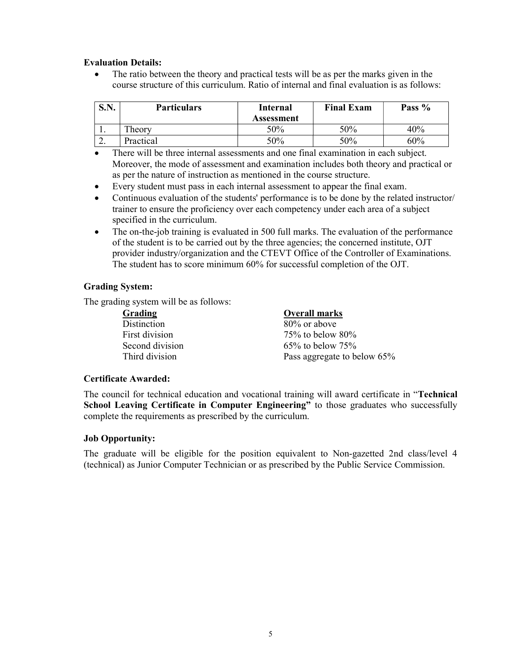### Evaluation Details:

• The ratio between the theory and practical tests will be as per the marks given in the course structure of this curriculum. Ratio of internal and final evaluation is as follows:

| C N<br>DJJ. | <b>Particulars</b> | Internal   | <b>Final Exam</b> | Pass % |
|-------------|--------------------|------------|-------------------|--------|
|             |                    | Assessment |                   |        |
| . .         | Theory             | 50%        | 50%               | 40%    |
| <u>L.</u>   | Practical          | 50%        | 50%               | 60%    |

- There will be three internal assessments and one final examination in each subject. Moreover, the mode of assessment and examination includes both theory and practical or as per the nature of instruction as mentioned in the course structure.
- Every student must pass in each internal assessment to appear the final exam.
- Continuous evaluation of the students' performance is to be done by the related instructor/ trainer to ensure the proficiency over each competency under each area of a subject specified in the curriculum.
- The on-the-job training is evaluated in 500 full marks. The evaluation of the performance of the student is to be carried out by the three agencies; the concerned institute, OJT provider industry/organization and the CTEVT Office of the Controller of Examinations. The student has to score minimum 60% for successful completion of the OJT.

### Grading System:

The grading system will be as follows:

Grading **Overall marks** Distinction 80% or above

First division 75% to below 80% Second division 65% to below 75% Third division Pass aggregate to below 65%

### Certificate Awarded:

The council for technical education and vocational training will award certificate in "Technical School Leaving Certificate in Computer Engineering" to those graduates who successfully complete the requirements as prescribed by the curriculum.

### Job Opportunity:

The graduate will be eligible for the position equivalent to Non-gazetted 2nd class/level 4 (technical) as Junior Computer Technician or as prescribed by the Public Service Commission.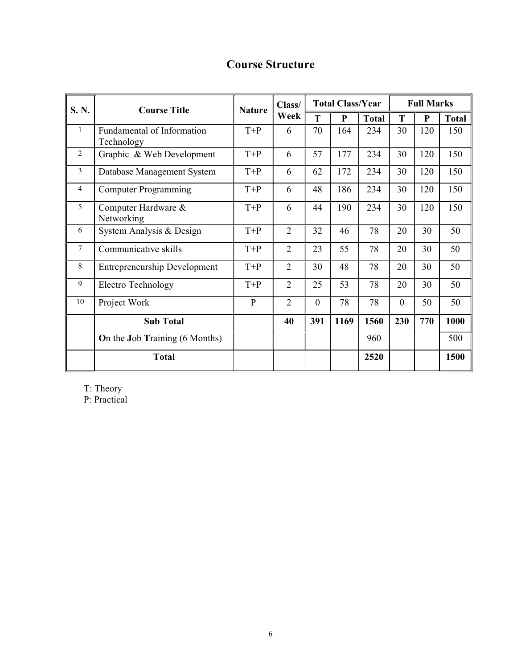## Course Structure

| S. N.          | <b>Course Title</b>                      | <b>Nature</b> | Class/         | <b>Total Class/Year</b> |           |              | <b>Full Marks</b> |           |              |
|----------------|------------------------------------------|---------------|----------------|-------------------------|-----------|--------------|-------------------|-----------|--------------|
|                |                                          |               | Week           | T                       | ${\bf P}$ | <b>Total</b> | T                 | ${\bf P}$ | <b>Total</b> |
| $\mathbf{1}$   | Fundamental of Information<br>Technology | $T+P$         | 6              | 70                      | 164       | 234          | 30                | 120       | 150          |
| $\overline{2}$ | Graphic & Web Development                | $T+P$         | 6              | 57                      | 177       | 234          | 30                | 120       | 150          |
| $\mathfrak{Z}$ | Database Management System               | $T+P$         | 6              | 62                      | 172       | 234          | 30                | 120       | 150          |
| $\overline{4}$ | <b>Computer Programming</b>              | $T+P$         | 6              | 48                      | 186       | 234          | 30                | 120       | 150          |
| 5              | Computer Hardware &<br>Networking        | $T+P$         | 6              | 44                      | 190       | 234          | 30                | 120       | 150          |
| 6              | System Analysis & Design                 | $T+P$         | $\overline{2}$ | 32                      | 46        | 78           | 20                | 30        | 50           |
| 7              | Communicative skills                     | $T+P$         | $\overline{2}$ | 23                      | 55        | 78           | 20                | 30        | 50           |
| 8              | <b>Entrepreneurship Development</b>      | $T+P$         | $\overline{2}$ | 30                      | 48        | 78           | 20                | 30        | 50           |
| 9              | <b>Electro Technology</b>                | $T+P$         | $\overline{2}$ | 25                      | 53        | 78           | 20                | 30        | 50           |
| 10             | Project Work                             | $\mathbf{P}$  | $\overline{2}$ | $\overline{0}$          | 78        | 78           | $\overline{0}$    | 50        | 50           |
|                | <b>Sub Total</b>                         |               | 40             | 391                     | 1169      | 1560         | 230               | 770       | 1000         |
|                | On the Job Training (6 Months)           |               |                |                         |           | 960          |                   |           | 500          |
|                | <b>Total</b>                             |               |                |                         |           | 2520         |                   |           | 1500         |

T: Theory

P: Practical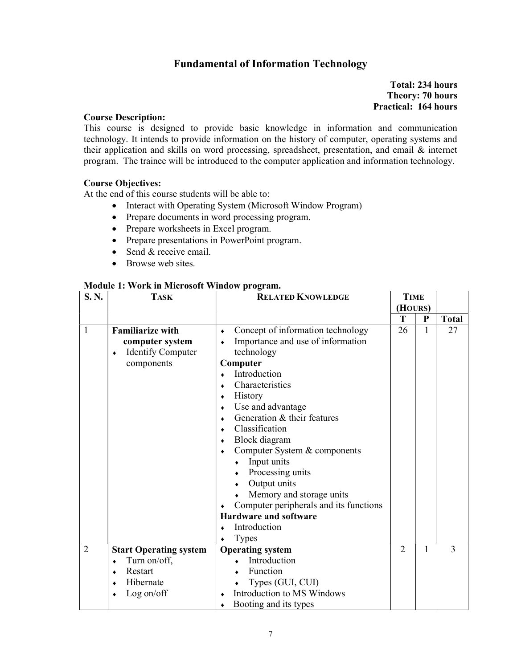### Fundamental of Information Technology

### Total: 234 hours Theory: 70 hours Practical: 164 hours

#### Course Description:

This course is designed to provide basic knowledge in information and communication technology. It intends to provide information on the history of computer, operating systems and their application and skills on word processing, spreadsheet, presentation, and email & internet program. The trainee will be introduced to the computer application and information technology.

#### Course Objectives:

At the end of this course students will be able to:

- Interact with Operating System (Microsoft Window Program)
- Prepare documents in word processing program.
- Prepare worksheets in Excel program.
- Prepare presentations in PowerPoint program.
- $\bullet$  Send & receive email.
- Browse web sites.

#### Module 1: Work in Microsoft Window program.

| S.N.           | <b>TASK</b>                   | <b>RELATED KNOWLEDGE</b>                       |                | <b>TIME</b> |              |
|----------------|-------------------------------|------------------------------------------------|----------------|-------------|--------------|
|                |                               |                                                |                | (HOURS)     |              |
|                |                               |                                                | T              | ${\bf P}$   | <b>Total</b> |
| 1              | <b>Familiarize with</b>       | Concept of information technology<br>$\bullet$ | 26             | 1           | 27           |
|                | computer system               | Importance and use of information<br>$\bullet$ |                |             |              |
|                | <b>Identify Computer</b><br>۰ | technology                                     |                |             |              |
|                | components                    | Computer                                       |                |             |              |
|                |                               | Introduction                                   |                |             |              |
|                |                               | Characteristics<br>۰                           |                |             |              |
|                |                               | History<br>٠                                   |                |             |              |
|                |                               | Use and advantage<br>٠                         |                |             |              |
|                |                               | Generation & their features                    |                |             |              |
|                |                               | Classification<br>$\bullet$                    |                |             |              |
|                |                               | Block diagram<br>٠                             |                |             |              |
|                |                               | Computer System & components<br>٠              |                |             |              |
|                |                               | Input units                                    |                |             |              |
|                |                               | Processing units                               |                |             |              |
|                |                               | Output units                                   |                |             |              |
|                |                               | Memory and storage units                       |                |             |              |
|                |                               | Computer peripherals and its functions<br>٠    |                |             |              |
|                |                               | <b>Hardware and software</b>                   |                |             |              |
|                |                               | Introduction                                   |                |             |              |
|                |                               | <b>Types</b>                                   |                |             |              |
| $\overline{2}$ | <b>Start Operating system</b> | <b>Operating system</b>                        | $\overline{2}$ | 1           | 3            |
|                | Turn on/off,<br>٠             | Introduction                                   |                |             |              |
|                | Restart                       | Function                                       |                |             |              |
|                | Hibernate                     | Types (GUI, CUI)                               |                |             |              |
|                | Log on/off                    | Introduction to MS Windows                     |                |             |              |
|                |                               | Booting and its types                          |                |             |              |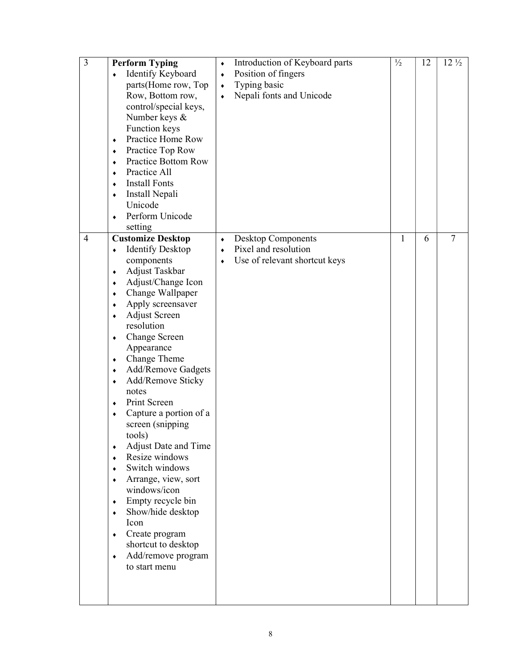| 3              | <b>Perform Typing</b><br>Identify Keyboard<br>$\bullet$<br>parts(Home row, Top<br>Row, Bottom row,<br>control/special keys,<br>Number keys &<br>Function keys<br>Practice Home Row<br>$\bullet$<br>Practice Top Row<br>۰<br>Practice Bottom Row<br>٠<br>Practice All<br>٠<br><b>Install Fonts</b><br>٠<br>Install Nepali<br>٠<br>Unicode<br>Perform Unicode<br>$\bullet$<br>setting                                                                                                                                                                                                                                                                                                                                                                                                                                                | Introduction of Keyboard parts<br>۰<br>Position of fingers<br>$\blacklozenge$<br>Typing basic<br>$\blacklozenge$<br>Nepali fonts and Unicode<br>$\bullet$ | $\frac{1}{2}$ | 12 | $12\frac{1}{2}$ |
|----------------|------------------------------------------------------------------------------------------------------------------------------------------------------------------------------------------------------------------------------------------------------------------------------------------------------------------------------------------------------------------------------------------------------------------------------------------------------------------------------------------------------------------------------------------------------------------------------------------------------------------------------------------------------------------------------------------------------------------------------------------------------------------------------------------------------------------------------------|-----------------------------------------------------------------------------------------------------------------------------------------------------------|---------------|----|-----------------|
| $\overline{4}$ | <b>Customize Desktop</b><br><b>Identify Desktop</b><br>۰<br>components<br>Adjust Taskbar<br>$\blacklozenge$<br>Adjust/Change Icon<br>۰<br>Change Wallpaper<br>٠<br>Apply screensaver<br>٠<br><b>Adjust Screen</b><br>٠<br>resolution<br>Change Screen<br>$\blacklozenge$<br>Appearance<br>Change Theme<br>۰<br>Add/Remove Gadgets<br>$\blacklozenge$<br>Add/Remove Sticky<br>٠<br>notes<br>Print Screen<br>$\bullet$<br>Capture a portion of a<br>$\blacklozenge$<br>screen (snipping<br>tools)<br>Adjust Date and Time<br>$\blacklozenge$<br>Resize windows<br>٠<br>Switch windows<br>$\bullet$<br>Arrange, view, sort<br>$\bullet$<br>windows/icon<br>Empty recycle bin<br>$\bullet$<br>Show/hide desktop<br>٠<br>Icon<br>Create program<br>$\bullet$<br>shortcut to desktop<br>Add/remove program<br>$\bullet$<br>to start menu | <b>Desktop Components</b><br>$\bullet$<br>Pixel and resolution<br>$\bullet$<br>Use of relevant shortcut keys<br>٠                                         | $\mathbf{1}$  | 6  | $\tau$          |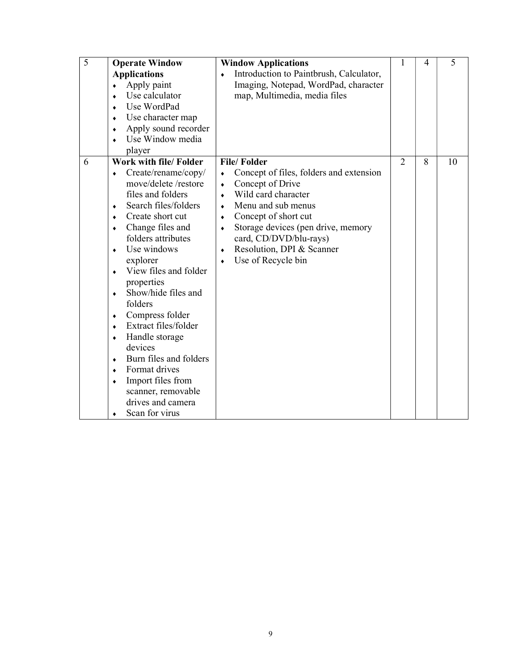| $\overline{5}$                                                                                                                     | <b>Operate Window</b>                                                                                                                                                                                                                                                                                                                                                                                                                                                                    |                                                                                              | <b>Window Applications</b>                                                                                                                                                                                                                                                | 1              | 4 | 5  |
|------------------------------------------------------------------------------------------------------------------------------------|------------------------------------------------------------------------------------------------------------------------------------------------------------------------------------------------------------------------------------------------------------------------------------------------------------------------------------------------------------------------------------------------------------------------------------------------------------------------------------------|----------------------------------------------------------------------------------------------|---------------------------------------------------------------------------------------------------------------------------------------------------------------------------------------------------------------------------------------------------------------------------|----------------|---|----|
| ٠<br>$\bullet$                                                                                                                     | <b>Applications</b><br>Apply paint<br>Use calculator<br>Use WordPad<br>Use character map<br>Apply sound recorder<br>Use Window media<br>player                                                                                                                                                                                                                                                                                                                                           | $\bullet$                                                                                    | Introduction to Paintbrush, Calculator,<br>Imaging, Notepad, WordPad, character<br>map, Multimedia, media files                                                                                                                                                           |                |   |    |
| 6<br>٠<br>$\bullet$<br>٠<br>$\bullet$<br>$\bullet$<br>$\bullet$<br>$\bullet$<br>۰<br>$\bullet$<br>٠<br>$\bullet$<br>$\bullet$<br>۰ | Work with file/ Folder<br>Create/rename/copy/<br>move/delete/restore<br>files and folders<br>Search files/folders<br>Create short cut<br>Change files and<br>folders attributes<br>Use windows<br>explorer<br>View files and folder<br>properties<br>Show/hide files and<br>folders<br>Compress folder<br>Extract files/folder<br>Handle storage<br>devices<br>Burn files and folders<br>Format drives<br>Import files from<br>scanner, removable<br>drives and camera<br>Scan for virus | $\bullet$<br>$\bullet$<br>$\bullet$<br>$\bullet$<br>$\bullet$<br>$\bullet$<br>$\bullet$<br>۰ | <b>File/Folder</b><br>Concept of files, folders and extension<br>Concept of Drive<br>Wild card character<br>Menu and sub menus<br>Concept of short cut<br>Storage devices (pen drive, memory<br>card, CD/DVD/blu-rays)<br>Resolution, DPI & Scanner<br>Use of Recycle bin | $\overline{2}$ | 8 | 10 |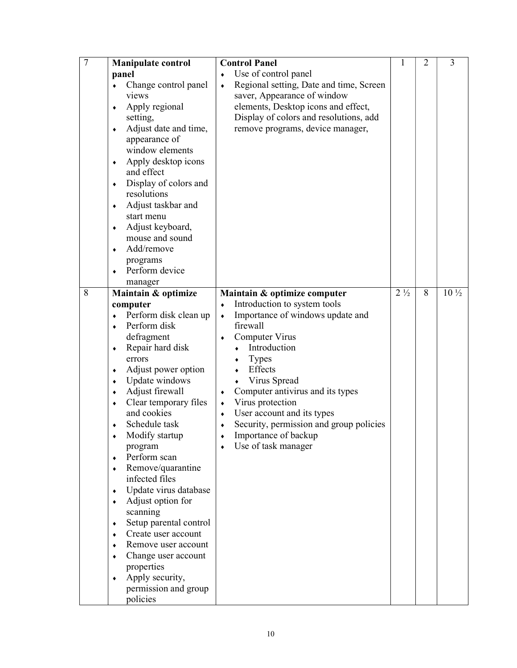| $\overline{7}$ | <b>Manipulate control</b>                                                                                                                                                                                                                                                                                                                                                                                                                                                                                                                                                                                                             | <b>Control Panel</b>                                                                                                                                                                                                                                                                                                                                                                                                                           | 1              | 2 | 3               |
|----------------|---------------------------------------------------------------------------------------------------------------------------------------------------------------------------------------------------------------------------------------------------------------------------------------------------------------------------------------------------------------------------------------------------------------------------------------------------------------------------------------------------------------------------------------------------------------------------------------------------------------------------------------|------------------------------------------------------------------------------------------------------------------------------------------------------------------------------------------------------------------------------------------------------------------------------------------------------------------------------------------------------------------------------------------------------------------------------------------------|----------------|---|-----------------|
|                | panel<br>Change control panel<br>$\bullet$<br>views<br>Apply regional<br>٠<br>setting,<br>Adjust date and time,<br>۰<br>appearance of<br>window elements<br>Apply desktop icons<br>٠<br>and effect<br>Display of colors and<br>٠<br>resolutions<br>Adjust taskbar and<br>start menu<br>Adjust keyboard,<br>mouse and sound<br>Add/remove<br>programs<br>Perform device<br>manager                                                                                                                                                                                                                                                     | Use of control panel<br>Regional setting, Date and time, Screen<br>$\blacklozenge$<br>saver, Appearance of window<br>elements, Desktop icons and effect,<br>Display of colors and resolutions, add<br>remove programs, device manager,                                                                                                                                                                                                         |                |   |                 |
| 8              | Maintain & optimize<br>computer<br>Perform disk clean up<br>Perform disk<br>٠<br>defragment<br>Repair hard disk<br>۰<br>errors<br>Adjust power option<br>Update windows<br>٠<br>Adjust firewall<br>٠<br>Clear temporary files<br>and cookies<br>Schedule task<br>Modify startup<br>program<br>Perform scan<br>$\bullet$<br>Remove/quarantine<br>$\bullet$<br>infected files<br>Update virus database<br>Adjust option for<br>٠<br>scanning<br>Setup parental control<br>۰<br>Create user account<br>٠<br>Remove user account<br>Change user account<br>properties<br>Apply security,<br>$\bullet$<br>permission and group<br>policies | Maintain & optimize computer<br>Introduction to system tools<br>Importance of windows update and<br>$\bullet$<br>firewall<br>Computer Virus<br>Introduction<br><b>Types</b><br>Effects<br>Virus Spread<br>Computer antivirus and its types<br>$\blacklozenge$<br>Virus protection<br>$\blacklozenge$<br>User account and its types<br>$\bullet$<br>Security, permission and group policies<br>٠<br>Importance of backup<br>Use of task manager | $2\frac{1}{2}$ | 8 | $10\frac{1}{2}$ |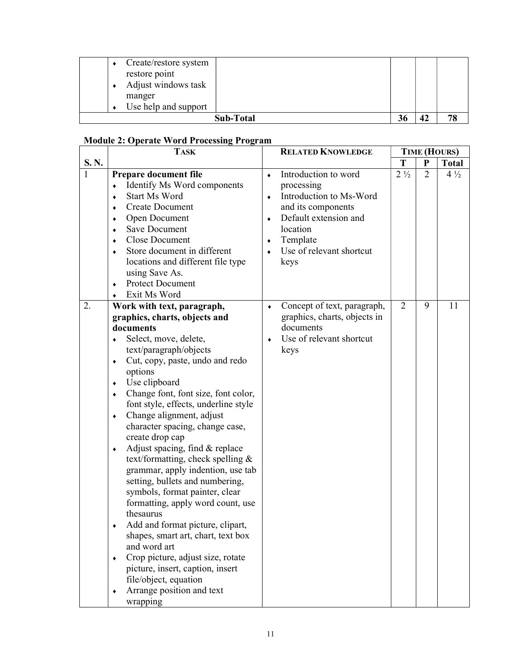| restore point<br>manger | Create/restore system<br>Adjust windows task<br>Use help and support |    |    |    |
|-------------------------|----------------------------------------------------------------------|----|----|----|
|                         | Sub-Total                                                            | 36 | 42 | 78 |

### Module 2: Operate Word Processing Program

|              | <b>TASK</b>                                                                                                                                                                                                                                                                                                                                                                                                                                                                                                                                                                                                                                                                                                                                                                                                                                                                                                                            |                                                       | <b>RELATED KNOWLEDGE</b>                                                                                                                                                 |                |                | <b>TIME (HOURS)</b> |
|--------------|----------------------------------------------------------------------------------------------------------------------------------------------------------------------------------------------------------------------------------------------------------------------------------------------------------------------------------------------------------------------------------------------------------------------------------------------------------------------------------------------------------------------------------------------------------------------------------------------------------------------------------------------------------------------------------------------------------------------------------------------------------------------------------------------------------------------------------------------------------------------------------------------------------------------------------------|-------------------------------------------------------|--------------------------------------------------------------------------------------------------------------------------------------------------------------------------|----------------|----------------|---------------------|
| S.N.         |                                                                                                                                                                                                                                                                                                                                                                                                                                                                                                                                                                                                                                                                                                                                                                                                                                                                                                                                        |                                                       |                                                                                                                                                                          | T              | ${\bf P}$      | <b>Total</b>        |
| $\mathbf{1}$ | Prepare document file<br>Identify Ms Word components<br><b>Start Ms Word</b><br>$\bullet$<br><b>Create Document</b><br>۰<br>Open Document<br>٠<br><b>Save Document</b><br>۰<br><b>Close Document</b><br>$\bullet$<br>Store document in different<br>$\bullet$<br>locations and different file type<br>using Save As.<br><b>Protect Document</b><br>$\bullet$<br>Exit Ms Word                                                                                                                                                                                                                                                                                                                                                                                                                                                                                                                                                           | $\bullet$<br>$\bullet$<br>$\bullet$<br>۰<br>$\bullet$ | Introduction to word<br>processing<br>Introduction to Ms-Word<br>and its components<br>Default extension and<br>location<br>Template<br>Use of relevant shortcut<br>keys | $2\frac{1}{2}$ | $\overline{2}$ | $4\frac{1}{2}$      |
| 2.           | Work with text, paragraph,<br>graphics, charts, objects and<br>documents<br>Select, move, delete,<br>٠<br>text/paragraph/objects<br>Cut, copy, paste, undo and redo<br>$\blacklozenge$<br>options<br>Use clipboard<br>۰<br>Change font, font size, font color,<br>$\bullet$<br>font style, effects, underline style<br>Change alignment, adjust<br>$\blacklozenge$<br>character spacing, change case,<br>create drop cap<br>Adjust spacing, find & replace<br>$\blacklozenge$<br>text/formatting, check spelling &<br>grammar, apply indention, use tab<br>setting, bullets and numbering,<br>symbols, format painter, clear<br>formatting, apply word count, use<br>thesaurus<br>Add and format picture, clipart,<br>shapes, smart art, chart, text box<br>and word art<br>Crop picture, adjust size, rotate<br>$\blacklozenge$<br>picture, insert, caption, insert<br>file/object, equation<br>Arrange position and text<br>wrapping | $\bullet$<br>٠                                        | Concept of text, paragraph,<br>graphics, charts, objects in<br>documents<br>Use of relevant shortcut<br>keys                                                             | $\overline{2}$ | 9              | 11                  |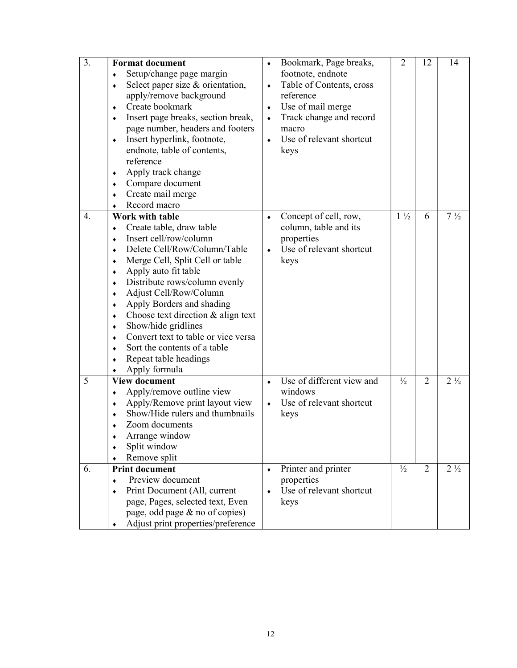| $\overline{3}$ . | <b>Format document</b><br>Setup/change page margin<br>٠<br>Select paper size & orientation,<br>٠<br>apply/remove background<br>Create bookmark<br>$\bullet$<br>Insert page breaks, section break,<br>٠<br>page number, headers and footers<br>Insert hyperlink, footnote,<br>۰<br>endnote, table of contents,<br>reference<br>Apply track change<br>٠<br>Compare document<br>٠<br>Create mail merge<br>$\bullet$<br>Record macro                                                                                  | $\blacklozenge$<br>$\bullet$<br>$\blacklozenge$<br>$\blacklozenge$<br>$\bullet$ | Bookmark, Page breaks,<br>footnote, endnote<br>Table of Contents, cross<br>reference<br>Use of mail merge<br>Track change and record<br>macro<br>Use of relevant shortcut<br>keys | $\overline{2}$ | 12             | 14             |
|------------------|-------------------------------------------------------------------------------------------------------------------------------------------------------------------------------------------------------------------------------------------------------------------------------------------------------------------------------------------------------------------------------------------------------------------------------------------------------------------------------------------------------------------|---------------------------------------------------------------------------------|-----------------------------------------------------------------------------------------------------------------------------------------------------------------------------------|----------------|----------------|----------------|
| $\overline{4}$ . | <b>Work with table</b><br>Create table, draw table<br>٠<br>Insert cell/row/column<br>٠<br>Delete Cell/Row/Column/Table<br>٠<br>Merge Cell, Split Cell or table<br>٠<br>Apply auto fit table<br>٠<br>Distribute rows/column evenly<br>Adjust Cell/Row/Column<br>٠<br>Apply Borders and shading<br>٠<br>Choose text direction & align text<br>٠<br>Show/hide gridlines<br>٠<br>Convert text to table or vice versa<br>$\bullet$<br>Sort the contents of a table<br>٠<br>Repeat table headings<br>٠<br>Apply formula | $\bullet$<br>$\bullet$                                                          | Concept of cell, row,<br>column, table and its<br>properties<br>Use of relevant shortcut<br>keys                                                                                  | $1\frac{1}{2}$ | 6              | $7\frac{1}{2}$ |
| 5                | <b>View document</b><br>Apply/remove outline view<br>٠<br>Apply/Remove print layout view<br>٠<br>Show/Hide rulers and thumbnails<br>Zoom documents<br>Arrange window<br>٠<br>Split window<br>Remove split                                                                                                                                                                                                                                                                                                         | $\bullet$<br>$\bullet$                                                          | Use of different view and<br>windows<br>Use of relevant shortcut<br>keys                                                                                                          | $\frac{1}{2}$  | $\overline{2}$ | $2\frac{1}{2}$ |
| 6.               | <b>Print document</b><br>Preview document<br>$\bullet$<br>Print Document (All, current<br>٠<br>page, Pages, selected text, Even<br>page, odd page & no of copies)<br>Adjust print properties/preference                                                                                                                                                                                                                                                                                                           | $\bullet$<br>٠                                                                  | Printer and printer<br>properties<br>Use of relevant shortcut<br>keys                                                                                                             | $\frac{1}{2}$  | $\overline{2}$ | $2\frac{1}{2}$ |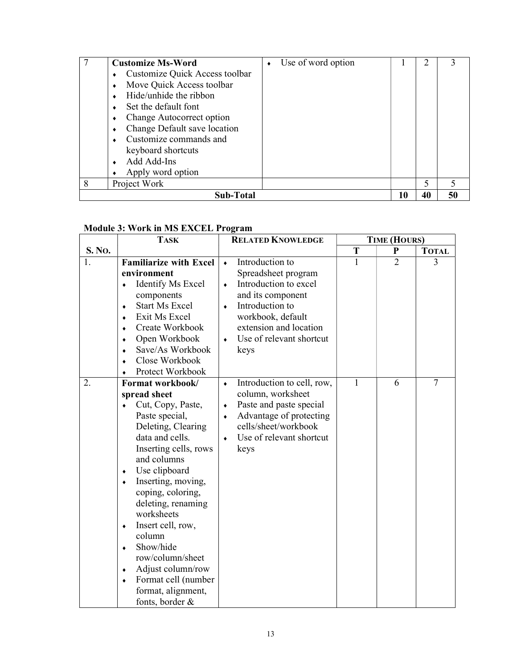|   | <b>Customize Ms-Word</b>       | Use of word option |    |    |    |
|---|--------------------------------|--------------------|----|----|----|
|   | Customize Quick Access toolbar |                    |    |    |    |
|   | Move Quick Access toolbar      |                    |    |    |    |
|   | Hide/unhide the ribbon         |                    |    |    |    |
|   | Set the default font           |                    |    |    |    |
|   | Change Autocorrect option      |                    |    |    |    |
|   | Change Default save location   |                    |    |    |    |
|   | Customize commands and         |                    |    |    |    |
|   | keyboard shortcuts             |                    |    |    |    |
|   | Add Add-Ins                    |                    |    |    |    |
|   | Apply word option              |                    |    |    |    |
| 8 | Project Work                   |                    |    | 5  |    |
|   | Sub-Total                      |                    | 10 | 40 | 50 |

### Module 3: Work in MS EXCEL Program

|        | <b>TASK</b>                                                                                                                                                                                                                                                                                                                                                                                                                                                         | <b>RELATED KNOWLEDGE</b>                                                                                                                                                                                                                       | <b>TIME (HOURS)</b> |                |                |
|--------|---------------------------------------------------------------------------------------------------------------------------------------------------------------------------------------------------------------------------------------------------------------------------------------------------------------------------------------------------------------------------------------------------------------------------------------------------------------------|------------------------------------------------------------------------------------------------------------------------------------------------------------------------------------------------------------------------------------------------|---------------------|----------------|----------------|
| S. No. |                                                                                                                                                                                                                                                                                                                                                                                                                                                                     |                                                                                                                                                                                                                                                | T                   | P              | <b>TOTAL</b>   |
| 1.     | <b>Familiarize with Excel</b><br>environment<br><b>Identify Ms Excel</b><br>٠<br>components<br><b>Start Ms Excel</b><br>٠<br>Exit Ms Excel<br>$\bullet$<br>Create Workbook<br>Open Workbook<br>٠<br>Save/As Workbook<br>۰<br>Close Workbook<br>٠<br>Protect Workbook                                                                                                                                                                                                | Introduction to<br>$\bullet$<br>Spreadsheet program<br>Introduction to excel<br>$\bullet$<br>and its component<br>Introduction to<br>$\bullet$<br>workbook, default<br>extension and location<br>Use of relevant shortcut<br>$\bullet$<br>keys | 1                   | $\overline{2}$ | 3              |
| 2.     | Format workbook/<br>spread sheet<br>Cut, Copy, Paste,<br>Paste special,<br>Deleting, Clearing<br>data and cells.<br>Inserting cells, rows<br>and columns<br>Use clipboard<br>٠<br>Inserting, moving,<br>$\bullet$<br>coping, coloring,<br>deleting, renaming<br>worksheets<br>Insert cell, row,<br>$\bullet$<br>column<br>Show/hide<br>٠<br>row/column/sheet<br>Adjust column/row<br>$\bullet$<br>Format cell (number<br>۰<br>format, alignment,<br>fonts, border & | Introduction to cell, row,<br>٠<br>column, worksheet<br>Paste and paste special<br>٠<br>Advantage of protecting<br>٠<br>cells/sheet/workbook<br>Use of relevant shortcut<br>keys                                                               | 1                   | 6              | $\overline{7}$ |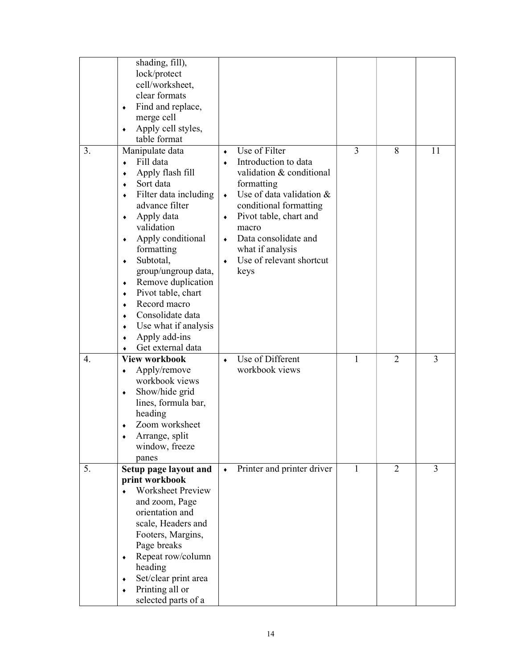|                  | shading, fill),<br>lock/protect<br>cell/worksheet,<br>clear formats<br>Find and replace,<br>٠<br>merge cell<br>Apply cell styles,<br>٠                                                                                                                                                                                                                                                                                                     |                                               |                                                                                                                                                                                                                                                          |              |                |    |
|------------------|--------------------------------------------------------------------------------------------------------------------------------------------------------------------------------------------------------------------------------------------------------------------------------------------------------------------------------------------------------------------------------------------------------------------------------------------|-----------------------------------------------|----------------------------------------------------------------------------------------------------------------------------------------------------------------------------------------------------------------------------------------------------------|--------------|----------------|----|
| 3.               | table format<br>Manipulate data<br>Fill data<br>Apply flash fill<br>٠<br>Sort data<br>۰<br>Filter data including<br>۰<br>advance filter<br>Apply data<br>٠<br>validation<br>Apply conditional<br>۰<br>formatting<br>Subtotal,<br>٠<br>group/ungroup data,<br>Remove duplication<br>٠<br>Pivot table, chart<br>۰<br>Record macro<br>٠<br>Consolidate data<br>٠<br>Use what if analysis<br>۰<br>Apply add-ins<br>٠<br>Get external data<br>٠ | $\bullet$<br>$\bullet$<br>٠<br>۰<br>$\bullet$ | Use of Filter<br>Introduction to data<br>validation & conditional<br>formatting<br>Use of data validation &<br>conditional formatting<br>Pivot table, chart and<br>macro<br>Data consolidate and<br>what if analysis<br>Use of relevant shortcut<br>keys | 3            | 8              | 11 |
| $\overline{4}$ . | <b>View workbook</b><br>Apply/remove<br>٠<br>workbook views<br>Show/hide grid<br>۰<br>lines, formula bar,<br>heading<br>Zoom worksheet<br>Arrange, split<br>window, freeze<br>panes                                                                                                                                                                                                                                                        | $\bullet$                                     | Use of Different<br>workbook views                                                                                                                                                                                                                       | 1            | $\overline{2}$ | 3  |
| 5.               | Setup page layout and<br>print workbook<br><b>Worksheet Preview</b><br>and zoom, Page<br>orientation and<br>scale, Headers and<br>Footers, Margins,<br>Page breaks<br>Repeat row/column<br>٠<br>heading<br>Set/clear print area<br>۰<br>Printing all or<br>selected parts of a                                                                                                                                                             | $\blacklozenge$                               | Printer and printer driver                                                                                                                                                                                                                               | $\mathbf{1}$ | $\overline{2}$ | 3  |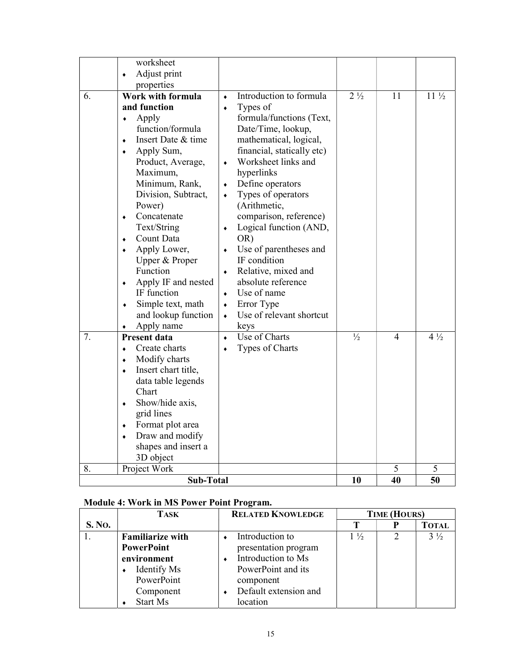|    | worksheet<br>Adjust print<br>٠                                                                                                                                                                                                                                                                                                                                                                                                                |                                                                                                                                                                                                                                                                                                                                                                                                                                                                                                                                                                      |                |                |                 |
|----|-----------------------------------------------------------------------------------------------------------------------------------------------------------------------------------------------------------------------------------------------------------------------------------------------------------------------------------------------------------------------------------------------------------------------------------------------|----------------------------------------------------------------------------------------------------------------------------------------------------------------------------------------------------------------------------------------------------------------------------------------------------------------------------------------------------------------------------------------------------------------------------------------------------------------------------------------------------------------------------------------------------------------------|----------------|----------------|-----------------|
|    | properties                                                                                                                                                                                                                                                                                                                                                                                                                                    |                                                                                                                                                                                                                                                                                                                                                                                                                                                                                                                                                                      |                |                |                 |
| 6. | Work with formula<br>and function<br>Apply<br>$\bullet$<br>function/formula<br>Insert Date & time<br>٠<br>Apply Sum,<br>٠<br>Product, Average,<br>Maximum,<br>Minimum, Rank,<br>Division, Subtract,<br>Power)<br>Concatenate<br>$\bullet$<br>Text/String<br>Count Data<br>٠<br>Apply Lower,<br>٠<br>Upper & Proper<br>Function<br>Apply IF and nested<br>٠<br>IF function<br>Simple text, math<br>۰<br>and lookup function<br>Apply name<br>٠ | Introduction to formula<br>$\bullet$<br>Types of<br>۰<br>formula/functions (Text,<br>Date/Time, lookup,<br>mathematical, logical,<br>financial, statically etc)<br>Worksheet links and<br>$\blacklozenge$<br>hyperlinks<br>Define operators<br>٠<br>Types of operators<br>$\bullet$<br>(Arithmetic,<br>comparison, reference)<br>Logical function (AND,<br>٠<br>OR)<br>Use of parentheses and<br>٠<br>IF condition<br>Relative, mixed and<br>$\bullet$<br>absolute reference<br>Use of name<br>$\bullet$<br>Error Type<br>٠<br>Use of relevant shortcut<br>٠<br>keys | $2\frac{1}{2}$ | 11             | $11\frac{1}{2}$ |
| 7. | <b>Present data</b><br>Create charts<br>۰<br>Modify charts<br>٠<br>Insert chart title,<br>٠<br>data table legends<br>Chart<br>Show/hide axis,<br>٠<br>grid lines<br>Format plot area<br>٠<br>Draw and modify<br>٠<br>shapes and insert a<br>3D object                                                                                                                                                                                         | Use of Charts<br>۰<br>Types of Charts<br>٠                                                                                                                                                                                                                                                                                                                                                                                                                                                                                                                           | $\frac{1}{2}$  | $\overline{4}$ | $4\frac{1}{2}$  |
| 8. | Project Work                                                                                                                                                                                                                                                                                                                                                                                                                                  |                                                                                                                                                                                                                                                                                                                                                                                                                                                                                                                                                                      |                | 5              | 5               |
|    | <b>Sub-Total</b>                                                                                                                                                                                                                                                                                                                                                                                                                              |                                                                                                                                                                                                                                                                                                                                                                                                                                                                                                                                                                      | 10             | 40             | 50              |

### Module 4: Work in MS Power Point Program.

|               | <b>TASK</b>             | <b>RELATED KNOWLEDGE</b> | <b>TIME (HOURS)</b> |  |                |
|---------------|-------------------------|--------------------------|---------------------|--|----------------|
| <b>S. No.</b> |                         |                          |                     |  | <b>TOTAL</b>   |
|               | <b>Familiarize with</b> | Introduction to          | $1\frac{1}{2}$      |  | $3\frac{1}{2}$ |
|               | <b>PowerPoint</b>       | presentation program     |                     |  |                |
|               | environment             | Introduction to Ms       |                     |  |                |
|               | Identify Ms             | PowerPoint and its       |                     |  |                |
|               | PowerPoint              | component                |                     |  |                |
|               | Component               | Default extension and    |                     |  |                |
|               | Start Ms                | location                 |                     |  |                |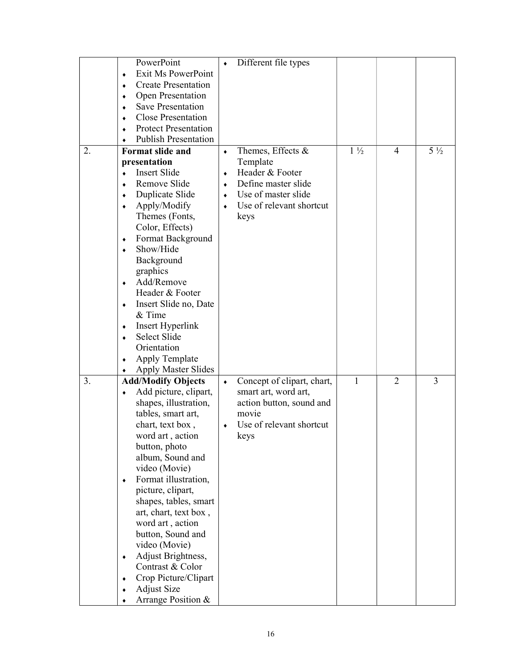| PowerPoint<br>Different file types<br>٠                                                                |  |
|--------------------------------------------------------------------------------------------------------|--|
| Exit Ms PowerPoint<br>۰                                                                                |  |
| <b>Create Presentation</b><br>$\bullet$                                                                |  |
| Open Presentation<br>٠                                                                                 |  |
| <b>Save Presentation</b><br>$\bullet$                                                                  |  |
| <b>Close Presentation</b><br>٠                                                                         |  |
| <b>Protect Presentation</b><br>۰                                                                       |  |
| <b>Publish Presentation</b><br>۰                                                                       |  |
| Format slide and<br>$1\frac{1}{2}$<br>$5\frac{1}{2}$<br>2.<br>Themes, Effects &<br>4<br>$\bullet$      |  |
| presentation<br>Template                                                                               |  |
| Header & Footer<br>Insert Slide                                                                        |  |
| ٠<br>Remove Slide<br>Define master slide                                                               |  |
| ۰<br>۰                                                                                                 |  |
| Duplicate Slide<br>Use of master slide<br>$\bullet$<br>$\bullet$                                       |  |
| Use of relevant shortcut<br>Apply/Modify<br>۰                                                          |  |
| Themes (Fonts,<br>keys                                                                                 |  |
| Color, Effects)                                                                                        |  |
| Format Background<br>٠                                                                                 |  |
| Show/Hide<br>۰                                                                                         |  |
| Background                                                                                             |  |
| graphics                                                                                               |  |
| Add/Remove<br>۰                                                                                        |  |
| Header & Footer                                                                                        |  |
| Insert Slide no, Date<br>۰                                                                             |  |
| & Time                                                                                                 |  |
| Insert Hyperlink<br>۰                                                                                  |  |
| Select Slide<br>۰                                                                                      |  |
| Orientation                                                                                            |  |
| <b>Apply Template</b>                                                                                  |  |
| <b>Apply Master Slides</b>                                                                             |  |
| $\overline{2}$<br>3<br>3.<br>Concept of clipart, chart,<br>1<br><b>Add/Modify Objects</b><br>$\bullet$ |  |
| Add picture, clipart,<br>smart art, word art,<br>٠                                                     |  |
| action button, sound and<br>shapes, illustration,                                                      |  |
| movie<br>tables, smart art,                                                                            |  |
| chart, text box,<br>Use of relevant shortcut                                                           |  |
| word art, action<br>keys                                                                               |  |
| button, photo                                                                                          |  |
| album, Sound and                                                                                       |  |
| video (Movie)                                                                                          |  |
| Format illustration,<br>$\bullet$                                                                      |  |
| picture, clipart,                                                                                      |  |
| shapes, tables, smart                                                                                  |  |
|                                                                                                        |  |
|                                                                                                        |  |
| art, chart, text box,                                                                                  |  |
| word art, action                                                                                       |  |
| button, Sound and                                                                                      |  |
| video (Movie)                                                                                          |  |
| Adjust Brightness,<br>٠                                                                                |  |
| Contrast & Color                                                                                       |  |
| Crop Picture/Clipart<br>۰<br><b>Adjust Size</b>                                                        |  |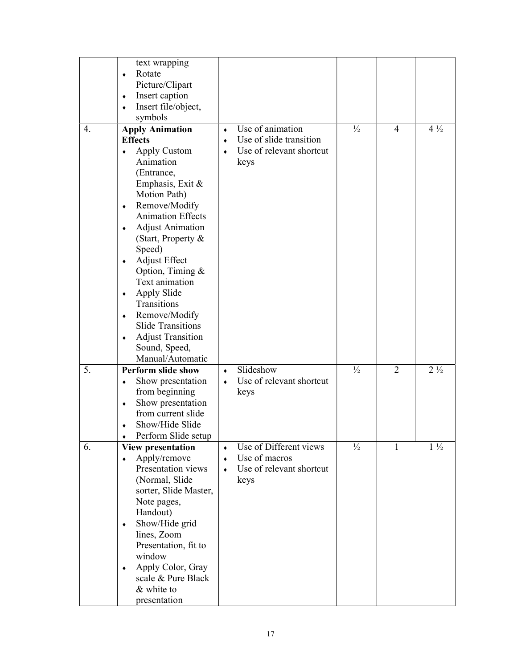|    | text wrapping<br>Rotate<br>$\bullet$<br>Picture/Clipart                                                                                                                                                                                                                                                                                                                                                                                                                                                                                        |                                                                                                                |               |                |                |
|----|------------------------------------------------------------------------------------------------------------------------------------------------------------------------------------------------------------------------------------------------------------------------------------------------------------------------------------------------------------------------------------------------------------------------------------------------------------------------------------------------------------------------------------------------|----------------------------------------------------------------------------------------------------------------|---------------|----------------|----------------|
|    | Insert caption<br>$\blacklozenge$<br>Insert file/object,<br>$\bullet$<br>symbols                                                                                                                                                                                                                                                                                                                                                                                                                                                               |                                                                                                                |               |                |                |
| 4. | <b>Apply Animation</b><br><b>Effects</b><br>Apply Custom<br>$\bullet$<br>Animation<br>(Entrance,<br>Emphasis, Exit &<br>Motion Path)<br>Remove/Modify<br>$\blacklozenge$<br><b>Animation Effects</b><br><b>Adjust Animation</b><br>۰<br>(Start, Property &<br>Speed)<br><b>Adjust Effect</b><br>$\blacklozenge$<br>Option, Timing &<br>Text animation<br>Apply Slide<br>$\bullet$<br>Transitions<br>Remove/Modify<br>$\blacklozenge$<br><b>Slide Transitions</b><br><b>Adjust Transition</b><br>$\bullet$<br>Sound, Speed,<br>Manual/Automatic | Use of animation<br>٠<br>Use of slide transition<br>$\bullet$<br>Use of relevant shortcut<br>$\bullet$<br>keys | $\frac{1}{2}$ | 4              | $4\frac{1}{2}$ |
| 5. | <b>Perform slide show</b><br>Show presentation<br>۰<br>from beginning<br>Show presentation<br>$\bullet$<br>from current slide<br>Show/Hide Slide<br>Perform Slide setup                                                                                                                                                                                                                                                                                                                                                                        | Slideshow<br>$\bullet$<br>Use of relevant shortcut<br>$\bullet$<br>keys                                        | $\frac{1}{2}$ | $\overline{2}$ | $2\frac{1}{2}$ |
| 6. | <b>View presentation</b><br>Apply/remove<br>$\bullet$                                                                                                                                                                                                                                                                                                                                                                                                                                                                                          | Use of Different views<br>$\bullet$<br>Use of macros<br>$\bullet$                                              | $\frac{1}{2}$ |                | $1\frac{1}{2}$ |
|    | Presentation views<br>(Normal, Slide<br>sorter, Slide Master,<br>Note pages,<br>Handout)<br>Show/Hide grid<br>۰<br>lines, Zoom<br>Presentation, fit to<br>window<br>Apply Color, Gray<br>$\blacklozenge$<br>scale & Pure Black<br>& white to<br>presentation                                                                                                                                                                                                                                                                                   | Use of relevant shortcut<br>$\bullet$<br>keys                                                                  |               |                |                |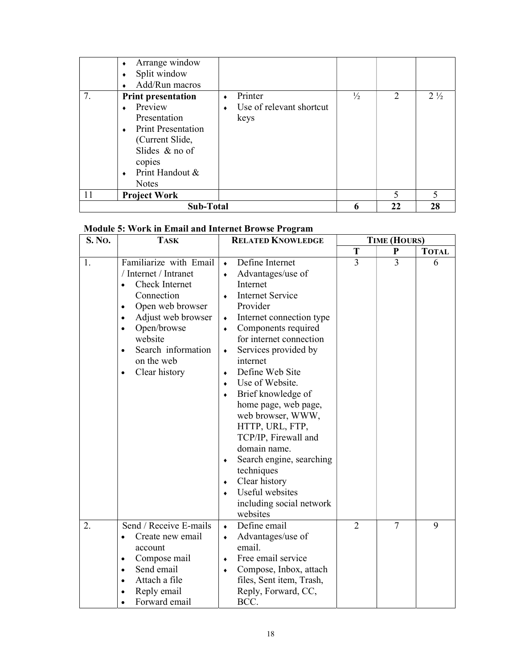|    | <b>Sub-Total</b>          |                          |               | 22                          | 28             |
|----|---------------------------|--------------------------|---------------|-----------------------------|----------------|
| 11 | <b>Project Work</b>       |                          |               | 5                           |                |
|    | <b>Notes</b>              |                          |               |                             |                |
|    | Print Handout &           |                          |               |                             |                |
|    | copies                    |                          |               |                             |                |
|    | Slides $&$ no of          |                          |               |                             |                |
|    | (Current Slide,           |                          |               |                             |                |
|    | <b>Print Presentation</b> |                          |               |                             |                |
|    | Presentation              | keys                     |               |                             |                |
|    | Preview                   | Use of relevant shortcut |               |                             |                |
| 7. | <b>Print presentation</b> | Printer                  | $\frac{1}{2}$ | $\mathcal{D}_{\mathcal{L}}$ | $2\frac{1}{2}$ |
|    | Add/Run macros            |                          |               |                             |                |
|    | Split window              |                          |               |                             |                |
|    | Arrange window            |                          |               |                             |                |

### Module 5: Work in Email and Internet Browse Program

| S. No. | <b>TASK</b>                                                                                                                                                                                                                                                                      | <b>RELATED KNOWLEDGE</b>                                                                                                                                                                                                                                                                                                                                                                                                                                                                                                                                                                    | <b>TIME (HOURS)</b> |                |              |
|--------|----------------------------------------------------------------------------------------------------------------------------------------------------------------------------------------------------------------------------------------------------------------------------------|---------------------------------------------------------------------------------------------------------------------------------------------------------------------------------------------------------------------------------------------------------------------------------------------------------------------------------------------------------------------------------------------------------------------------------------------------------------------------------------------------------------------------------------------------------------------------------------------|---------------------|----------------|--------------|
|        |                                                                                                                                                                                                                                                                                  |                                                                                                                                                                                                                                                                                                                                                                                                                                                                                                                                                                                             | T                   | $\mathbf P$    | <b>TOTAL</b> |
| 1.     | Familiarize with Email<br>/ Internet / Intranet<br><b>Check Internet</b><br>Connection<br>Open web browser<br>$\bullet$<br>Adjust web browser<br>$\bullet$<br>Open/browse<br>$\bullet$<br>website<br>Search information<br>$\bullet$<br>on the web<br>Clear history<br>$\bullet$ | Define Internet<br>$\bullet$<br>Advantages/use of<br>Internet<br><b>Internet Service</b><br>$\bullet$<br>Provider<br>Internet connection type<br>$\blacklozenge$<br>Components required<br>٠<br>for internet connection<br>Services provided by<br>۰<br>internet<br>Define Web Site<br>٠<br>Use of Website.<br>$\bullet$<br>Brief knowledge of<br>۰<br>home page, web page,<br>web browser, WWW,<br>HTTP, URL, FTP,<br>TCP/IP, Firewall and<br>domain name.<br>Search engine, searching<br>٠<br>techniques<br>Clear history<br>٠<br>Useful websites<br>including social network<br>websites | 3                   | 3              | 6            |
| 2.     | Send / Receive E-mails<br>Create new email<br>$\bullet$<br>account<br>Compose mail<br>$\bullet$<br>Send email<br>$\bullet$<br>Attach a file<br>$\bullet$<br>Reply email<br>Forward email                                                                                         | Define email<br>$\bullet$<br>Advantages/use of<br>٠<br>email.<br>Free email service<br>٠<br>Compose, Inbox, attach<br>٠<br>files, Sent item, Trash,<br>Reply, Forward, CC,<br>BCC.                                                                                                                                                                                                                                                                                                                                                                                                          | $\overline{2}$      | $\overline{7}$ | 9            |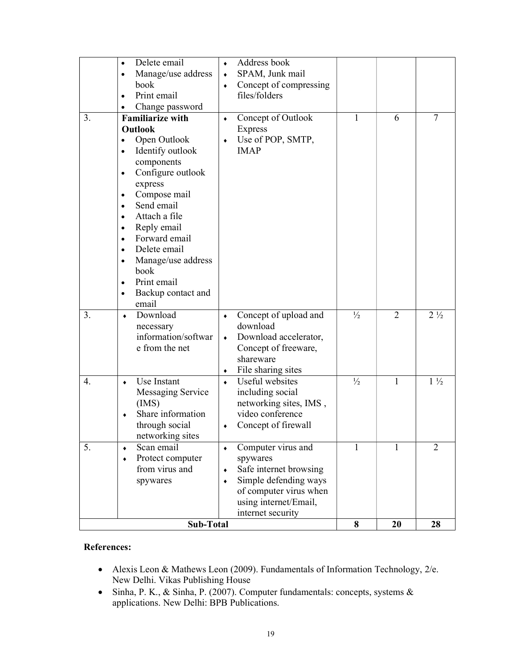| 3. | Delete email<br>$\bullet$<br>Manage/use address<br>$\bullet$<br>book<br>Print email<br>Change password<br><b>Familiarize with</b><br>Outlook<br>Open Outlook<br>Identify outlook<br>components<br>Configure outlook<br>$\bullet$<br>express<br>Compose mail<br>٠<br>Send email<br>Attach a file<br>$\bullet$<br>Reply email<br>٠<br>Forward email<br>$\bullet$<br>Delete email<br>$\bullet$ | Address book<br>۰<br>SPAM, Junk mail<br>۰<br>Concept of compressing<br>۰<br>files/folders<br>Concept of Outlook<br>٠<br><b>Express</b><br>Use of POP, SMTP,<br>٠<br><b>IMAP</b> | 1             | 6              | 7              |
|----|---------------------------------------------------------------------------------------------------------------------------------------------------------------------------------------------------------------------------------------------------------------------------------------------------------------------------------------------------------------------------------------------|---------------------------------------------------------------------------------------------------------------------------------------------------------------------------------|---------------|----------------|----------------|
|    | Manage/use address<br>$\bullet$<br>book<br>Print email<br>$\bullet$<br>Backup contact and<br>٠<br>email                                                                                                                                                                                                                                                                                     |                                                                                                                                                                                 |               |                |                |
| 3. | Download<br>۰<br>necessary<br>information/softwar<br>e from the net                                                                                                                                                                                                                                                                                                                         | Concept of upload and<br>$\blacklozenge$<br>download<br>Download accelerator,<br>٠<br>Concept of freeware,<br>shareware<br>File sharing sites<br>٠                              | $\frac{1}{2}$ | $\overline{2}$ | $2\frac{1}{2}$ |
| 4. | Use Instant<br>۰<br>Messaging Service<br>(MS)<br>Share information<br>through social<br>networking sites                                                                                                                                                                                                                                                                                    | Useful websites<br>۰<br>including social<br>networking sites, IMS,<br>video conference<br>Concept of firewall<br>٠                                                              | $\frac{1}{2}$ | 1              | $1\frac{1}{2}$ |
| 5. | Scan email<br>٠<br>Protect computer<br>from virus and<br>spywares                                                                                                                                                                                                                                                                                                                           | Computer virus and<br>۰<br>spywares<br>Safe internet browsing<br>٠<br>Simple defending ways<br>of computer virus when<br>using internet/Email,<br>internet security             | 1             | 1              | 2              |
|    | <b>Sub-Total</b>                                                                                                                                                                                                                                                                                                                                                                            |                                                                                                                                                                                 | 8             | 20             | 28             |

### References:

- Alexis Leon & Mathews Leon (2009). Fundamentals of Information Technology, 2/e. New Delhi. Vikas Publishing House
- Sinha, P. K., & Sinha, P. (2007). Computer fundamentals: concepts, systems & applications. New Delhi: BPB Publications.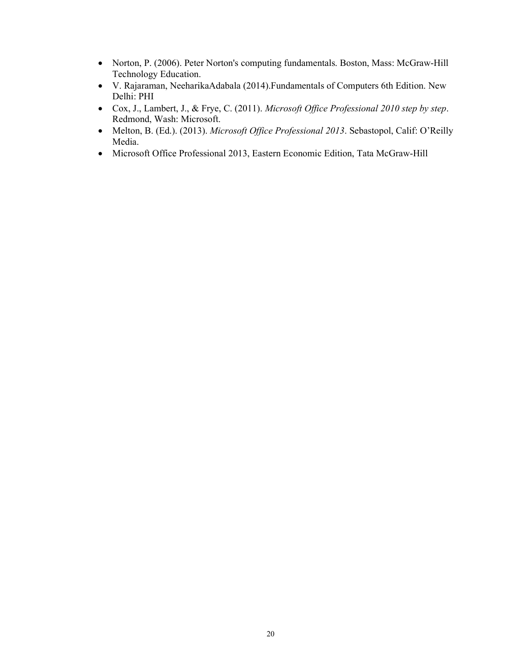- Norton, P. (2006). Peter Norton's computing fundamentals. Boston, Mass: McGraw-Hill Technology Education.
- V. Rajaraman, NeeharikaAdabala (2014).Fundamentals of Computers 6th Edition. New Delhi: PHI
- Cox, J., Lambert, J., & Frye, C. (2011). Microsoft Office Professional 2010 step by step. Redmond, Wash: Microsoft.
- Melton, B. (Ed.). (2013). Microsoft Office Professional 2013. Sebastopol, Calif: O'Reilly Media.
- Microsoft Office Professional 2013, Eastern Economic Edition, Tata McGraw-Hill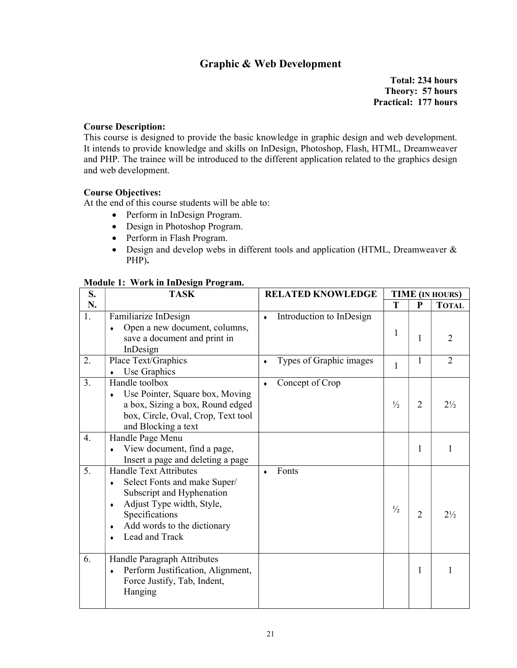### Graphic & Web Development

Total: 234 hours Theory: 57 hours Practical: 177 hours

#### Course Description:

This course is designed to provide the basic knowledge in graphic design and web development. It intends to provide knowledge and skills on InDesign, Photoshop, Flash, HTML, Dreamweaver and PHP. The trainee will be introduced to the different application related to the graphics design and web development.

### Course Objectives:

At the end of this course students will be able to:

- Perform in InDesign Program.
- Design in Photoshop Program.
- Perform in Flash Program.
- Design and develop webs in different tools and application (HTML, Dreamweaver & PHP).

#### Module 1: Work in InDesign Program.

| S.               | <b>TASK</b>                                                                                                                                                                                                | <b>RELATED KNOWLEDGE</b>     |                          |               |                | <b>TIME (IN HOURS)</b> |
|------------------|------------------------------------------------------------------------------------------------------------------------------------------------------------------------------------------------------------|------------------------------|--------------------------|---------------|----------------|------------------------|
| N.               |                                                                                                                                                                                                            |                              |                          | T             | P              | <b>TOTAL</b>           |
| 1.               | Familiarize InDesign<br>Open a new document, columns,<br>۰<br>save a document and print in<br>InDesign                                                                                                     | $\bullet$                    | Introduction to InDesign | $\mathbf{1}$  | 1              | $\overline{2}$         |
| 2.               | Place Text/Graphics<br>Use Graphics                                                                                                                                                                        | $\bullet$                    | Types of Graphic images  | $\mathbf{1}$  | 1              | $\overline{2}$         |
| 3.               | Handle toolbox<br>Use Pointer, Square box, Moving<br>a box, Sizing a box, Round edged<br>box, Circle, Oval, Crop, Text tool<br>and Blocking a text                                                         | Concept of Crop<br>$\bullet$ |                          | $\frac{1}{2}$ | $\overline{2}$ | $2\frac{1}{2}$         |
| $\overline{4}$ . | Handle Page Menu<br>View document, find a page,<br>Insert a page and deleting a page                                                                                                                       |                              |                          |               | 1              | 1                      |
| 5.               | Handle Text Attributes<br>Select Fonts and make Super/<br>$\bullet$<br>Subscript and Hyphenation<br>Adjust Type width, Style,<br>٠<br>Specifications<br>Add words to the dictionary<br>٠<br>Lead and Track | Fonts                        |                          | $\frac{1}{2}$ | $\overline{2}$ | $2\frac{1}{2}$         |
| 6.               | Handle Paragraph Attributes<br>Perform Justification, Alignment,<br>٠<br>Force Justify, Tab, Indent,<br>Hanging                                                                                            |                              |                          |               | 1              | 1                      |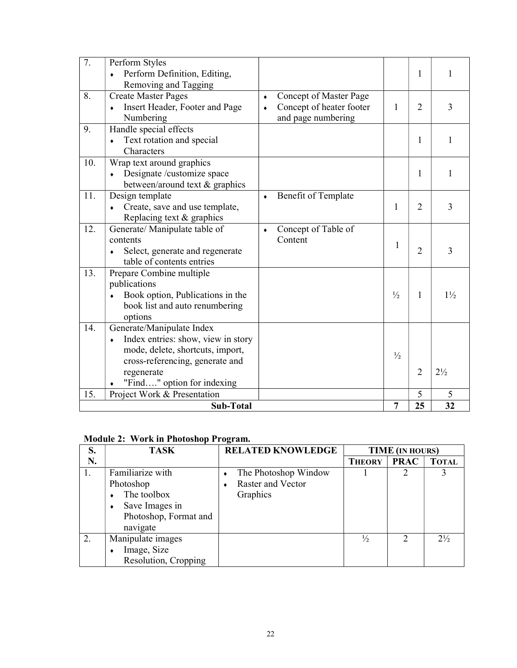| $\overline{7}$ . | Perform Styles<br>Perform Definition, Editing,<br>Removing and Tagging                                                                                                                  |                        |                                                                          |               | $\mathbf{1}$   | 1              |
|------------------|-----------------------------------------------------------------------------------------------------------------------------------------------------------------------------------------|------------------------|--------------------------------------------------------------------------|---------------|----------------|----------------|
| 8.               | <b>Create Master Pages</b><br>Insert Header, Footer and Page<br>Numbering                                                                                                               | $\bullet$<br>$\bullet$ | Concept of Master Page<br>Concept of heater footer<br>and page numbering | 1             | $\overline{2}$ | 3              |
| 9.               | Handle special effects<br>Text rotation and special<br>$\bullet$<br>Characters                                                                                                          |                        |                                                                          |               | 1              | 1              |
| 10.              | Wrap text around graphics<br>Designate /customize space<br>$\bullet$<br>between/around text & graphics                                                                                  |                        |                                                                          |               | $\mathbf{1}$   | 1              |
| 11.              | Design template<br>Create, save and use template,<br>Replacing text & graphics                                                                                                          |                        | Benefit of Template                                                      | 1             | $\overline{2}$ | 3              |
| 12.              | Generate/ Manipulate table of<br>contents<br>Select, generate and regenerate<br>table of contents entries                                                                               | $\bullet$              | Concept of Table of<br>Content                                           | 1             | $\overline{2}$ | 3              |
| 13.              | Prepare Combine multiple<br>publications<br>Book option, Publications in the<br>book list and auto renumbering<br>options                                                               |                        |                                                                          | $\frac{1}{2}$ | $\mathbf{1}$   | $1\frac{1}{2}$ |
| 14.              | Generate/Manipulate Index<br>Index entries: show, view in story<br>۰<br>mode, delete, shortcuts, import,<br>cross-referencing, generate and<br>regenerate<br>"Find" option for indexing |                        |                                                                          | $\frac{1}{2}$ | $\overline{2}$ | $2\frac{1}{2}$ |
| 15.              | Project Work & Presentation                                                                                                                                                             |                        |                                                                          |               | 5              | 5              |
|                  | <b>Sub-Total</b>                                                                                                                                                                        |                        |                                                                          | 7             | 25             | 32             |

### Module 2: Work in Photoshop Program.

| S.             | <b>TASK</b>           | <b>RELATED KNOWLEDGE</b> | TIME (IN HOURS) |             |                |
|----------------|-----------------------|--------------------------|-----------------|-------------|----------------|
| N.             |                       |                          | <b>THEORY</b>   | <b>PRAC</b> | <b>TOTAL</b>   |
| $\mathbf{I}$ . | Familiarize with      | The Photoshop Window     |                 |             |                |
|                | Photoshop             | Raster and Vector        |                 |             |                |
|                | The toolbox           | Graphics                 |                 |             |                |
|                | Save Images in        |                          |                 |             |                |
|                | Photoshop, Format and |                          |                 |             |                |
|                | navigate              |                          |                 |             |                |
| 2.             | Manipulate images     |                          | $\frac{1}{2}$   |             | $2\frac{1}{2}$ |
|                | Image, Size           |                          |                 |             |                |
|                | Resolution, Cropping  |                          |                 |             |                |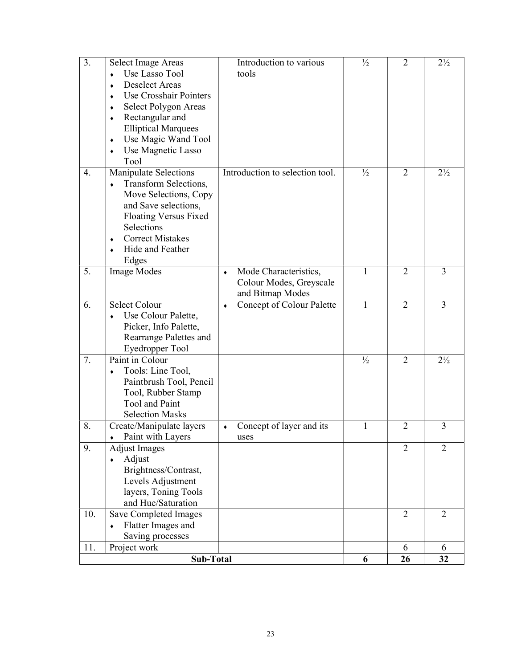| 3.  | Select Image Areas<br>Use Lasso Tool<br><b>Deselect Areas</b><br>$\bullet$<br>Use Crosshair Pointers<br>Select Polygon Areas<br>٠<br>Rectangular and<br>$\blacklozenge$<br><b>Elliptical Marquees</b><br>Use Magic Wand Tool<br>$\blacklozenge$ | Introduction to various<br>tools                                          | $\frac{1}{2}$ | $\overline{2}$ | $2\frac{1}{2}$ |
|-----|-------------------------------------------------------------------------------------------------------------------------------------------------------------------------------------------------------------------------------------------------|---------------------------------------------------------------------------|---------------|----------------|----------------|
| 4.  | Use Magnetic Lasso<br>$\bullet$<br>Tool<br>Manipulate Selections<br>Transform Selections,<br>۰                                                                                                                                                  | Introduction to selection tool.                                           | $\frac{1}{2}$ | $\overline{2}$ | $2\frac{1}{2}$ |
|     | Move Selections, Copy<br>and Save selections,<br><b>Floating Versus Fixed</b><br>Selections<br><b>Correct Mistakes</b><br>$\blacklozenge$<br>Hide and Feather<br>$\bullet$<br>Edges                                                             |                                                                           |               |                |                |
| 5.  | <b>Image Modes</b>                                                                                                                                                                                                                              | Mode Characteristics,<br>۰<br>Colour Modes, Greyscale<br>and Bitmap Modes | $\mathbf{1}$  | $\overline{2}$ | 3              |
| 6.  | <b>Select Colour</b><br>Use Colour Palette,<br>Picker, Info Palette,<br>Rearrange Palettes and<br>Eyedropper Tool                                                                                                                               | Concept of Colour Palette<br>٠                                            | 1             | $\overline{2}$ | 3              |
| 7.  | Paint in Colour<br>Tools: Line Tool,<br>٠<br>Paintbrush Tool, Pencil<br>Tool, Rubber Stamp<br>Tool and Paint<br><b>Selection Masks</b>                                                                                                          |                                                                           | $\frac{1}{2}$ | $\overline{2}$ | $2\frac{1}{2}$ |
| 8.  | Create/Manipulate layers<br>Paint with Layers<br>٠                                                                                                                                                                                              | Concept of layer and its<br>۰<br>uses                                     | $\mathbf{1}$  | $\overline{2}$ | 3              |
| 9.  | <b>Adjust Images</b><br>Adjust<br>٠<br>Brightness/Contrast,<br>Levels Adjustment<br>layers, Toning Tools<br>and Hue/Saturation                                                                                                                  |                                                                           |               | $\overline{2}$ | $\overline{2}$ |
| 10. | Save Completed Images<br>Flatter Images and<br>٠<br>Saving processes                                                                                                                                                                            |                                                                           |               | $\overline{2}$ | $\overline{2}$ |
| 11. | Project work                                                                                                                                                                                                                                    |                                                                           |               | 6              | 6              |
|     | Sub-Total                                                                                                                                                                                                                                       |                                                                           | 6             | 26             | 32             |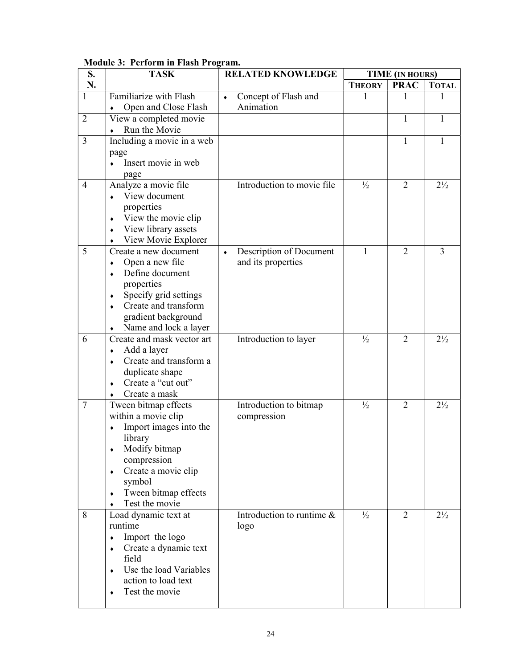| S.             | $1000$ and $2000$ and $1000$ and $1000$ and $1000$<br><b>TASK</b> | <b>RELATED KNOWLEDGE</b>                       | <b>TIME (IN HOURS)</b> |                |                |
|----------------|-------------------------------------------------------------------|------------------------------------------------|------------------------|----------------|----------------|
| N.             |                                                                   |                                                | <b>THEORY</b>          | <b>PRAC</b>    | <b>TOTAL</b>   |
| $\mathbf{1}$   | Familiarize with Flash<br>Open and Close Flash                    | Concept of Flash and<br>$\bullet$<br>Animation | 1                      | 1              |                |
| $\overline{2}$ | View a completed movie                                            |                                                |                        | 1              | 1              |
|                | Run the Movie                                                     |                                                |                        |                |                |
| 3              | Including a movie in a web                                        |                                                |                        | 1              | 1              |
|                | page                                                              |                                                |                        |                |                |
|                | Insert movie in web<br>$\bullet$                                  |                                                |                        |                |                |
|                | page                                                              |                                                |                        |                |                |
| $\overline{4}$ | Analyze a movie file                                              | Introduction to movie file                     | $\frac{1}{2}$          | $\overline{2}$ | $2\frac{1}{2}$ |
|                | View document                                                     |                                                |                        |                |                |
|                | properties                                                        |                                                |                        |                |                |
|                | View the movie clip<br>٠<br>View library assets                   |                                                |                        |                |                |
|                | ٠<br>View Movie Explorer                                          |                                                |                        |                |                |
| 5              | Create a new document                                             | Description of Document<br>$\bullet$           | 1                      | $\overline{2}$ | 3              |
|                | Open a new file                                                   | and its properties                             |                        |                |                |
|                | Define document                                                   |                                                |                        |                |                |
|                | properties                                                        |                                                |                        |                |                |
|                | Specify grid settings<br>٠                                        |                                                |                        |                |                |
|                | Create and transform                                              |                                                |                        |                |                |
|                | gradient background<br>Name and lock a layer                      |                                                |                        |                |                |
| 6              | Create and mask vector art                                        | Introduction to layer                          | $\frac{1}{2}$          | $\overline{2}$ | $2\frac{1}{2}$ |
|                | Add a layer                                                       |                                                |                        |                |                |
|                | Create and transform a                                            |                                                |                        |                |                |
|                | duplicate shape                                                   |                                                |                        |                |                |
|                | Create a "cut out"                                                |                                                |                        |                |                |
|                | Create a mask                                                     |                                                |                        |                |                |
| $\tau$         | Tween bitmap effects                                              | Introduction to bitmap                         | $\frac{1}{2}$          | $\overline{2}$ | $2\frac{1}{2}$ |
|                | within a movie clip<br>Import images into the                     | compression                                    |                        |                |                |
|                | library                                                           |                                                |                        |                |                |
|                | Modify bitmap<br>٠                                                |                                                |                        |                |                |
|                | compression                                                       |                                                |                        |                |                |
|                | Create a movie clip<br>٠                                          |                                                |                        |                |                |
|                | symbol                                                            |                                                |                        |                |                |
|                | Tween bitmap effects<br>٠                                         |                                                |                        |                |                |
|                | Test the movie                                                    |                                                |                        |                |                |
| 8              | Load dynamic text at<br>runtime                                   | Introduction to runtime $\&$                   | $\frac{1}{2}$          | $\overline{2}$ | $2\frac{1}{2}$ |
|                | Import the logo<br>٠                                              | logo                                           |                        |                |                |
|                | Create a dynamic text<br>٠                                        |                                                |                        |                |                |
|                | field                                                             |                                                |                        |                |                |
|                | Use the load Variables                                            |                                                |                        |                |                |
|                | action to load text                                               |                                                |                        |                |                |
|                | Test the movie                                                    |                                                |                        |                |                |
|                |                                                                   |                                                |                        |                |                |

### Module 3: Perform in Flash Program.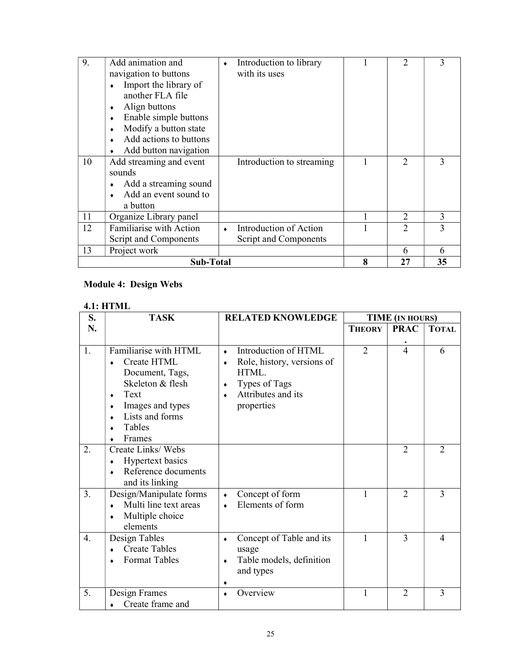| 9. | Add animation and<br>navigation to buttons<br>Import the library of<br>٠<br>another FLA file<br>Align buttons<br>Enable simple buttons<br>Modify a button state<br>Add actions to buttons | Introduction to library<br>with its uses        |   | 2              | 3  |
|----|-------------------------------------------------------------------------------------------------------------------------------------------------------------------------------------------|-------------------------------------------------|---|----------------|----|
| 10 | Add button navigation<br>Add streaming and event<br>sounds<br>Add a streaming sound<br>Add an event sound to<br>a button                                                                  | Introduction to streaming                       |   | 2              | 3  |
| 11 | Organize Library panel                                                                                                                                                                    |                                                 |   | $\overline{2}$ | 3  |
| 12 | Familiarise with Action<br>Script and Components                                                                                                                                          | Introduction of Action<br>Script and Components |   | $\mathfrak{D}$ | 3  |
| 13 | Project work                                                                                                                                                                              |                                                 |   | 6              |    |
|    | Sub-Total                                                                                                                                                                                 |                                                 | 8 | 27             | 35 |

### Module 4: Design Webs

### 4.1: HTML

| S.               | <b>TASK</b>                                                                                                                                                 | <b>RELATED KNOWLEDGE</b>                                                                                                                | <b>TIME (IN HOURS)</b> |                |                |  |
|------------------|-------------------------------------------------------------------------------------------------------------------------------------------------------------|-----------------------------------------------------------------------------------------------------------------------------------------|------------------------|----------------|----------------|--|
| N.               |                                                                                                                                                             |                                                                                                                                         | <b>THEORY</b>          | <b>PRAC</b>    | <b>TOTAL</b>   |  |
| 1.               | Familiarise with HTML<br>Create HTML<br>Document, Tags,<br>Skeleton & flesh<br>Text<br>$\bullet$<br>Images and types<br>Lists and forms<br>Tables<br>Frames | Introduction of HTML<br>$\bullet$<br>Role, history, versions of<br>٠<br>HTML.<br>Types of Tags<br>٠<br>Attributes and its<br>properties | $\overline{2}$         | $\overline{4}$ | 6              |  |
| 2.               | Create Links/Webs<br>Hypertext basics<br>٠<br>Reference documents<br>$\bullet$<br>and its linking                                                           |                                                                                                                                         |                        | $\overline{2}$ | $\overline{2}$ |  |
| 3.               | Design/Manipulate forms<br>Multi line text areas<br>Multiple choice<br>٠<br>elements                                                                        | Concept of form<br>$\bullet$<br>Elements of form                                                                                        | 1                      | $\overline{2}$ | 3              |  |
| $\overline{4}$ . | Design Tables<br><b>Create Tables</b><br><b>Format Tables</b>                                                                                               | Concept of Table and its<br>٠<br>usage<br>Table models, definition<br>٠<br>and types                                                    |                        | 3              | 4              |  |
| 5.               | Design Frames<br>Create frame and                                                                                                                           | Overview                                                                                                                                | 1                      | $\overline{2}$ | 3              |  |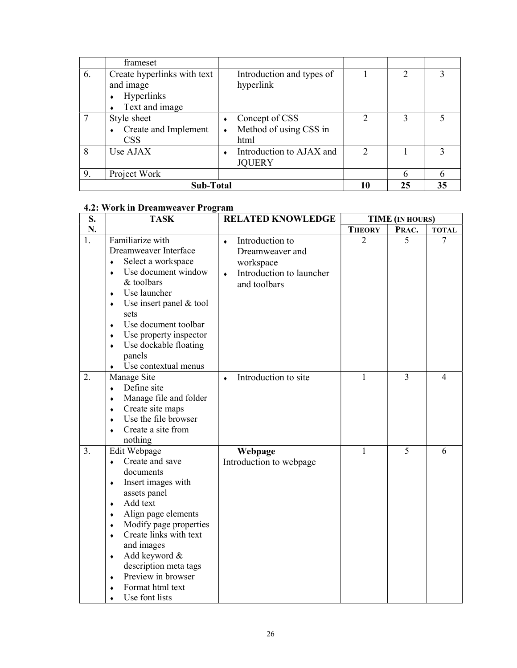|    | frameset                                                                             |                                                  |                             |    |    |
|----|--------------------------------------------------------------------------------------|--------------------------------------------------|-----------------------------|----|----|
| 6. | Create hyperlinks with text<br>and image<br><b>Hyperlinks</b><br>٠<br>Text and image | Introduction and types of<br>hyperlink           |                             |    |    |
|    | Style sheet<br>Create and Implement<br><b>CSS</b>                                    | Concept of CSS<br>Method of using CSS in<br>html | າ                           | 3  |    |
| 8  | Use AJAX                                                                             | Introduction to AJAX and<br><b>JOUERY</b>        | $\mathcal{D}_{\mathcal{L}}$ |    |    |
| 9. | Project Work                                                                         |                                                  |                             |    |    |
|    | Sub-Total                                                                            |                                                  |                             | 25 | 35 |

### 4.2: Work in Dreamweaver Program

| S. | $\ldots$ of $\ldots$ because $\ldots$ is a set of $\ldots$<br><b>TASK</b>                                                                                                                                                                                                                                                                                                           | <b>RELATED KNOWLEDGE</b>                                                                                              | <b>TIME</b> (IN HOURS) |       |              |
|----|-------------------------------------------------------------------------------------------------------------------------------------------------------------------------------------------------------------------------------------------------------------------------------------------------------------------------------------------------------------------------------------|-----------------------------------------------------------------------------------------------------------------------|------------------------|-------|--------------|
| N. |                                                                                                                                                                                                                                                                                                                                                                                     |                                                                                                                       | <b>THEORY</b>          | PRAC. | <b>TOTAL</b> |
| 1. | Familiarize with<br>Dreamweaver Interface<br>Select a workspace<br>$\bullet$<br>Use document window<br>$\bullet$<br>& toolbars<br>Use launcher<br>$\bullet$<br>Use insert panel & tool<br>۰<br>sets<br>Use document toolbar<br>$\bullet$<br>Use property inspector<br>$\blacklozenge$<br>Use dockable floating<br>$\bullet$<br>panels<br>Use contextual menus                       | Introduction to<br>$\bullet$<br>Dreamweaver and<br>workspace<br>Introduction to launcher<br>$\bullet$<br>and toolbars | $\overline{2}$         | 5     | 7            |
| 2. | Manage Site<br>Define site<br>$\bullet$<br>Manage file and folder<br>$\bullet$<br>Create site maps<br>۰<br>Use the file browser<br>$\bullet$<br>Create a site from<br>$\bullet$<br>nothing                                                                                                                                                                                          | Introduction to site<br>$\bullet$                                                                                     | 1                      | 3     | 4            |
| 3. | Edit Webpage<br>Create and save<br>$\bullet$<br>documents<br>Insert images with<br>$\bullet$<br>assets panel<br>Add text<br>$\bullet$<br>Align page elements<br>٠<br>Modify page properties<br>٠<br>Create links with text<br>$\bullet$<br>and images<br>Add keyword &<br>$\blacklozenge$<br>description meta tags<br>Preview in browser<br>٠<br>Format html text<br>Use font lists | Webpage<br>Introduction to webpage                                                                                    | $\mathbf{1}$           | 5     | 6            |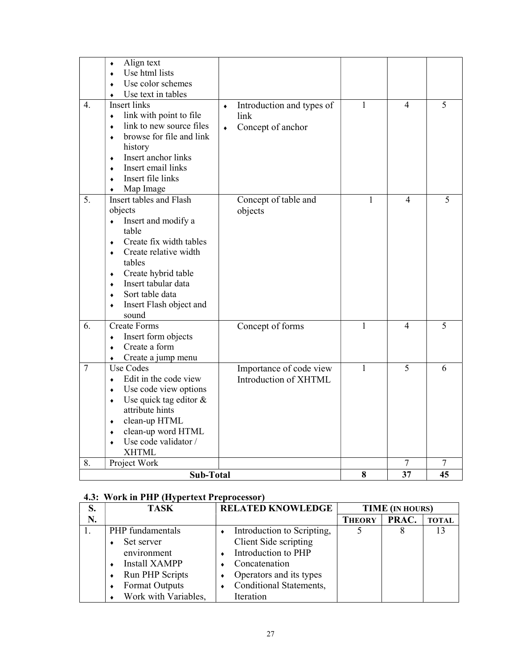|                | Align text<br>۰<br>Use html lists<br>$\bullet$<br>Use color schemes<br>Use text in tables                                                                                                                                                                                                |                                                                                        |              |                          |    |
|----------------|------------------------------------------------------------------------------------------------------------------------------------------------------------------------------------------------------------------------------------------------------------------------------------------|----------------------------------------------------------------------------------------|--------------|--------------------------|----|
| 4.             | <b>Insert links</b><br>link with point to file<br>$\bullet$<br>link to new source files<br>$\bullet$<br>browse for file and link<br>$\bullet$<br>history<br>Insert anchor links<br>۰<br>Insert email links<br>$\bullet$<br>Insert file links<br>$\bullet$<br>Map Image<br>$\bullet$      | Introduction and types of<br>$\blacklozenge$<br>link<br>Concept of anchor<br>$\bullet$ | $\mathbf{1}$ | $\overline{\mathcal{L}}$ | 5  |
| 5.             | Insert tables and Flash<br>objects<br>Insert and modify a<br>$\bullet$<br>table<br>Create fix width tables<br>۰<br>Create relative width<br>٠<br>tables<br>Create hybrid table<br>$\bullet$<br>Insert tabular data<br>۰<br>Sort table data<br>٠<br>Insert Flash object and<br>٠<br>sound | Concept of table and<br>objects                                                        | 1            | 4                        | 5  |
| 6.             | <b>Create Forms</b><br>Insert form objects<br>$\bullet$<br>Create a form<br>$\bullet$<br>Create a jump menu<br>٠                                                                                                                                                                         | Concept of forms                                                                       | 1            | 4                        | 5  |
| $\overline{7}$ | Use Codes<br>Edit in the code view<br>$\bullet$<br>Use code view options<br>٠<br>Use quick tag editor &<br>$\blacklozenge$<br>attribute hints<br>clean-up HTML<br>$\blacklozenge$<br>clean-up word HTML<br>٠<br>Use code validator /<br><b>XHTML</b>                                     | Importance of code view<br>Introduction of XHTML                                       | $\mathbf{1}$ | 5                        | 6  |
| 8.             | Project Work                                                                                                                                                                                                                                                                             |                                                                                        |              | 7                        | 7  |
|                | Sub-Total                                                                                                                                                                                                                                                                                |                                                                                        | 8            | 37                       | 45 |

### 4.3: Work in PHP (Hypertext Preprocessor)

| S. | <b>TASK</b>          | <b>RELATED KNOWLEDGE</b>   | <b>TIME</b> (IN HOURS) |       |              |
|----|----------------------|----------------------------|------------------------|-------|--------------|
| N. |                      |                            | <b>THEORY</b>          | PRAC. | <b>TOTAL</b> |
|    | PHP fundamentals     | Introduction to Scripting, |                        |       |              |
|    | Set server           | Client Side scripting      |                        |       |              |
|    | environment          | Introduction to PHP        |                        |       |              |
|    | <b>Install XAMPP</b> | Concatenation              |                        |       |              |
|    | Run PHP Scripts      | Operators and its types    |                        |       |              |
|    | Format Outputs       | Conditional Statements,    |                        |       |              |
|    | Work with Variables, | Iteration                  |                        |       |              |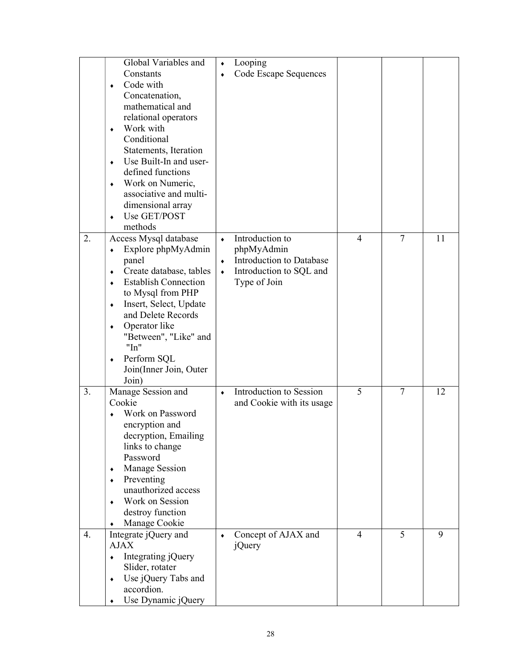|    | Global Variables and<br>Constants<br>Code with<br>٠<br>Concatenation,<br>mathematical and<br>relational operators<br>Work with<br>$\blacklozenge$<br>Conditional<br>Statements, Iteration<br>Use Built-In and user-<br>$\bullet$<br>defined functions<br>Work on Numeric,<br>$\blacklozenge$<br>associative and multi-<br>dimensional array<br>Use GET/POST<br>۰<br>methods | Looping<br>$\blacklozenge$<br>Code Escape Sequences<br>$\bullet$                                                                                                                |                      |
|----|-----------------------------------------------------------------------------------------------------------------------------------------------------------------------------------------------------------------------------------------------------------------------------------------------------------------------------------------------------------------------------|---------------------------------------------------------------------------------------------------------------------------------------------------------------------------------|----------------------|
| 2. | Access Mysql database<br>Explore phpMyAdmin<br>٠<br>panel<br>Create database, tables<br>٠<br><b>Establish Connection</b><br>۰<br>to Mysql from PHP<br>Insert, Select, Update<br>۰<br>and Delete Records<br>Operator like<br>۰<br>"Between", "Like" and<br>"In"<br>Perform SQL<br>۰<br>Join(Inner Join, Outer<br>Join)                                                       | Introduction to<br>$\overline{4}$<br>$\blacklozenge$<br>phpMyAdmin<br>Introduction to Database<br>$\blacklozenge$<br>Introduction to SQL and<br>$\blacklozenge$<br>Type of Join | $\overline{7}$<br>11 |
| 3. | Manage Session and<br>Cookie<br>Work on Password<br>encryption and<br>decryption, Emailing<br>links to change<br>Password<br>Manage Session<br>٠<br>Preventing<br>٠<br>unauthorized access<br>Work on Session<br>٠<br>destroy function<br>Manage Cookie                                                                                                                     | 5<br>Introduction to Session<br>$\bullet$<br>and Cookie with its usage                                                                                                          | $\overline{7}$<br>12 |
| 4. | Integrate jQuery and<br><b>AJAX</b><br>Integrating jQuery<br>$\bullet$<br>Slider, rotater<br>Use jQuery Tabs and<br>$\blacklozenge$<br>accordion.<br>Use Dynamic jQuery                                                                                                                                                                                                     | Concept of AJAX and<br>$\overline{4}$<br>$\blacklozenge$<br>jQuery                                                                                                              | 5<br>9               |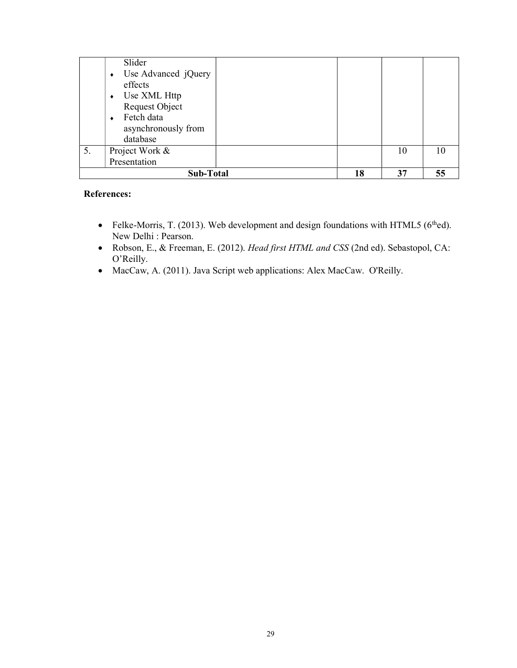|    | Slider<br>Use Advanced jQuery<br>effects<br>Use XML Http        |    |    |    |
|----|-----------------------------------------------------------------|----|----|----|
|    | Request Object<br>Fetch data<br>asynchronously from<br>database |    |    |    |
| 5. | Project Work &<br>Presentation                                  |    | 10 | 10 |
|    | <b>Sub-Total</b>                                                | 18 | 37 |    |

### References:

- Felke-Morris, T. (2013). Web development and design foundations with HTML5 ( $6<sup>th</sup>$ ed). New Delhi : Pearson.
- Robson, E., & Freeman, E. (2012). Head first HTML and CSS (2nd ed). Sebastopol, CA: O'Reilly.
- MacCaw, A. (2011). Java Script web applications: Alex MacCaw. O'Reilly.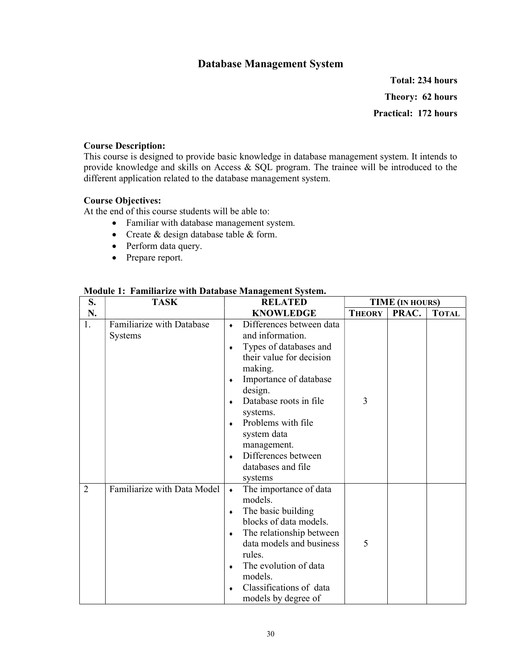### Database Management System

Total: 234 hours Theory: 62 hours Practical: 172 hours

### Course Description:

This course is designed to provide basic knowledge in database management system. It intends to provide knowledge and skills on Access & SQL program. The trainee will be introduced to the different application related to the database management system.

### Course Objectives:

At the end of this course students will be able to:

- Familiar with database management system.
- Create & design database table & form.
- Perform data query.
- Prepare report.

| S.             | <b>TASK</b>                          | <b>RELATED</b>                                                                                                                                                                                                                                                                                                                     | <b>TIME</b> (IN HOURS) |       |              |
|----------------|--------------------------------------|------------------------------------------------------------------------------------------------------------------------------------------------------------------------------------------------------------------------------------------------------------------------------------------------------------------------------------|------------------------|-------|--------------|
| N.             |                                      | <b>KNOWLEDGE</b>                                                                                                                                                                                                                                                                                                                   | <b>THEORY</b>          | PRAC. | <b>TOTAL</b> |
| 1.             | Familiarize with Database<br>Systems | Differences between data<br>۰<br>and information.<br>Types of databases and<br>٠<br>their value for decision<br>making.<br>Importance of database<br>٠<br>design.<br>Database roots in file<br>۰<br>systems.<br>Problems with file<br>٠<br>system data<br>management.<br>Differences between<br>٠<br>databases and file<br>systems | 3                      |       |              |
| $\overline{2}$ | Familiarize with Data Model          | The importance of data<br>$\bullet$<br>models.<br>The basic building<br>٠<br>blocks of data models.<br>The relationship between<br>٠<br>data models and business<br>rules.<br>The evolution of data<br>٠<br>models.<br>Classifications of data<br>٠<br>models by degree of                                                         | 5                      |       |              |

### Module 1: Familiarize with Database Management System.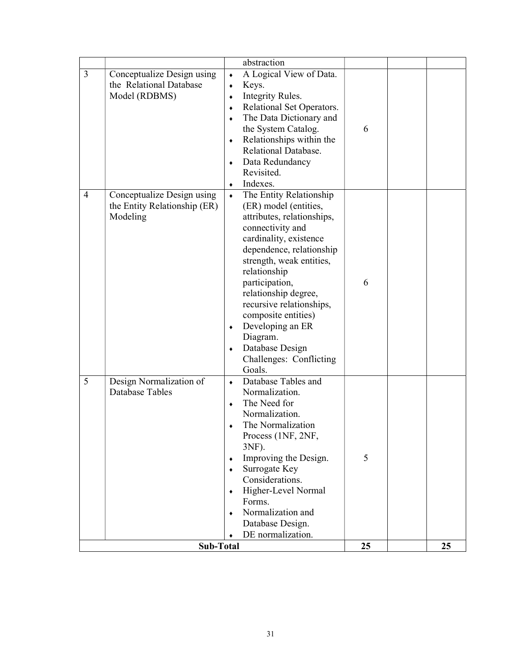|                |                              |                 | abstraction                            |    |    |
|----------------|------------------------------|-----------------|----------------------------------------|----|----|
| $\overline{3}$ | Conceptualize Design using   | $\bullet$       | A Logical View of Data.                |    |    |
|                | the Relational Database      | $\bullet$       | Keys.                                  |    |    |
|                | Model (RDBMS)                | $\blacklozenge$ | Integrity Rules.                       |    |    |
|                |                              | $\blacklozenge$ | Relational Set Operators.              |    |    |
|                |                              | ۰               | The Data Dictionary and                |    |    |
|                |                              |                 | the System Catalog.                    | 6  |    |
|                |                              | $\blacklozenge$ | Relationships within the               |    |    |
|                |                              |                 | Relational Database.                   |    |    |
|                |                              | ٠               | Data Redundancy                        |    |    |
|                |                              |                 | Revisited.                             |    |    |
|                |                              | ٠               | Indexes.                               |    |    |
| $\overline{4}$ | Conceptualize Design using   | $\bullet$       | The Entity Relationship                |    |    |
|                | the Entity Relationship (ER) |                 | (ER) model (entities,                  |    |    |
|                | Modeling                     |                 | attributes, relationships,             |    |    |
|                |                              |                 | connectivity and                       |    |    |
|                |                              |                 | cardinality, existence                 |    |    |
|                |                              |                 | dependence, relationship               |    |    |
|                |                              |                 | strength, weak entities,               |    |    |
|                |                              |                 | relationship                           | 6  |    |
|                |                              |                 | participation,<br>relationship degree, |    |    |
|                |                              |                 | recursive relationships,               |    |    |
|                |                              |                 | composite entities)                    |    |    |
|                |                              | $\blacklozenge$ | Developing an ER                       |    |    |
|                |                              |                 | Diagram.                               |    |    |
|                |                              | $\blacklozenge$ | Database Design                        |    |    |
|                |                              |                 | Challenges: Conflicting                |    |    |
|                |                              |                 | Goals.                                 |    |    |
| 5              | Design Normalization of      | $\blacklozenge$ | Database Tables and                    |    |    |
|                | Database Tables              |                 | Normalization.                         |    |    |
|                |                              | ۰               | The Need for                           |    |    |
|                |                              |                 | Normalization.                         |    |    |
|                |                              |                 | The Normalization                      |    |    |
|                |                              |                 | Process (1NF, 2NF,                     |    |    |
|                |                              |                 | 3NF).                                  |    |    |
|                |                              | ٠               | Improving the Design.                  | 5  |    |
|                |                              | ٠               | Surrogate Key                          |    |    |
|                |                              |                 | Considerations.                        |    |    |
|                |                              | ۰               | Higher-Level Normal                    |    |    |
|                |                              |                 | Forms.                                 |    |    |
|                |                              | ۰               | Normalization and                      |    |    |
|                |                              |                 | Database Design.<br>DE normalization.  |    |    |
|                |                              | ۰               |                                        | 25 | 25 |
| Sub-Total      |                              |                 |                                        |    |    |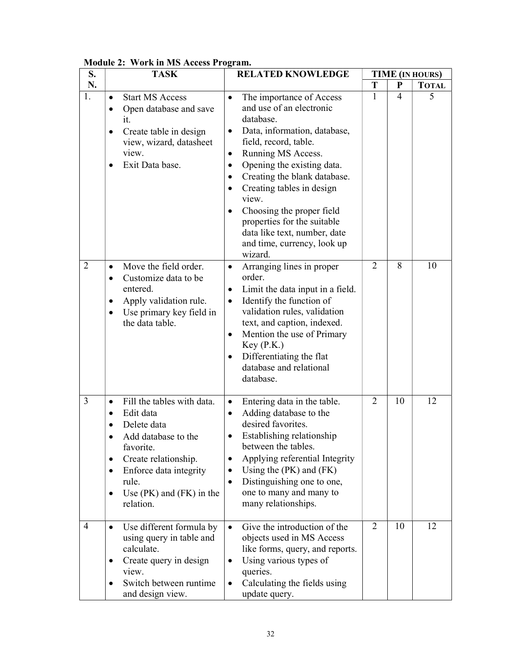| S.             | <b>TASK</b>                                                                                                                                                                                                                                         | <b>RELATED KNOWLEDGE</b>                                                                                                                                                                                                                                                                                                                                                                                                                                                              |                |                | <b>TIME</b> (IN HOURS) |
|----------------|-----------------------------------------------------------------------------------------------------------------------------------------------------------------------------------------------------------------------------------------------------|---------------------------------------------------------------------------------------------------------------------------------------------------------------------------------------------------------------------------------------------------------------------------------------------------------------------------------------------------------------------------------------------------------------------------------------------------------------------------------------|----------------|----------------|------------------------|
| N.             |                                                                                                                                                                                                                                                     |                                                                                                                                                                                                                                                                                                                                                                                                                                                                                       | T              | ${\bf P}$      | <b>TOTAL</b>           |
| 1.             | <b>Start MS Access</b><br>$\bullet$<br>Open database and save<br>$\bullet$<br>it.<br>Create table in design<br>$\bullet$<br>view, wizard, datasheet<br>view.<br>Exit Data base.<br>$\bullet$                                                        | The importance of Access<br>$\bullet$<br>and use of an electronic<br>database.<br>Data, information, database,<br>$\bullet$<br>field, record, table.<br>Running MS Access.<br>$\bullet$<br>Opening the existing data.<br>$\bullet$<br>Creating the blank database.<br>$\bullet$<br>Creating tables in design<br>$\bullet$<br>view.<br>Choosing the proper field<br>$\bullet$<br>properties for the suitable<br>data like text, number, date<br>and time, currency, look up<br>wizard. | $\mathbf{1}$   | $\overline{4}$ | 5                      |
| $\overline{2}$ | Move the field order.<br>$\bullet$<br>Customize data to be<br>$\bullet$<br>entered.<br>Apply validation rule.<br>$\bullet$<br>Use primary key field in<br>٠<br>the data table.                                                                      | Arranging lines in proper<br>$\bullet$<br>order.<br>Limit the data input in a field.<br>٠<br>Identify the function of<br>$\bullet$<br>validation rules, validation<br>text, and caption, indexed.<br>Mention the use of Primary<br>$\bullet$<br>Key(P.K.)<br>Differentiating the flat<br>$\bullet$<br>database and relational<br>database.                                                                                                                                            | $\overline{2}$ | 8              | 10                     |
| 3              | Fill the tables with data.<br>$\bullet$<br>Edit data<br>$\bullet$<br>Delete data<br>Add database to the<br>favorite.<br>Create relationship.<br>٠<br>Enforce data integrity<br>٠<br>rule.<br>Use $(PK)$ and $(FK)$ in the<br>$\bullet$<br>relation. | Entering data in the table.<br>$\bullet$<br>Adding database to the<br>$\bullet$<br>desired favorites.<br>Establishing relationship<br>$\bullet$<br>between the tables.<br>Applying referential Integrity<br>Using the $(PK)$ and $(FK)$<br>Distinguishing one to one,<br>$\bullet$<br>one to many and many to<br>many relationships.                                                                                                                                                  | 2              | 10             | 12                     |
| $\overline{4}$ | Use different formula by<br>$\bullet$<br>using query in table and<br>calculate.<br>Create query in design<br>view.<br>Switch between runtime<br>and design view.                                                                                    | Give the introduction of the<br>$\bullet$<br>objects used in MS Access<br>like forms, query, and reports.<br>Using various types of<br>$\bullet$<br>queries.<br>Calculating the fields using<br>$\bullet$<br>update query.                                                                                                                                                                                                                                                            | $\overline{2}$ | 10             | 12                     |

### Module 2: Work in MS Access Program.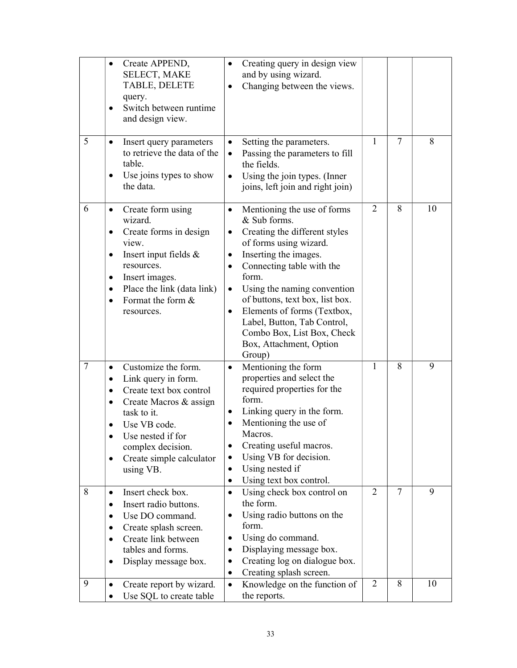|        | Create APPEND,<br>$\bullet$<br>SELECT, MAKE<br>TABLE, DELETE<br>query.<br>Switch between runtime<br>$\bullet$<br>and design view.                                                                                                                                         | Creating query in design view<br>$\bullet$<br>and by using wizard.<br>Changing between the views.                                                                                                                                                                                                                                                                                                                                              |                     |                     |         |
|--------|---------------------------------------------------------------------------------------------------------------------------------------------------------------------------------------------------------------------------------------------------------------------------|------------------------------------------------------------------------------------------------------------------------------------------------------------------------------------------------------------------------------------------------------------------------------------------------------------------------------------------------------------------------------------------------------------------------------------------------|---------------------|---------------------|---------|
| 5      | Insert query parameters<br>$\bullet$<br>to retrieve the data of the<br>table.<br>Use joins types to show<br>$\bullet$<br>the data.                                                                                                                                        | Setting the parameters.<br>$\bullet$<br>Passing the parameters to fill<br>$\bullet$<br>the fields.<br>Using the join types. (Inner<br>$\bullet$<br>joins, left join and right join)                                                                                                                                                                                                                                                            | $\mathbf{1}$        | 7                   | 8       |
| 6      | Create form using<br>$\bullet$<br>wizard.<br>Create forms in design<br>٠<br>view.<br>Insert input fields &<br>$\bullet$<br>resources.<br>Insert images.<br>$\bullet$<br>Place the link (data link)<br>$\bullet$<br>Format the form &<br>$\bullet$<br>resources.           | Mentioning the use of forms<br>$\bullet$<br>& Sub forms.<br>Creating the different styles<br>$\bullet$<br>of forms using wizard.<br>Inserting the images.<br>٠<br>Connecting table with the<br>$\bullet$<br>form.<br>Using the naming convention<br>$\bullet$<br>of buttons, text box, list box.<br>Elements of forms (Textbox,<br>$\bullet$<br>Label, Button, Tab Control,<br>Combo Box, List Box, Check<br>Box, Attachment, Option<br>Group) | $\overline{2}$      | 8                   | 10      |
| $\tau$ | Customize the form.<br>Link query in form.<br>$\bullet$<br>Create text box control<br>٠<br>Create Macros & assign<br>٠<br>task to it.<br>Use VB code.<br>Use nested if for<br>complex decision.<br>Create simple calculator<br>$\bullet$<br>using VB.                     | Mentioning the form<br>$\bullet$<br>properties and select the<br>required properties for the<br>form.<br>Linking query in the form.<br>Mentioning the use of<br>Macros.<br>Creating useful macros.<br>Using VB for decision.<br>$\bullet$<br>Using nested if<br>$\bullet$<br>Using text box control.<br>$\bullet$                                                                                                                              | 1                   | 8                   | 9       |
| 8<br>9 | Insert check box.<br>$\bullet$<br>Insert radio buttons.<br>$\bullet$<br>Use DO command.<br>$\bullet$<br>Create splash screen.<br>٠<br>Create link between<br>$\bullet$<br>tables and forms.<br>Display message box.<br>$\bullet$<br>Create report by wizard.<br>$\bullet$ | Using check box control on<br>$\bullet$<br>the form.<br>Using radio buttons on the<br>$\bullet$<br>form.<br>Using do command.<br>Displaying message box.<br>٠<br>Creating log on dialogue box.<br>Creating splash screen.<br>٠<br>Knowledge on the function of<br>$\bullet$                                                                                                                                                                    | $\overline{2}$<br>2 | $\overline{7}$<br>8 | 9<br>10 |
|        | Use SQL to create table<br>$\bullet$                                                                                                                                                                                                                                      | the reports.                                                                                                                                                                                                                                                                                                                                                                                                                                   |                     |                     |         |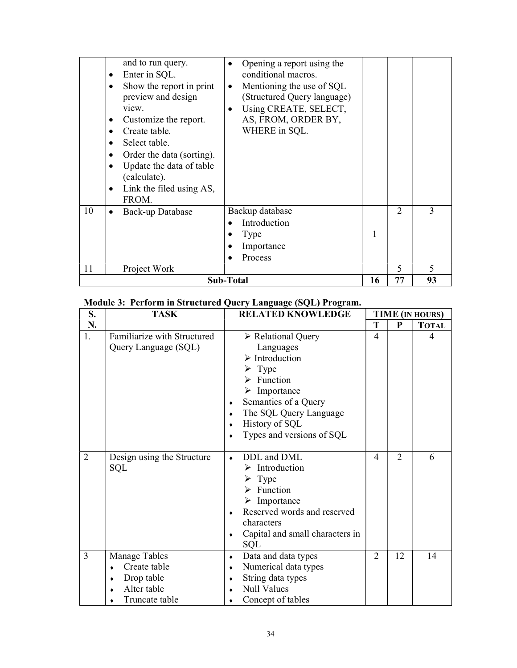### Module 3: Perform in Structured Query Language (SQL) Program.

| S.             | <b>TASK</b>                                                                  | <b>RELATED KNOWLEDGE</b>                                                                                                                                                                                                                                                           | <b>TIME (IN HOURS)</b> |                             |              |
|----------------|------------------------------------------------------------------------------|------------------------------------------------------------------------------------------------------------------------------------------------------------------------------------------------------------------------------------------------------------------------------------|------------------------|-----------------------------|--------------|
| N.             |                                                                              |                                                                                                                                                                                                                                                                                    | Т                      | P                           | <b>TOTAL</b> |
| 1.             | Familiarize with Structured<br>Query Language (SQL)                          | > Relational Query<br>Languages<br>$\triangleright$ Introduction<br>$\triangleright$ Type<br>$\triangleright$ Function<br>$\triangleright$ Importance<br>Semantics of a Query<br>٠<br>The SQL Query Language<br>٠<br>History of SQL<br>$\bullet$<br>Types and versions of SQL<br>٠ | $\overline{4}$         |                             | 4            |
| $\overline{2}$ | Design using the Structure<br><b>SQL</b>                                     | DDL and DML<br>$\bullet$<br>$\triangleright$ Introduction<br>$\triangleright$ Type<br>$\triangleright$ Function<br>$\triangleright$ Importance<br>Reserved words and reserved<br>$\bullet$<br>characters<br>Capital and small characters in<br>۰<br>SQL                            | 4                      | $\mathcal{D}_{\mathcal{L}}$ | 6            |
| $\overline{3}$ | Manage Tables<br>Create table<br>Drop table<br>Alter table<br>Truncate table | Data and data types<br>٠<br>Numerical data types<br>۰<br>String data types<br>٠<br><b>Null Values</b><br>Concept of tables                                                                                                                                                         | $\overline{2}$         | 12                          | 14           |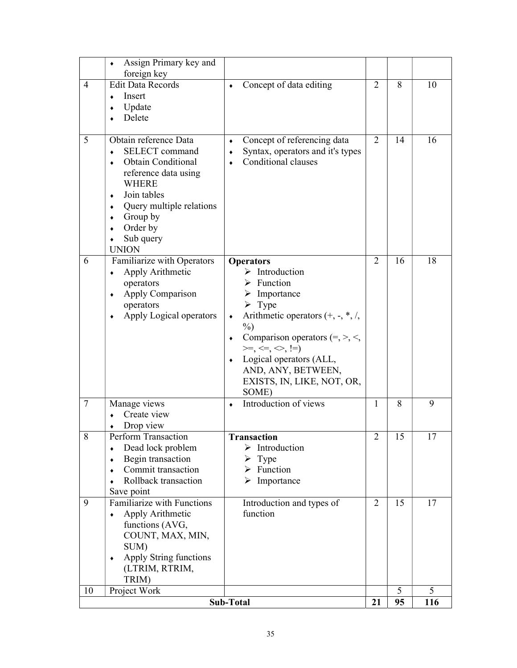|                |                                                                                                                                                                                                                                                                                              | Sub-Total                                                                                                                                                                                                                                                                                                                                                                    | 21                  | 95       | 116     |
|----------------|----------------------------------------------------------------------------------------------------------------------------------------------------------------------------------------------------------------------------------------------------------------------------------------------|------------------------------------------------------------------------------------------------------------------------------------------------------------------------------------------------------------------------------------------------------------------------------------------------------------------------------------------------------------------------------|---------------------|----------|---------|
| 10             | Project Work                                                                                                                                                                                                                                                                                 |                                                                                                                                                                                                                                                                                                                                                                              |                     | 5        | 5       |
| 8<br>9         | Dead lock problem<br>$\bullet$<br>Begin transaction<br>٠<br>Commit transaction<br>Rollback transaction<br>Save point<br>Familiarize with Functions<br>Apply Arithmetic<br>$\bullet$<br>functions (AVG,<br>COUNT, MAX, MIN,<br>SUM)<br>Apply String functions<br>٠<br>(LTRIM, RTRIM,<br>TRIM) | Transaction<br>$\triangleright$ Introduction<br>$\triangleright$ Type<br>$\triangleright$ Function<br>$\triangleright$ Importance<br>Introduction and types of<br>function                                                                                                                                                                                                   | 2<br>$\overline{2}$ | 15<br>15 | 17      |
| $\tau$         | Manage views<br>Create view<br>Drop view<br>Perform Transaction                                                                                                                                                                                                                              | Introduction of views<br>$\bullet$                                                                                                                                                                                                                                                                                                                                           | $\mathbf{1}$        | 8        | 9<br>17 |
| 6              | Familiarize with Operators<br>Apply Arithmetic<br>$\bullet$<br>operators<br>Apply Comparison<br>٠<br>operators<br>Apply Logical operators                                                                                                                                                    | <b>Operators</b><br>$\triangleright$ Introduction<br>$\triangleright$ Function<br>$\triangleright$ Importance<br>$\triangleright$ Type<br>Arithmetic operators $(+, -, *, /,$<br>٠<br>$\%$ )<br>Comparison operators $(=, >, <,$<br>$\bullet$<br>$>=,<,<=,->,!=)$<br>Logical operators (ALL,<br>$\blacklozenge$<br>AND, ANY, BETWEEN,<br>EXISTS, IN, LIKE, NOT, OR,<br>SOME) | 2                   | 16       | 18      |
| 5              | Obtain reference Data<br><b>SELECT</b> command<br><b>Obtain Conditional</b><br>reference data using<br><b>WHERE</b><br>Join tables<br>Query multiple relations<br>Group by<br>Order by<br>Sub query<br><b>UNION</b>                                                                          | Concept of referencing data<br>$\bullet$<br>Syntax, operators and it's types<br>۰<br>Conditional clauses                                                                                                                                                                                                                                                                     | $\overline{2}$      | 14       | 16      |
| $\overline{4}$ | <b>Edit Data Records</b><br>Insert<br>Update<br>Delete                                                                                                                                                                                                                                       | Concept of data editing<br>$\bullet$                                                                                                                                                                                                                                                                                                                                         | $\overline{2}$      | 8        | 10      |
|                | Assign Primary key and<br>foreign key                                                                                                                                                                                                                                                        |                                                                                                                                                                                                                                                                                                                                                                              |                     |          |         |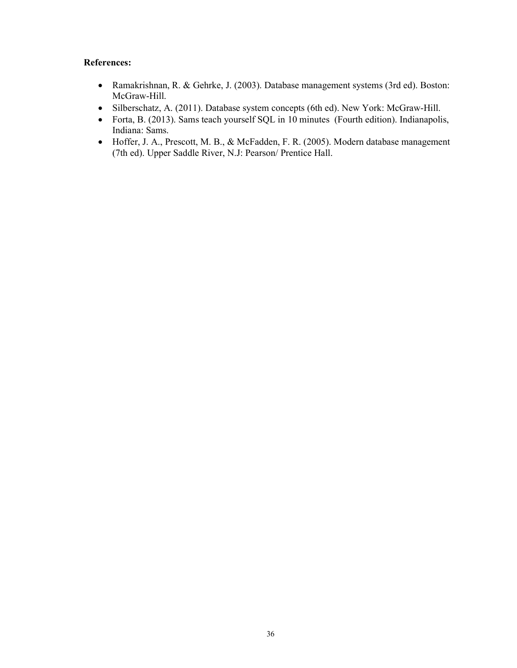### References:

- Ramakrishnan, R. & Gehrke, J. (2003). Database management systems (3rd ed). Boston: McGraw-Hill.
- Silberschatz, A. (2011). Database system concepts (6th ed). New York: McGraw-Hill.
- Forta, B. (2013). Sams teach yourself SQL in 10 minutes (Fourth edition). Indianapolis, Indiana: Sams.
- Hoffer, J. A., Prescott, M. B., & McFadden, F. R. (2005). Modern database management (7th ed). Upper Saddle River, N.J: Pearson/ Prentice Hall.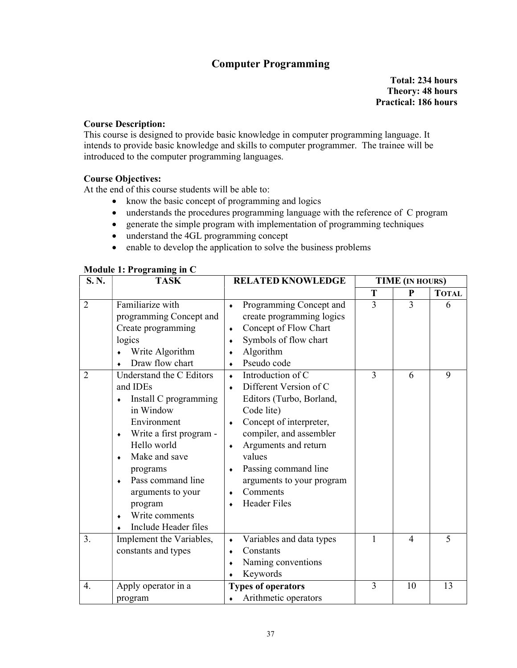### Computer Programming

Total: 234 hours Theory: 48 hours Practical: 186 hours

### Course Description:

This course is designed to provide basic knowledge in computer programming language. It intends to provide basic knowledge and skills to computer programmer. The trainee will be introduced to the computer programming languages.

### Course Objectives:

At the end of this course students will be able to:

- know the basic concept of programming and logics
- understands the procedures programming language with the reference of C program
- generate the simple program with implementation of programming techniques
- understand the 4GL programming concept
- enable to develop the application to solve the business problems

| S.N.             | <b>TASK</b>                                                                                                                                                                                                                                                                            | <b>RELATED KNOWLEDGE</b>                                                                                                                                                                                                                                                                                                    | <b>TIME (IN HOURS)</b> |    |              |  |
|------------------|----------------------------------------------------------------------------------------------------------------------------------------------------------------------------------------------------------------------------------------------------------------------------------------|-----------------------------------------------------------------------------------------------------------------------------------------------------------------------------------------------------------------------------------------------------------------------------------------------------------------------------|------------------------|----|--------------|--|
|                  |                                                                                                                                                                                                                                                                                        |                                                                                                                                                                                                                                                                                                                             | T                      | P  | <b>TOTAL</b> |  |
| $\overline{2}$   | Familiarize with<br>programming Concept and<br>Create programming<br>logics<br>Write Algorithm<br>Draw flow chart                                                                                                                                                                      | Programming Concept and<br>create programming logics<br>Concept of Flow Chart<br>٠<br>Symbols of flow chart<br>Algorithm<br>٠<br>Pseudo code                                                                                                                                                                                | 3                      | 3  | 6            |  |
| $\overline{2}$   | Understand the C Editors<br>and IDEs<br>Install C programming<br>in Window<br>Environment<br>Write a first program -<br>٠<br>Hello world<br>Make and save<br>٠<br>programs<br>Pass command line<br>$\bullet$<br>arguments to your<br>program<br>Write comments<br>Include Header files | Introduction of C<br>$\bullet$<br>Different Version of C<br>$\bullet$<br>Editors (Turbo, Borland,<br>Code lite)<br>Concept of interpreter,<br>$\bullet$<br>compiler, and assembler<br>Arguments and return<br>values<br>Passing command line<br>٠<br>arguments to your program<br>Comments<br>٠<br><b>Header Files</b><br>٠ | 3                      | 6  | 9            |  |
| 3.               | Implement the Variables,<br>constants and types                                                                                                                                                                                                                                        | Variables and data types<br>۰<br>Constants<br>Naming conventions<br>٠<br>Keywords                                                                                                                                                                                                                                           | 1                      | 4  | 5            |  |
| $\overline{4}$ . | Apply operator in a<br>program                                                                                                                                                                                                                                                         | <b>Types of operators</b><br>Arithmetic operators                                                                                                                                                                                                                                                                           | 3                      | 10 | 13           |  |

#### Module 1: Programing in C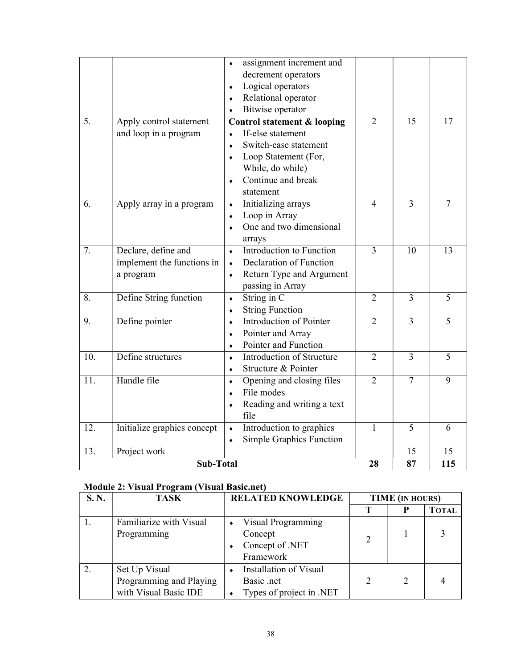|                  |                             | assignment increment and<br>$\blacklozenge$ |                |                 |                 |
|------------------|-----------------------------|---------------------------------------------|----------------|-----------------|-----------------|
|                  |                             | decrement operators                         |                |                 |                 |
|                  |                             | Logical operators<br>$\blacklozenge$        |                |                 |                 |
|                  |                             | Relational operator<br>$\bullet$            |                |                 |                 |
|                  |                             | Bitwise operator<br>$\bullet$               |                |                 |                 |
| $\overline{5}$ . | Apply control statement     | <b>Control statement &amp; looping</b>      | $\overline{2}$ | $\overline{15}$ | $\overline{17}$ |
|                  | and loop in a program       | If-else statement<br>$\bullet$              |                |                 |                 |
|                  |                             | Switch-case statement<br>$\bullet$          |                |                 |                 |
|                  |                             | Loop Statement (For,<br>$\bullet$           |                |                 |                 |
|                  |                             | While, do while)                            |                |                 |                 |
|                  |                             | Continue and break<br>$\bullet$             |                |                 |                 |
|                  |                             | statement                                   |                |                 |                 |
| 6.               | Apply array in a program    | Initializing arrays<br>$\bullet$            | $\overline{4}$ | 3               | $\overline{7}$  |
|                  |                             | Loop in Array<br>$\bullet$                  |                |                 |                 |
|                  |                             | One and two dimensional<br>$\bullet$        |                |                 |                 |
|                  |                             | arrays                                      |                |                 |                 |
| 7.               | Declare, define and         | Introduction to Function<br>$\bullet$       | 3              | 10              | 13              |
|                  | implement the functions in  | Declaration of Function<br>$\bullet$        |                |                 |                 |
|                  | a program                   | Return Type and Argument<br>$\bullet$       |                |                 |                 |
|                  |                             | passing in Array                            |                |                 |                 |
| 8.               | Define String function      | String in C<br>$\bullet$                    | $\overline{2}$ | $\overline{3}$  | $\overline{5}$  |
|                  |                             | <b>String Function</b><br>$\bullet$         |                |                 |                 |
| 9.               | Define pointer              | Introduction of Pointer<br>$\bullet$        | $\overline{2}$ | 3               | 5               |
|                  |                             | Pointer and Array<br>۰                      |                |                 |                 |
|                  |                             | Pointer and Function<br>$\bullet$           |                |                 |                 |
| 10.              | Define structures           | Introduction of Structure<br>$\bullet$      | $\overline{2}$ | 3               | 5               |
|                  |                             | Structure & Pointer<br>$\bullet$            |                |                 |                 |
| 11.              | Handle file                 | Opening and closing files<br>$\bullet$      | $\overline{2}$ | $\overline{7}$  | $\overline{9}$  |
|                  |                             | File modes<br>$\bullet$                     |                |                 |                 |
|                  |                             | Reading and writing a text<br>$\bullet$     |                |                 |                 |
|                  |                             | file                                        |                |                 |                 |
| 12.              | Initialize graphics concept | Introduction to graphics<br>$\bullet$       | 1              | 5               | 6               |
|                  |                             | Simple Graphics Function<br>$\bullet$       |                |                 |                 |
| 13.              | Project work                |                                             | 28             | 15              | 15              |
| <b>Sub-Total</b> |                             |                                             |                | 87              | 115             |

### Module 2: Visual Program (Visual Basic.net)

| S.N. | <b>TASK</b>             | <b>RELATED KNOWLEDGE</b>      | <b>TIME</b> (IN HOURS) |   |              |
|------|-------------------------|-------------------------------|------------------------|---|--------------|
|      |                         |                               | Т                      | P | <b>TOTAL</b> |
|      | Familiarize with Visual | Visual Programming            |                        |   |              |
|      | Programming             | Concept                       |                        |   |              |
|      |                         | Concept of .NET               |                        |   |              |
|      |                         | Framework                     |                        |   |              |
|      | Set Up Visual           | <b>Installation of Visual</b> |                        |   |              |
|      | Programming and Playing | Basic .net                    |                        | 2 |              |
|      | with Visual Basic IDE   | Types of project in .NET      |                        |   |              |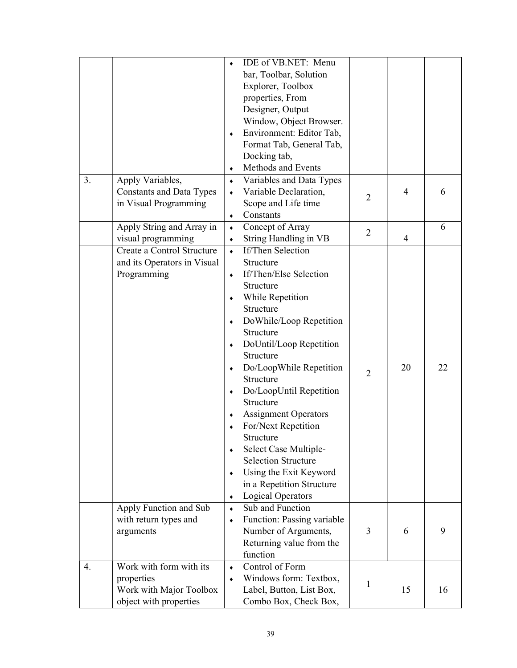|    |                                 |           | IDE of VB.NET: Menu                                 |                |    |    |
|----|---------------------------------|-----------|-----------------------------------------------------|----------------|----|----|
|    |                                 |           | bar, Toolbar, Solution                              |                |    |    |
|    |                                 |           | Explorer, Toolbox                                   |                |    |    |
|    |                                 |           | properties, From                                    |                |    |    |
|    |                                 |           | Designer, Output                                    |                |    |    |
|    |                                 |           |                                                     |                |    |    |
|    |                                 |           | Window, Object Browser.<br>Environment: Editor Tab, |                |    |    |
|    |                                 | ٠         |                                                     |                |    |    |
|    |                                 |           | Format Tab, General Tab,                            |                |    |    |
|    |                                 |           | Docking tab,                                        |                |    |    |
|    |                                 |           | Methods and Events                                  |                |    |    |
| 3. | Apply Variables,                | $\bullet$ | Variables and Data Types                            |                |    |    |
|    | <b>Constants and Data Types</b> |           | Variable Declaration,                               | $\overline{2}$ | 4  | 6  |
|    | in Visual Programming           |           | Scope and Life time                                 |                |    |    |
|    |                                 | ٠         | Constants                                           |                |    |    |
|    | Apply String and Array in       | $\bullet$ | Concept of Array                                    | $\overline{2}$ |    | 6  |
|    | visual programming              | ٠         | String Handling in VB                               |                | 4  |    |
|    | Create a Control Structure      | $\bullet$ | <b>If/Then Selection</b>                            |                |    |    |
|    | and its Operators in Visual     |           | Structure                                           |                |    |    |
|    | Programming                     | ٠         | If/Then/Else Selection                              |                |    |    |
|    |                                 |           | Structure                                           |                |    |    |
|    |                                 | ٠         | While Repetition                                    |                |    |    |
|    |                                 |           | Structure                                           |                |    |    |
|    |                                 | ٠         | DoWhile/Loop Repetition                             |                |    |    |
|    |                                 |           | Structure                                           |                |    |    |
|    |                                 | ٠         | DoUntil/Loop Repetition                             |                |    |    |
|    |                                 |           | Structure                                           |                |    |    |
|    |                                 | $\bullet$ | Do/LoopWhile Repetition                             |                | 20 | 22 |
|    |                                 |           | Structure                                           | $\overline{2}$ |    |    |
|    |                                 | ٠         | Do/LoopUntil Repetition                             |                |    |    |
|    |                                 |           | Structure                                           |                |    |    |
|    |                                 |           |                                                     |                |    |    |
|    |                                 |           | <b>Assignment Operators</b>                         |                |    |    |
|    |                                 |           | For/Next Repetition                                 |                |    |    |
|    |                                 |           | Structure                                           |                |    |    |
|    |                                 | ٠         | Select Case Multiple-                               |                |    |    |
|    |                                 |           | <b>Selection Structure</b>                          |                |    |    |
|    |                                 | ٠         | Using the Exit Keyword                              |                |    |    |
|    |                                 |           | in a Repetition Structure                           |                |    |    |
|    |                                 | ٠         | <b>Logical Operators</b>                            |                |    |    |
|    | Apply Function and Sub          | $\bullet$ | Sub and Function                                    |                |    |    |
|    | with return types and           | $\bullet$ | Function: Passing variable                          |                |    |    |
|    | arguments                       |           | Number of Arguments,                                | 3              | 6  | 9  |
|    |                                 |           | Returning value from the                            |                |    |    |
|    |                                 |           | function                                            |                |    |    |
| 4. | Work with form with its         | $\bullet$ | Control of Form                                     |                |    |    |
|    | properties                      | $\bullet$ | Windows form: Textbox,                              |                |    |    |
|    | Work with Major Toolbox         |           | Label, Button, List Box,                            | 1              | 15 | 16 |
|    | object with properties          |           | Combo Box, Check Box,                               |                |    |    |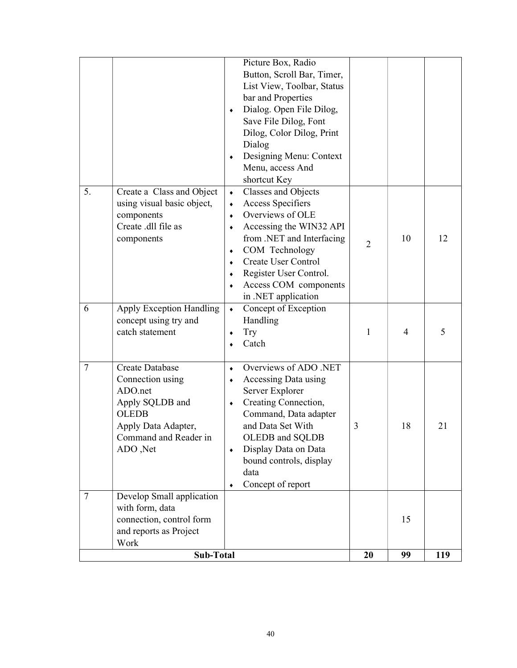|        | connection, control form<br>and reports as Project<br>Work                                                                                           |                                                                                                                                                                                                                                                                                                                          |                | 15 |    |
|--------|------------------------------------------------------------------------------------------------------------------------------------------------------|--------------------------------------------------------------------------------------------------------------------------------------------------------------------------------------------------------------------------------------------------------------------------------------------------------------------------|----------------|----|----|
| $\tau$ | Develop Small application<br>with form, data                                                                                                         |                                                                                                                                                                                                                                                                                                                          |                |    |    |
| 7      | <b>Create Database</b><br>Connection using<br>ADO.net<br>Apply SQLDB and<br><b>OLEDB</b><br>Apply Data Adapter,<br>Command and Reader in<br>ADO, Net | Overviews of ADO .NET<br>$\bullet$<br>Accessing Data using<br>٠<br>Server Explorer<br>Creating Connection,<br>$\bullet$<br>Command, Data adapter<br>and Data Set With<br>OLEDB and SQLDB<br>Display Data on Data<br>$\bullet$<br>bound controls, display<br>data<br>Concept of report<br>٠                               | 3              | 18 | 21 |
| 6      | Apply Exception Handling<br>concept using try and<br>catch statement                                                                                 | Concept of Exception<br>$\bullet$<br>Handling<br><b>Try</b><br>٠<br>Catch                                                                                                                                                                                                                                                | 1              | 4  | 5  |
| 5.     | Create a Class and Object<br>using visual basic object,<br>components<br>Create .dll file as<br>components                                           | Classes and Objects<br>$\bullet$<br><b>Access Specifiers</b><br>٠<br>Overviews of OLE<br>$\bullet$<br>Accessing the WIN32 API<br>٠<br>from .NET and Interfacing<br>COM Technology<br>٠<br><b>Create User Control</b><br>$\bullet$<br>Register User Control.<br>$\bullet$<br>Access COM components<br>in .NET application | $\overline{2}$ | 10 | 12 |
|        |                                                                                                                                                      | Picture Box, Radio<br>Button, Scroll Bar, Timer,<br>List View, Toolbar, Status<br>bar and Properties<br>Dialog. Open File Dilog,<br>$\bullet$<br>Save File Dilog, Font<br>Dilog, Color Dilog, Print<br>Dialog<br>Designing Menu: Context<br>Menu, access And<br>shortcut Key                                             |                |    |    |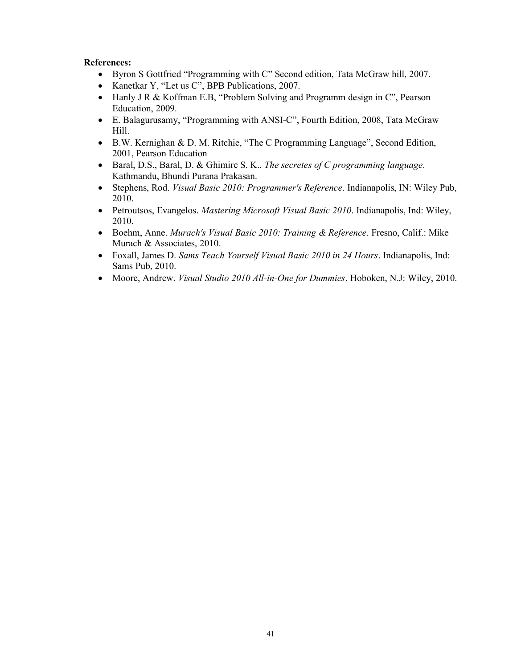### References:

- Byron S Gottfried "Programming with C" Second edition, Tata McGraw hill, 2007.
- Kanetkar Y, "Let us C", BPB Publications, 2007.
- Hanly J R & Koffman E.B, "Problem Solving and Programm design in C", Pearson Education, 2009.
- E. Balagurusamy, "Programming with ANSI-C", Fourth Edition, 2008, Tata McGraw Hill.
- B.W. Kernighan & D. M. Ritchie, "The C Programming Language", Second Edition, 2001, Pearson Education
- Baral, D.S., Baral, D. & Ghimire S. K., The secretes of C programming language. Kathmandu, Bhundi Purana Prakasan.
- Stephens, Rod. Visual Basic 2010: Programmer's Reference. Indianapolis, IN: Wiley Pub, 2010.
- Petroutsos, Evangelos. Mastering Microsoft Visual Basic 2010. Indianapolis, Ind: Wiley, 2010.
- Boehm, Anne. Murach's Visual Basic 2010: Training & Reference. Fresno, Calif.: Mike Murach & Associates, 2010.
- Foxall, James D. Sams Teach Yourself Visual Basic 2010 in 24 Hours. Indianapolis, Ind: Sams Pub, 2010.
- Moore, Andrew. Visual Studio 2010 All-in-One for Dummies. Hoboken, N.J: Wiley, 2010.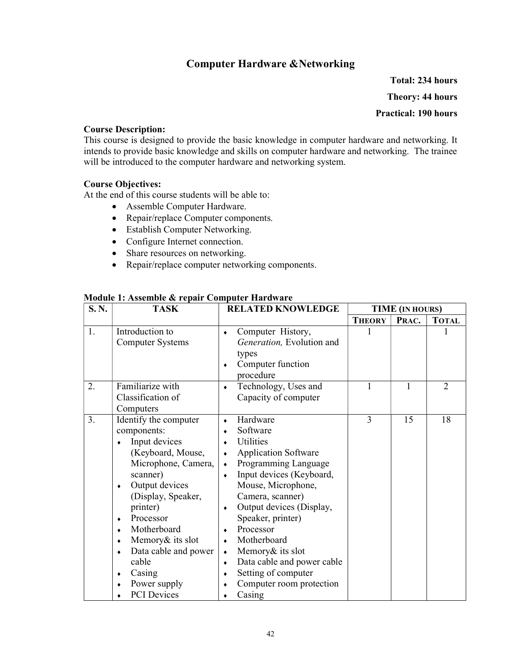### Computer Hardware &Networking

Total: 234 hours Theory: 44 hours Practical: 190 hours

#### Course Description:

This course is designed to provide the basic knowledge in computer hardware and networking. It intends to provide basic knowledge and skills on computer hardware and networking. The trainee will be introduced to the computer hardware and networking system.

#### Course Objectives:

At the end of this course students will be able to:

- Assemble Computer Hardware.
- Repair/replace Computer components.
- Establish Computer Networking.
- Configure Internet connection.
- Share resources on networking.
- Repair/replace computer networking components.

| S.N. | <b>TASK</b>                                                                                                                                                                                                                                                                                                   | <b>RELATED KNOWLEDGE</b>                                                                                                                                                                                                                                                                                                                                                                                                                                                      | <b>TIME</b> (IN HOURS) |       |                |
|------|---------------------------------------------------------------------------------------------------------------------------------------------------------------------------------------------------------------------------------------------------------------------------------------------------------------|-------------------------------------------------------------------------------------------------------------------------------------------------------------------------------------------------------------------------------------------------------------------------------------------------------------------------------------------------------------------------------------------------------------------------------------------------------------------------------|------------------------|-------|----------------|
|      |                                                                                                                                                                                                                                                                                                               |                                                                                                                                                                                                                                                                                                                                                                                                                                                                               | <b>THEORY</b>          | PRAC. | <b>TOTAL</b>   |
| 1.   | Introduction to<br><b>Computer Systems</b>                                                                                                                                                                                                                                                                    | Computer History,<br>۰<br>Generation, Evolution and<br>types<br>Computer function<br>٠<br>procedure                                                                                                                                                                                                                                                                                                                                                                           |                        |       |                |
| 2.   | Familiarize with<br>Classification of<br>Computers                                                                                                                                                                                                                                                            | Technology, Uses and<br>۰<br>Capacity of computer                                                                                                                                                                                                                                                                                                                                                                                                                             | 1                      | 1     | $\overline{2}$ |
| 3.   | Identify the computer<br>components:<br>Input devices<br>(Keyboard, Mouse,<br>Microphone, Camera,<br>scanner)<br>Output devices<br>٠<br>(Display, Speaker,<br>printer)<br>Processor<br>٠<br>Motherboard<br>Memory & its slot<br>Data cable and power<br>cable<br>Casing<br>Power supply<br><b>PCI</b> Devices | Hardware<br>۰<br>Software<br>٠<br>Utilities<br>$\bullet$<br><b>Application Software</b><br>$\bullet$<br>Programming Language<br>$\bullet$<br>Input devices (Keyboard,<br>$\bullet$<br>Mouse, Microphone,<br>Camera, scanner)<br>Output devices (Display,<br>۰<br>Speaker, printer)<br>Processor<br>٠<br>Motherboard<br>$\bullet$<br>Memory & its slot<br>$\blacklozenge$<br>Data cable and power cable<br>۰<br>Setting of computer<br>٠<br>Computer room protection<br>Casing | 3                      | 15    | 18             |

#### Module 1: Assemble & repair Computer Hardware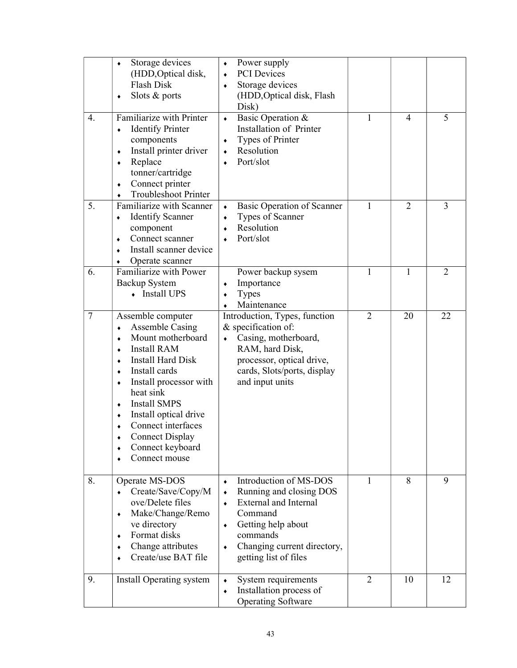|                 | Storage devices<br>۰<br>(HDD, Optical disk,<br>Flash Disk<br>Slots & ports<br>٠                                                                                                                                                                                                                                                                                   | Power supply<br>$\bullet$<br><b>PCI</b> Devices<br>$\bullet$<br>Storage devices<br>$\bullet$<br>(HDD, Optical disk, Flash<br>Disk)                                                                            |                |                |                |
|-----------------|-------------------------------------------------------------------------------------------------------------------------------------------------------------------------------------------------------------------------------------------------------------------------------------------------------------------------------------------------------------------|---------------------------------------------------------------------------------------------------------------------------------------------------------------------------------------------------------------|----------------|----------------|----------------|
| 4.              | Familiarize with Printer<br><b>Identify Printer</b><br>٠<br>components<br>Install printer driver<br>٠<br>Replace<br>٠<br>tonner/cartridge<br>Connect printer<br>۰<br><b>Troubleshoot Printer</b><br>۰                                                                                                                                                             | Basic Operation &<br>$\bullet$<br>Installation of Printer<br>Types of Printer<br>٠<br>Resolution<br>۰<br>Port/slot                                                                                            | 1              | $\overline{4}$ | 5              |
| 5.              | Familiarize with Scanner<br><b>Identify Scanner</b><br>٠<br>component<br>Connect scanner<br>٠<br>Install scanner device<br>٠<br>Operate scanner<br>٠                                                                                                                                                                                                              | <b>Basic Operation of Scanner</b><br>$\bullet$<br>Types of Scanner<br>$\bullet$<br>Resolution<br>$\bullet$<br>Port/slot<br>$\bullet$                                                                          | 1              | $\overline{2}$ | 3              |
| 6.              | Familiarize with Power<br><b>Backup System</b><br>• Install UPS                                                                                                                                                                                                                                                                                                   | Power backup sysem<br>Importance<br><b>Types</b><br>Maintenance                                                                                                                                               | 1              | 1              | $\overline{2}$ |
| $7\phantom{.0}$ | Assemble computer<br><b>Assemble Casing</b><br>٠<br>Mount motherboard<br>٠<br><b>Install RAM</b><br>٠<br><b>Install Hard Disk</b><br>٠<br>Install cards<br>۰<br>Install processor with<br>٠<br>heat sink<br><b>Install SMPS</b><br>٠<br>Install optical drive<br>٠<br>Connect interfaces<br><b>Connect Display</b><br>٠<br>Connect keyboard<br>٠<br>Connect mouse | Introduction, Types, function<br>& specification of:<br>Casing, motherboard,<br>$\bullet$<br>RAM, hard Disk,<br>processor, optical drive,<br>cards, Slots/ports, display<br>and input units                   | $\overline{2}$ | 20             | 22             |
| 8.              | Operate MS-DOS<br>Create/Save/Copy/M<br>ove/Delete files<br>Make/Change/Remo<br>٠<br>ve directory<br>Format disks<br>٠<br>Change attributes<br>٠<br>Create/use BAT file                                                                                                                                                                                           | Introduction of MS-DOS<br>$\bullet$<br>Running and closing DOS<br><b>External and Internal</b><br>Command<br>Getting help about<br>٠<br>commands<br>Changing current directory,<br>٠<br>getting list of files | 1              | 8              | 9              |
| 9.              | Install Operating system                                                                                                                                                                                                                                                                                                                                          | System requirements<br>Installation process of<br>$\bullet$<br><b>Operating Software</b>                                                                                                                      | $\overline{2}$ | 10             | 12             |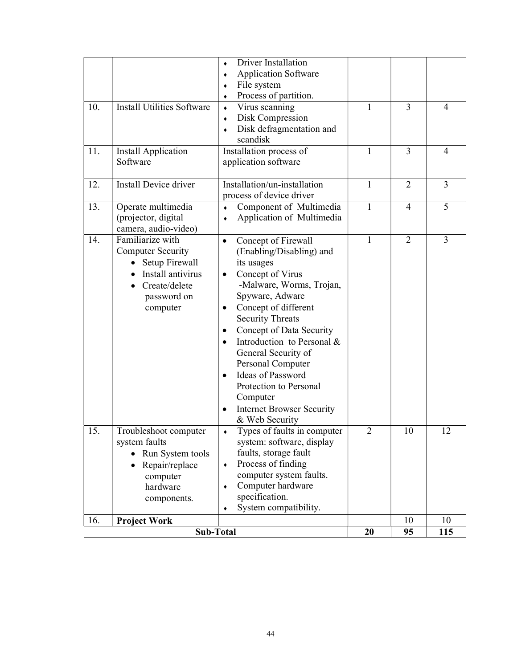|     |                                   | <b>Driver Installation</b>               |                |                |                |
|-----|-----------------------------------|------------------------------------------|----------------|----------------|----------------|
|     |                                   | <b>Application Software</b><br>$\bullet$ |                |                |                |
|     |                                   | File system<br>۰                         |                |                |                |
|     |                                   | Process of partition.<br>۰               |                |                |                |
| 10. | <b>Install Utilities Software</b> | Virus scanning<br>$\bullet$              | 1              | 3              | $\overline{4}$ |
|     |                                   | Disk Compression<br>٠                    |                |                |                |
|     |                                   | Disk defragmentation and<br>$\bullet$    |                |                |                |
|     |                                   | scandisk                                 |                |                |                |
| 11. | <b>Install Application</b>        | Installation process of                  | $\mathbf{1}$   | 3              | $\overline{4}$ |
|     | Software                          | application software                     |                |                |                |
|     |                                   |                                          |                |                |                |
| 12. | Install Device driver             | Installation/un-installation             | 1              | $\overline{2}$ | 3              |
|     |                                   | process of device driver                 |                |                |                |
| 13. | Operate multimedia                | Component of Multimedia<br>$\bullet$     | $\mathbf{1}$   | $\overline{4}$ | 5              |
|     | (projector, digital               | Application of Multimedia<br>۰           |                |                |                |
|     | camera, audio-video)              |                                          |                |                |                |
| 14. | Familiarize with                  | Concept of Firewall<br>$\bullet$         | 1              | $\overline{2}$ | 3              |
|     | <b>Computer Security</b>          | (Enabling/Disabling) and                 |                |                |                |
|     | • Setup Firewall                  | its usages                               |                |                |                |
|     | Install antivirus                 | Concept of Virus                         |                |                |                |
|     | Create/delete                     | -Malware, Worms, Trojan,                 |                |                |                |
|     | password on                       | Spyware, Adware                          |                |                |                |
|     | computer                          | Concept of different<br>$\bullet$        |                |                |                |
|     |                                   | <b>Security Threats</b>                  |                |                |                |
|     |                                   | Concept of Data Security<br>٠            |                |                |                |
|     |                                   | Introduction to Personal &<br>$\bullet$  |                |                |                |
|     |                                   | General Security of                      |                |                |                |
|     |                                   | Personal Computer                        |                |                |                |
|     |                                   | Ideas of Password                        |                |                |                |
|     |                                   | Protection to Personal                   |                |                |                |
|     |                                   | Computer                                 |                |                |                |
|     |                                   | <b>Internet Browser Security</b>         |                |                |                |
|     |                                   | & Web Security                           |                |                |                |
| 15. | Troubleshoot computer             | Types of faults in computer              | $\overline{2}$ | 10             | 12             |
|     | system faults                     | system: software, display                |                |                |                |
|     | Run System tools                  | faults, storage fault                    |                |                |                |
|     | Repair/replace                    | Process of finding<br>۰                  |                |                |                |
|     | computer                          | computer system faults.                  |                |                |                |
|     | hardware                          | Computer hardware<br>۰                   |                |                |                |
|     | components.                       | specification.                           |                |                |                |
|     |                                   | System compatibility.<br>٠               |                |                |                |
| 16. | <b>Project Work</b>               |                                          |                | 10             | 10             |
|     | Sub-Total                         | 20                                       | 95             | 115            |                |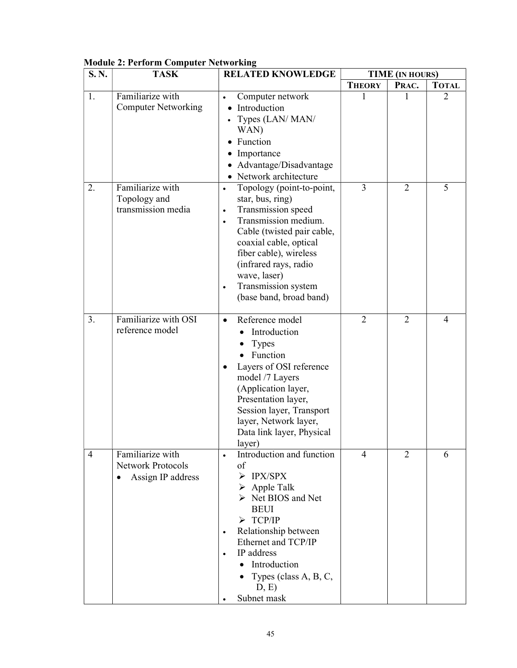| S.N. | <b>TASK</b>                                                       | <b>RELATED KNOWLEDGE</b>                                                                                                                                                                                                                                                                                                     |                | <b>TIME (IN HOURS)</b> |                |
|------|-------------------------------------------------------------------|------------------------------------------------------------------------------------------------------------------------------------------------------------------------------------------------------------------------------------------------------------------------------------------------------------------------------|----------------|------------------------|----------------|
|      |                                                                   |                                                                                                                                                                                                                                                                                                                              | <b>THEORY</b>  | PRAC.                  | <b>TOTAL</b>   |
| 1.   | Familiarize with<br><b>Computer Networking</b>                    | Computer network<br>$\bullet$<br>Introduction<br>$\bullet$<br>Types (LAN/ MAN/<br>$\bullet$<br>WAN)<br>Function<br>$\bullet$<br>Importance<br>Advantage/Disadvantage<br>• Network architecture                                                                                                                               | 1              |                        | $\overline{2}$ |
| 2.   | Familiarize with<br>Topology and<br>transmission media            | Topology (point-to-point,<br>$\bullet$<br>star, bus, ring)<br>Transmission speed<br>$\bullet$<br>Transmission medium.<br>$\bullet$<br>Cable (twisted pair cable,<br>coaxial cable, optical<br>fiber cable), wireless<br>(infrared rays, radio<br>wave, laser)<br>Transmission system<br>$\bullet$<br>(base band, broad band) | 3              | $\overline{2}$         | 5              |
| 3.   | Familiarize with OSI<br>reference model                           | Reference model<br>$\bullet$<br>Introduction<br><b>Types</b><br>Function<br>Layers of OSI reference<br>model /7 Layers<br>(Application layer,<br>Presentation layer,<br>Session layer, Transport<br>layer, Network layer,<br>Data link layer, Physical<br>layer)                                                             | $\overline{2}$ | $\overline{2}$         | $\overline{4}$ |
| 4    | Familiarize with<br><b>Network Protocols</b><br>Assign IP address | Introduction and function<br>of<br>$\triangleright$ IPX/SPX<br>$\triangleright$ Apple Talk<br>$\triangleright$ Net BIOS and Net<br><b>BEUI</b><br>$\triangleright$ TCP/IP<br>Relationship between<br>$\bullet$<br>Ethernet and TCP/IP<br>IP address<br>Introduction<br>Types (class A, B, C,<br>D, E)<br>Subnet mask         | 4              | $\overline{2}$         | 6              |

### Module 2: Perform Computer Networking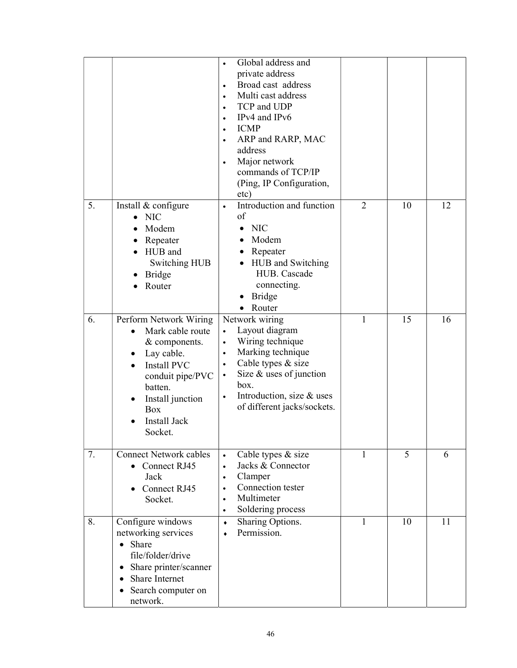|    |                                                                                                                                                                                                    | Global address and<br>private address<br>Broad cast address<br>$\bullet$<br>Multi cast address<br>$\bullet$<br>TCP and UDP<br>$\bullet$<br>IPv4 and IPv6<br>$\bullet$<br><b>ICMP</b><br>$\bullet$<br>ARP and RARP, MAC<br>address<br>Major network<br>commands of TCP/IP<br>(Ping, IP Configuration,<br>etc) |                |    |    |
|----|----------------------------------------------------------------------------------------------------------------------------------------------------------------------------------------------------|--------------------------------------------------------------------------------------------------------------------------------------------------------------------------------------------------------------------------------------------------------------------------------------------------------------|----------------|----|----|
| 5. | Install & configure<br><b>NIC</b><br>Modem<br>Repeater<br>HUB and<br>Switching HUB<br>Bridge<br>Router                                                                                             | Introduction and function<br>of<br><b>NIC</b><br>Modem<br>Repeater<br>HUB and Switching<br>HUB. Cascade<br>connecting.<br><b>Bridge</b><br>$\bullet$<br>Router<br>$\bullet$                                                                                                                                  | $\overline{2}$ | 10 | 12 |
| 6. | Perform Network Wiring<br>Mark cable route<br>& components.<br>Lay cable.<br><b>Install PVC</b><br>conduit pipe/PVC<br>batten.<br>Install junction<br><b>Box</b><br><b>Install Jack</b><br>Socket. | Network wiring<br>Layout diagram<br>$\bullet$<br>Wiring technique<br>$\bullet$<br>Marking technique<br>$\bullet$<br>Cable types & size<br>$\bullet$<br>Size $&$ uses of junction<br>box.<br>Introduction, size & uses<br>$\bullet$<br>of different jacks/sockets.                                            | 1              | 15 | 16 |
| 7. | <b>Connect Network cables</b><br>Connect RJ45<br>Jack<br>Connect RJ45<br>Socket.                                                                                                                   | Cable types & size<br>$\bullet$<br>Jacks & Connector<br>$\bullet$<br>Clamper<br>$\bullet$<br>Connection tester<br>$\bullet$<br>Multimeter<br>$\bullet$<br>Soldering process                                                                                                                                  | 1              | 5  | 6  |
| 8. | Configure windows<br>networking services<br>• Share<br>file/folder/drive<br>Share printer/scanner<br>٠<br>Share Internet<br>$\bullet$<br>Search computer on<br>$\bullet$<br>network.               | Sharing Options.<br>$\bullet$<br>Permission.<br>$\bullet$                                                                                                                                                                                                                                                    | 1              | 10 | 11 |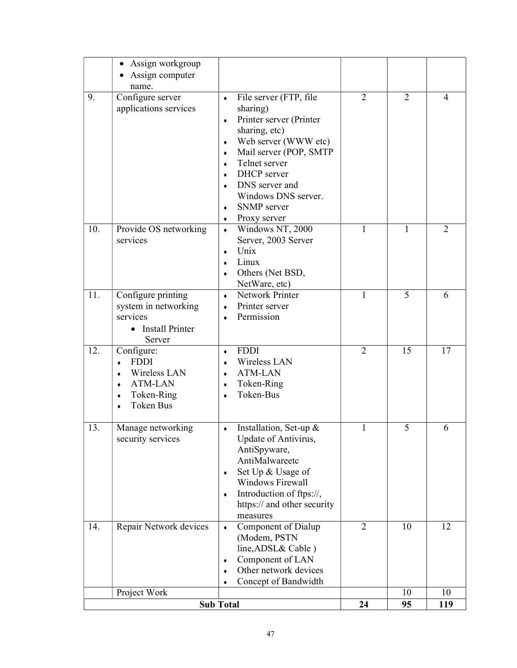|     | Assign workgroup<br>٠<br>Assign computer                                                                          |                                                                                                                                                                                                                                                                                                                    |                |                |                |
|-----|-------------------------------------------------------------------------------------------------------------------|--------------------------------------------------------------------------------------------------------------------------------------------------------------------------------------------------------------------------------------------------------------------------------------------------------------------|----------------|----------------|----------------|
| 9.  | name.<br>Configure server<br>applications services                                                                | File server (FTP, file<br>$\bullet$<br>sharing)<br>Printer server (Printer<br>$\bullet$<br>sharing, etc)<br>Web server (WWW etc)<br>٠<br>Mail server (POP, SMTP<br>٠<br>Telnet server<br>$\bullet$<br><b>DHCP</b> server<br>$\bullet$<br>DNS server and<br>Windows DNS server.<br>SNMP server<br>٠<br>Proxy server | $\overline{2}$ | $\overline{2}$ | $\overline{4}$ |
| 10. | Provide OS networking<br>services                                                                                 | Windows NT, 2000<br>$\bullet$<br>Server, 2003 Server<br>Unix<br>۰<br>Linux<br>Others (Net BSD,<br>۰<br>NetWare, etc)                                                                                                                                                                                               | 1              | 1              | $\overline{2}$ |
| 11. | Configure printing<br>system in networking<br>services<br><b>Install Printer</b><br>$\bullet$<br>Server           | Network Printer<br>$\bullet$<br>Printer server<br>$\bullet$<br>Permission                                                                                                                                                                                                                                          | 1              | 5              | 6              |
| 12. | Configure:<br><b>FDDI</b><br>٠<br>Wireless LAN<br>٠<br><b>ATM-LAN</b><br>٠<br>Token-Ring<br>٠<br><b>Token Bus</b> | <b>FDDI</b><br>$\bullet$<br>Wireless LAN<br>$\bullet$<br><b>ATM-LAN</b><br>$\bullet$<br>Token-Ring<br>٠<br>Token-Bus                                                                                                                                                                                               | $\overline{2}$ | 15             | 17             |
| 13. | Manage networking<br>security services                                                                            | Installation, Set-up $&$<br>٠<br>Update of Antivirus,<br>AntiSpyware,<br>AntiMalwareetc<br>Set Up & Usage of<br>٠<br><b>Windows Firewall</b><br>Introduction of ftps://,<br>۰<br>https:// and other security<br>measures                                                                                           | 1              | 5              | 6              |
| 14. | Repair Network devices                                                                                            | Component of Dialup<br>$\blacklozenge$<br>(Modem, PSTN<br>line, ADSL& Cable)<br>Component of LAN<br>٠<br>Other network devices<br>Concept of Bandwidth                                                                                                                                                             | $\overline{2}$ | 10             | 12             |
|     | Project Work                                                                                                      |                                                                                                                                                                                                                                                                                                                    | 24             | 10             | 10             |
|     | <b>Sub Total</b>                                                                                                  |                                                                                                                                                                                                                                                                                                                    |                | 95             | 119            |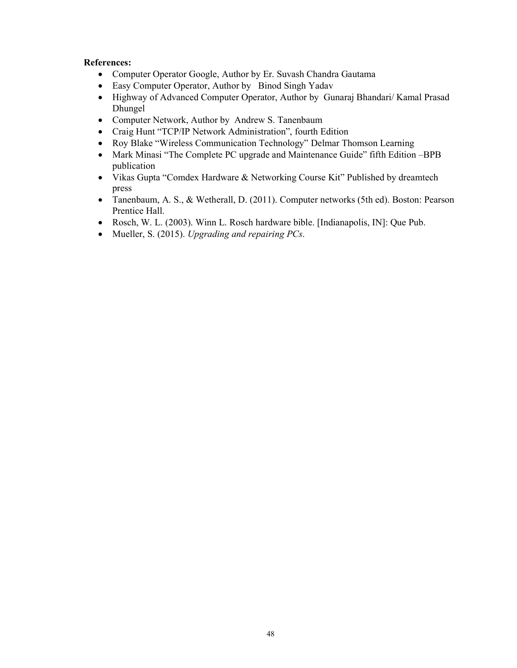### References:

- Computer Operator Google, Author by Er. Suvash Chandra Gautama
- Easy Computer Operator, Author by Binod Singh Yadav
- Highway of Advanced Computer Operator, Author by Gunaraj Bhandari/ Kamal Prasad Dhungel
- Computer Network, Author by Andrew S. Tanenbaum
- Craig Hunt "TCP/IP Network Administration", fourth Edition
- Roy Blake "Wireless Communication Technology" Delmar Thomson Learning
- Mark Minasi "The Complete PC upgrade and Maintenance Guide" fifth Edition –BPB publication
- Vikas Gupta "Comdex Hardware & Networking Course Kit" Published by dreamtech press
- Tanenbaum, A. S., & Wetherall, D. (2011). Computer networks (5th ed). Boston: Pearson Prentice Hall.
- Rosch, W. L. (2003). Winn L. Rosch hardware bible. [Indianapolis, IN]: Que Pub.
- Mueller, S. (2015). Upgrading and repairing PCs.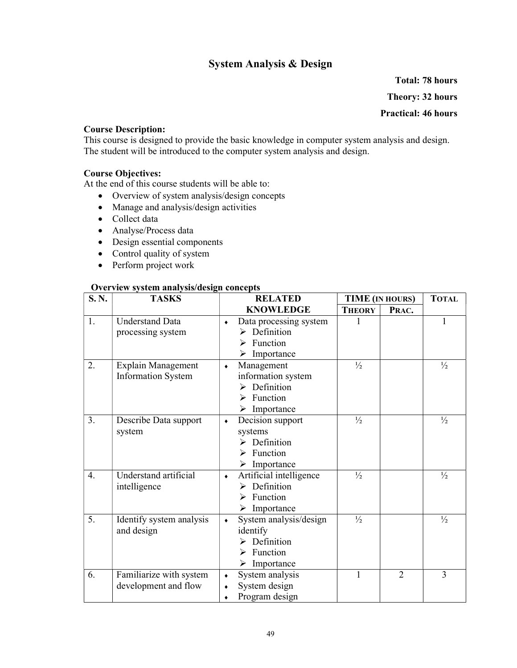### System Analysis & Design

Total: 78 hours Theory: 32 hours Practical: 46 hours

### Course Description:

This course is designed to provide the basic knowledge in computer system analysis and design. The student will be introduced to the computer system analysis and design.

### Course Objectives:

At the end of this course students will be able to:

- Overview of system analysis/design concepts
- Manage and analysis/design activities
- Collect data
- Analyse/Process data
- Design essential components
- Control quality of system
- Perform project work

#### Overview system analysis/design concepts

| S.N.             | <b>TASKS</b>                                | <b>RELATED</b>                                                     |               | <b>TIME</b> (IN HOURS) | <b>TOTAL</b>  |
|------------------|---------------------------------------------|--------------------------------------------------------------------|---------------|------------------------|---------------|
|                  |                                             | <b>KNOWLEDGE</b>                                                   | <b>THEORY</b> | PRAC.                  |               |
| 1.               | <b>Understand Data</b><br>processing system | Data processing system<br>$\bullet$<br>$\triangleright$ Definition |               |                        | 1             |
|                  |                                             | Function                                                           |               |                        |               |
|                  |                                             | $\triangleright$ Importance                                        |               |                        |               |
| 2.               | Explain Management                          | Management<br>$\bullet$                                            | $\frac{1}{2}$ |                        | $\frac{1}{2}$ |
|                  | <b>Information System</b>                   | information system                                                 |               |                        |               |
|                  |                                             | $\triangleright$ Definition                                        |               |                        |               |
|                  |                                             | Function<br>≻                                                      |               |                        |               |
|                  |                                             | Importance                                                         |               |                        |               |
| 3.               | Describe Data support                       | Decision support<br>$\bullet$                                      | $\frac{1}{2}$ |                        | $\frac{1}{2}$ |
|                  | system                                      | systems                                                            |               |                        |               |
|                  |                                             | Definition                                                         |               |                        |               |
|                  |                                             | Function<br>⋗                                                      |               |                        |               |
|                  |                                             | $\triangleright$ Importance                                        |               |                        |               |
| 4.               | Understand artificial                       | Artificial intelligence<br>$\bullet$                               | $\frac{1}{2}$ |                        | $\frac{1}{2}$ |
|                  | intelligence                                | $\triangleright$ Definition                                        |               |                        |               |
|                  |                                             | Function<br>⋗                                                      |               |                        |               |
|                  |                                             | Importance<br>➤                                                    |               |                        |               |
| $\overline{5}$ . | Identify system analysis<br>and design      | System analysis/design<br>$\bullet$<br>identify                    | $\frac{1}{2}$ |                        | $\frac{1}{2}$ |
|                  |                                             | Definition                                                         |               |                        |               |
|                  |                                             | Function<br>↘                                                      |               |                        |               |
|                  |                                             | $\triangleright$ Importance                                        |               |                        |               |
| 6.               | Familiarize with system                     | System analysis<br>$\bullet$                                       | 1             | $\overline{2}$         | 3             |
|                  | development and flow                        | System design                                                      |               |                        |               |
|                  |                                             | Program design<br>$\bullet$                                        |               |                        |               |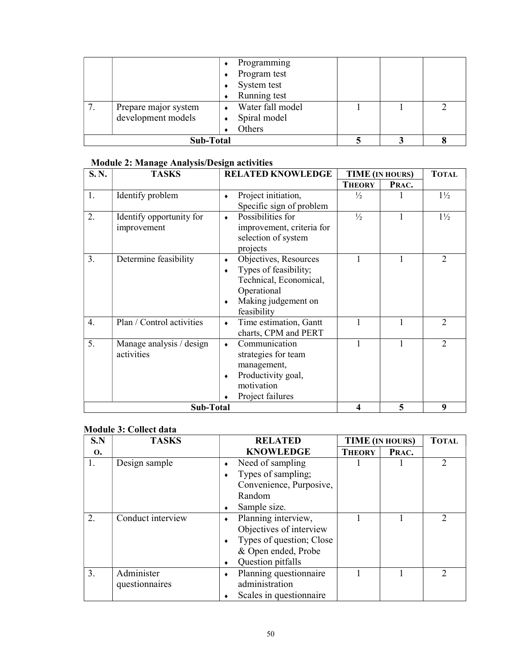|         |                                            | Programming<br>Program test<br>System test<br>Running test |  |  |
|---------|--------------------------------------------|------------------------------------------------------------|--|--|
| $\cdot$ | Prepare major system<br>development models | Water fall model<br>Spiral model<br>Others                 |  |  |
|         | Sub-Total                                  |                                                            |  |  |

### Module 2: Manage Analysis/Design activities

| S.N. | <b>TASKS</b>              | <b>RELATED KNOWLEDGE</b>            |               | <b>TIME</b> (IN HOURS) | <b>TOTAL</b>                |
|------|---------------------------|-------------------------------------|---------------|------------------------|-----------------------------|
|      |                           |                                     | <b>THEORY</b> | PRAC.                  |                             |
| 1.   | Identify problem          | Project initiation,<br>$\bullet$    | $\frac{1}{2}$ |                        | $1\frac{1}{2}$              |
|      |                           | Specific sign of problem            |               |                        |                             |
| 2.   | Identify opportunity for  | Possibilities for<br>$\bullet$      | $\frac{1}{2}$ | 1                      | $1\frac{1}{2}$              |
|      | improvement               | improvement, criteria for           |               |                        |                             |
|      |                           | selection of system                 |               |                        |                             |
|      |                           | projects                            |               |                        |                             |
| 3.   | Determine feasibility     | Objectives, Resources<br>٠          | 1             | 1                      | 2                           |
|      |                           | Types of feasibility;<br>۰          |               |                        |                             |
|      |                           | Technical, Economical,              |               |                        |                             |
|      |                           | Operational                         |               |                        |                             |
|      |                           | Making judgement on<br>٠            |               |                        |                             |
|      |                           | feasibility                         |               |                        |                             |
| 4.   | Plan / Control activities | Time estimation, Gantt<br>$\bullet$ | 1             |                        | $\overline{2}$              |
|      |                           | charts, CPM and PERT                |               |                        |                             |
| 5.   | Manage analysis / design  | Communication<br>$\bullet$          | 1             |                        | $\mathcal{D}_{\mathcal{L}}$ |
|      | activities                | strategies for team                 |               |                        |                             |
|      |                           | management,                         |               |                        |                             |
|      |                           | Productivity goal,<br>٠             |               |                        |                             |
|      |                           | motivation                          |               |                        |                             |
|      |                           | Project failures                    |               |                        |                             |
|      | <b>Sub-Total</b>          |                                     | 4             | 5                      | 9                           |

### Module 3: Collect data

| S.N | <b>TASKS</b>      | <b>RELATED</b>              | TIME (IN HOURS) |       | <b>TOTAL</b>  |
|-----|-------------------|-----------------------------|-----------------|-------|---------------|
| 0.  |                   | <b>KNOWLEDGE</b>            | <b>THEORY</b>   | PRAC. |               |
| 1.  | Design sample     | Need of sampling            |                 |       | $\mathcal{D}$ |
|     |                   | Types of sampling;          |                 |       |               |
|     |                   | Convenience, Purposive,     |                 |       |               |
|     |                   | Random                      |                 |       |               |
|     |                   | Sample size.                |                 |       |               |
| 2.  | Conduct interview | Planning interview,         |                 |       |               |
|     |                   | Objectives of interview     |                 |       |               |
|     |                   | Types of question; Close    |                 |       |               |
|     |                   | & Open ended, Probe         |                 |       |               |
|     |                   | Question pitfalls           |                 |       |               |
| 3.  | Administer        | Planning questionnaire<br>۰ |                 |       | $\mathcal{D}$ |
|     | questionnaires    | administration              |                 |       |               |
|     |                   | Scales in questionnaire     |                 |       |               |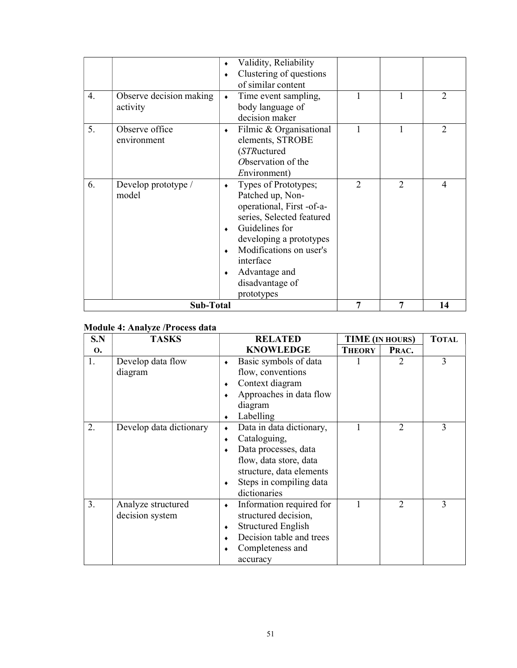| 4. | Observe decision making<br>activity | Validity, Reliability<br>Clustering of questions<br>of similar content<br>Time event sampling,<br>$\bullet$<br>body language of<br>decision maker                                                                                                      |                |                | $\overline{2}$ |
|----|-------------------------------------|--------------------------------------------------------------------------------------------------------------------------------------------------------------------------------------------------------------------------------------------------------|----------------|----------------|----------------|
| 5. | Observe office<br>environment       | Filmic & Organisational<br>$\bullet$<br>elements, STROBE<br>(STRuctured<br>Observation of the<br>Environment)                                                                                                                                          | 1              |                | $\mathcal{L}$  |
| 6. | Develop prototype /<br>model        | Types of Prototypes;<br>$\bullet$<br>Patched up, Non-<br>operational, First -of-a-<br>series, Selected featured<br>Guidelines for<br>developing a prototypes<br>Modifications on user's<br>interface<br>Advantage and<br>disadvantage of<br>prototypes | $\overline{2}$ | $\overline{2}$ | $\overline{4}$ |
|    | Sub-Total                           |                                                                                                                                                                                                                                                        |                | 7              | 14             |

### Module 4: Analyze /Process data

| S.N       | <b>TASKS</b>            | <b>RELATED</b>                       | <b>TIME</b> (IN HOURS) |                | <b>TOTAL</b> |
|-----------|-------------------------|--------------------------------------|------------------------|----------------|--------------|
| <b>O.</b> |                         | <b>KNOWLEDGE</b>                     | <b>THEORY</b>          | PRAC.          |              |
| 1.        | Develop data flow       | Basic symbols of data<br>۰           |                        |                | 3            |
|           | diagram                 | flow, conventions                    |                        |                |              |
|           |                         | Context diagram<br>٠                 |                        |                |              |
|           |                         | Approaches in data flow              |                        |                |              |
|           |                         | diagram                              |                        |                |              |
|           |                         | Labelling                            |                        |                |              |
| 2.        | Develop data dictionary | Data in data dictionary,             |                        | $\mathfrak{D}$ | 3            |
|           |                         | Cataloguing,<br>۰                    |                        |                |              |
|           |                         | Data processes, data                 |                        |                |              |
|           |                         | flow, data store, data               |                        |                |              |
|           |                         | structure, data elements             |                        |                |              |
|           |                         | Steps in compiling data<br>$\bullet$ |                        |                |              |
|           |                         | dictionaries                         |                        |                |              |
| 3.        | Analyze structured      | Information required for<br>۰        |                        | $\overline{2}$ | 3            |
|           | decision system         | structured decision,                 |                        |                |              |
|           |                         | <b>Structured English</b><br>۰       |                        |                |              |
|           |                         | Decision table and trees             |                        |                |              |
|           |                         | Completeness and                     |                        |                |              |
|           |                         | accuracy                             |                        |                |              |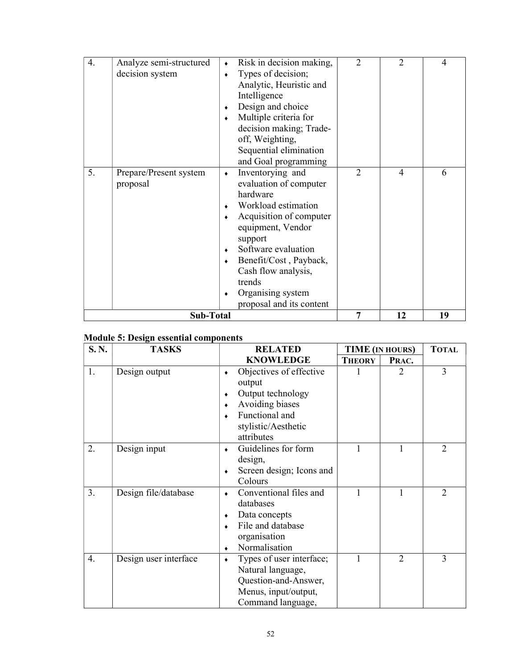| 4. | Analyze semi-structured            | Risk in decision making,<br>$\bullet$                                                                                                                                                                                                                                                                            | $\overline{2}$ | $\overline{2}$ | 4  |
|----|------------------------------------|------------------------------------------------------------------------------------------------------------------------------------------------------------------------------------------------------------------------------------------------------------------------------------------------------------------|----------------|----------------|----|
|    | decision system                    | Types of decision;<br>$\bullet$                                                                                                                                                                                                                                                                                  |                |                |    |
|    |                                    | Analytic, Heuristic and                                                                                                                                                                                                                                                                                          |                |                |    |
|    |                                    | Intelligence                                                                                                                                                                                                                                                                                                     |                |                |    |
|    |                                    | Design and choice<br>$\bullet$                                                                                                                                                                                                                                                                                   |                |                |    |
|    |                                    | Multiple criteria for<br>$\bullet$                                                                                                                                                                                                                                                                               |                |                |    |
|    |                                    | decision making; Trade-                                                                                                                                                                                                                                                                                          |                |                |    |
|    |                                    | off, Weighting,                                                                                                                                                                                                                                                                                                  |                |                |    |
|    |                                    | Sequential elimination                                                                                                                                                                                                                                                                                           |                |                |    |
|    |                                    | and Goal programming                                                                                                                                                                                                                                                                                             |                |                |    |
| 5. | Prepare/Present system<br>proposal | Inventorying and<br>$\bullet$<br>evaluation of computer<br>hardware<br>Workload estimation<br>$\bullet$<br>Acquisition of computer<br>$\bullet$<br>equipment, Vendor<br>support<br>Software evaluation<br>$\bullet$<br>Benefit/Cost, Payback,<br>$\bullet$<br>Cash flow analysis,<br>trends<br>Organising system | $\overline{2}$ | 4              | 6  |
|    | Sub-Total                          | proposal and its content                                                                                                                                                                                                                                                                                         | 7              | 12             | 19 |

### Module 5: Design essential components

| S.N. | <b>TASKS</b>          | <b>RELATED</b>                                                                                                                            | <b>TIME</b> (IN HOURS) |                | <b>TOTAL</b>   |
|------|-----------------------|-------------------------------------------------------------------------------------------------------------------------------------------|------------------------|----------------|----------------|
|      |                       | <b>KNOWLEDGE</b>                                                                                                                          | <b>THEORY</b>          | PRAC.          |                |
| 1.   | Design output         | Objectives of effective<br>$\bullet$<br>output<br>Output technology<br>۰                                                                  |                        | 2              | 3              |
|      |                       | Avoiding biases<br>$\bullet$<br>Functional and<br>stylistic/Aesthetic<br>attributes                                                       |                        |                |                |
| 2.   | Design input          | Guidelines for form<br>٠<br>design,<br>Screen design; Icons and<br>٠<br>Colours                                                           |                        |                | $\overline{c}$ |
| 3.   | Design file/database  | Conventional files and<br>$\bullet$<br>databases<br>Data concepts<br>۰<br>File and database<br>$\bullet$<br>organisation<br>Normalisation | $\mathbf{1}$           | 1              | $\overline{2}$ |
| 4.   | Design user interface | Types of user interface;<br>۰<br>Natural language,<br>Question-and-Answer,<br>Menus, input/output,<br>Command language,                   |                        | $\overline{2}$ | 3              |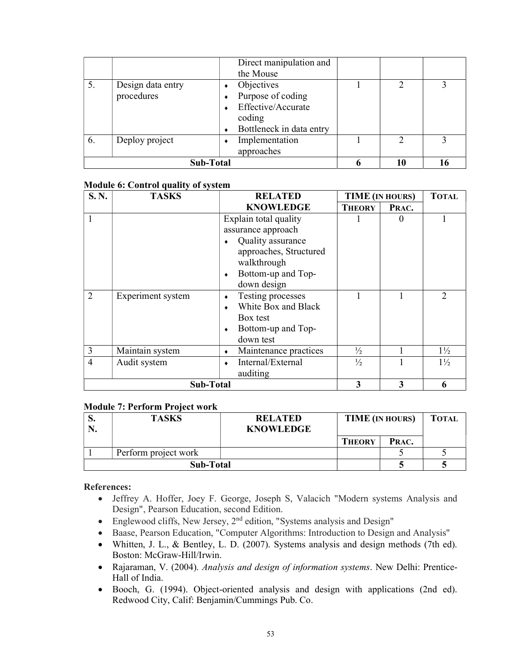|    |                                 | Direct manipulation and<br>the Mouse                                                        |  |    |  |
|----|---------------------------------|---------------------------------------------------------------------------------------------|--|----|--|
| 5. | Design data entry<br>procedures | Objectives<br>Purpose of coding<br>Effective/Accurate<br>coding<br>Bottleneck in data entry |  |    |  |
| 6. | Deploy project                  | Implementation<br>approaches                                                                |  |    |  |
|    | Sub-Total                       |                                                                                             |  | 10 |  |

### Module 6: Control quality of system

| S.N.           | <b>TASKS</b>      | <b>RELATED</b>                   | <b>TIME</b> (IN HOURS) |          | <b>TOTAL</b>   |
|----------------|-------------------|----------------------------------|------------------------|----------|----------------|
|                |                   | <b>KNOWLEDGE</b>                 | <b>THEORY</b>          | PRAC.    |                |
|                |                   | Explain total quality            |                        | $\theta$ |                |
|                |                   | assurance approach               |                        |          |                |
|                |                   | Quality assurance                |                        |          |                |
|                |                   | approaches, Structured           |                        |          |                |
|                |                   | walkthrough                      |                        |          |                |
|                |                   | Bottom-up and Top-<br>$\bullet$  |                        |          |                |
|                |                   | down design                      |                        |          |                |
| 2              | Experiment system | Testing processes<br>٠           |                        |          | $\mathcal{D}$  |
|                |                   | White Box and Black<br>$\bullet$ |                        |          |                |
|                |                   | Box test                         |                        |          |                |
|                |                   | Bottom-up and Top-               |                        |          |                |
|                |                   | down test                        |                        |          |                |
| 3              | Maintain system   | Maintenance practices            | $\frac{1}{2}$          |          | $1\frac{1}{2}$ |
| $\overline{4}$ | Audit system      | Internal/External                | $\frac{1}{2}$          |          | $1\frac{1}{2}$ |
|                |                   | auditing                         |                        |          |                |
|                | Sub-Total         |                                  |                        | 3        | 6              |

### Module 7: Perform Project work

| ៶. | <b>TASKS</b>         | <b>RELATED</b><br><b>KNOWLEDGE</b> | TIME (IN HOURS) | <b>TOTAL</b> |  |
|----|----------------------|------------------------------------|-----------------|--------------|--|
|    |                      |                                    | <b>THEORY</b>   | PRAC.        |  |
|    | Perform project work |                                    |                 |              |  |
|    | Sub-Total            |                                    |                 |              |  |

### References:

- Jeffrey A. Hoffer, Joey F. George, Joseph S, Valacich "Modern systems Analysis and Design", Pearson Education, second Edition.
- Englewood cliffs, New Jersey, 2<sup>nd</sup> edition, "Systems analysis and Design"
- Baase, Pearson Education, "Computer Algorithms: Introduction to Design and Analysis"
- Whitten, J. L., & Bentley, L. D. (2007). Systems analysis and design methods (7th ed). Boston: McGraw-Hill/Irwin.
- Rajaraman, V. (2004). Analysis and design of information systems. New Delhi: Prentice-Hall of India.
- Booch, G. (1994). Object-oriented analysis and design with applications (2nd ed). Redwood City, Calif: Benjamin/Cummings Pub. Co.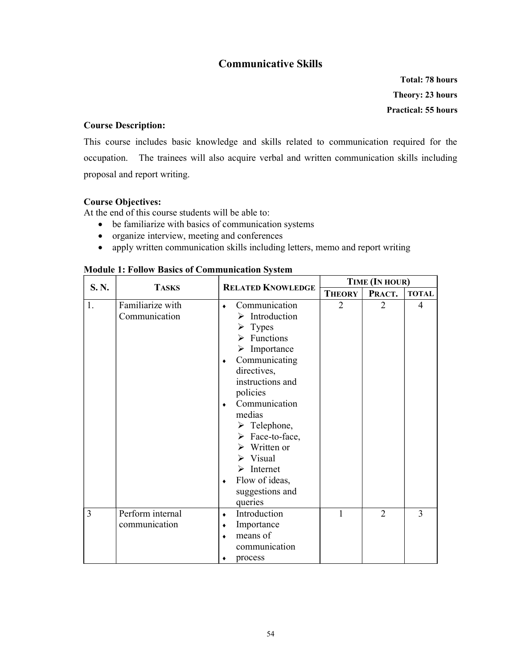### Communicative Skills

Total: 78 hours Theory: 23 hours Practical: 55 hours

### Course Description:

This course includes basic knowledge and skills related to communication required for the occupation. The trainees will also acquire verbal and written communication skills including proposal and report writing.

### Course Objectives:

At the end of this course students will be able to:

- be familiarize with basics of communication systems
- organize interview, meeting and conferences
- apply written communication skills including letters, memo and report writing

| S.N. | <b>TASKS</b>                      | <b>RELATED KNOWLEDGE</b>                                                                                                                                                                                                                                                                                                                                                                                                                          | TIME (IN HOUR) |                             |              |
|------|-----------------------------------|---------------------------------------------------------------------------------------------------------------------------------------------------------------------------------------------------------------------------------------------------------------------------------------------------------------------------------------------------------------------------------------------------------------------------------------------------|----------------|-----------------------------|--------------|
|      |                                   |                                                                                                                                                                                                                                                                                                                                                                                                                                                   | <b>THEORY</b>  | PRACT.                      | <b>TOTAL</b> |
| 1.   | Familiarize with<br>Communication | Communication<br>$\bullet$<br>Introduction<br>⋗<br>$\triangleright$ Types<br>$\triangleright$ Functions<br>$\triangleright$ Importance<br>Communicating<br>$\bullet$<br>directives,<br>instructions and<br>policies<br>Communication<br>٠<br>medias<br>$\triangleright$ Telephone,<br>$\triangleright$ Face-to-face,<br>$\triangleright$ Written or<br>$\triangleright$ Visual<br>Internet<br>➤<br>Flow of ideas,<br>$\bullet$<br>suggestions and | $\overline{2}$ | $\mathcal{D}_{\mathcal{L}}$ | 4            |
| 3    | Perform internal<br>communication | queries<br>Introduction<br>$\bullet$<br>Importance<br>$\bullet$<br>means of<br>$\bullet$<br>communication<br>process<br>٠                                                                                                                                                                                                                                                                                                                         | 1              | $\overline{2}$              | 3            |

#### Module 1: Follow Basics of Communication System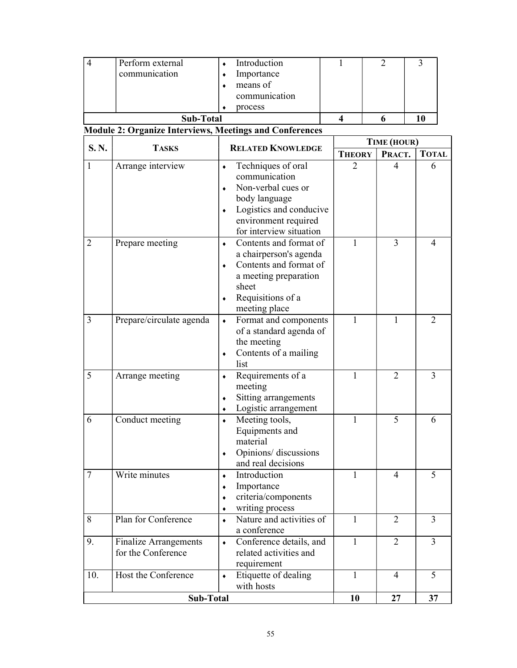| $\overline{4}$ | Perform external                                               | Introduction                          | 1                | 2              | 3              |  |
|----------------|----------------------------------------------------------------|---------------------------------------|------------------|----------------|----------------|--|
|                | communication                                                  | Importance                            |                  |                |                |  |
|                |                                                                | means of                              |                  |                |                |  |
|                |                                                                | communication                         |                  |                |                |  |
|                |                                                                | process                               |                  |                |                |  |
|                | <b>Sub-Total</b>                                               |                                       | $\boldsymbol{4}$ | 6              | 10             |  |
|                | <b>Module 2: Organize Interviews, Meetings and Conferences</b> |                                       |                  |                |                |  |
| S.N.           | <b>TASKS</b>                                                   | <b>RELATED KNOWLEDGE</b>              |                  | TIME (HOUR)    |                |  |
|                |                                                                |                                       | <b>THEORY</b>    | PRACT.         | <b>TOTAL</b>   |  |
| 1              | Arrange interview                                              | Techniques of oral<br>$\bullet$       | $\overline{2}$   | 4              | 6              |  |
|                |                                                                | communication                         |                  |                |                |  |
|                |                                                                | Non-verbal cues or                    |                  |                |                |  |
|                |                                                                | body language                         |                  |                |                |  |
|                |                                                                | Logistics and conducive<br>$\bullet$  |                  |                |                |  |
|                |                                                                | environment required                  |                  |                |                |  |
|                |                                                                | for interview situation               |                  |                |                |  |
| $\overline{2}$ | Prepare meeting                                                | Contents and format of<br>$\bullet$   | $\mathbf{1}$     | 3              | $\overline{4}$ |  |
|                |                                                                | a chairperson's agenda                |                  |                |                |  |
|                |                                                                | Contents and format of<br>$\bullet$   |                  |                |                |  |
|                |                                                                | a meeting preparation                 |                  |                |                |  |
|                |                                                                | sheet                                 |                  |                |                |  |
|                |                                                                | Requisitions of a<br>٠                |                  |                |                |  |
|                |                                                                | meeting place                         |                  |                |                |  |
| 3              | Prepare/circulate agenda                                       | Format and components<br>$\bullet$    | $\mathbf{1}$     | $\mathbf{1}$   | $\overline{2}$ |  |
|                |                                                                | of a standard agenda of               |                  |                |                |  |
|                |                                                                | the meeting                           |                  |                |                |  |
|                |                                                                | Contents of a mailing<br>$\bullet$    |                  |                |                |  |
|                |                                                                | list                                  |                  |                |                |  |
| 5              | Arrange meeting                                                | Requirements of a<br>$\bullet$        | 1                | 2              | 3              |  |
|                |                                                                | meeting                               |                  |                |                |  |
|                |                                                                | Sitting arrangements                  |                  |                |                |  |
|                |                                                                | Logistic arrangement                  |                  |                |                |  |
| 6              | Conduct meeting                                                | Meeting tools,<br>$\bullet$           | 1                | 5              | 6              |  |
|                |                                                                | Equipments and<br>material            |                  |                |                |  |
|                |                                                                | Opinions/ discussions                 |                  |                |                |  |
|                |                                                                | and real decisions                    |                  |                |                |  |
| $\overline{7}$ | Write minutes                                                  | Introduction<br>$\bullet$             | 1                | 4              | 5              |  |
|                |                                                                | Importance<br>$\bullet$               |                  |                |                |  |
|                |                                                                | criteria/components                   |                  |                |                |  |
|                |                                                                | writing process<br>٠                  |                  |                |                |  |
| 8              | Plan for Conference                                            | Nature and activities of<br>$\bullet$ | $\mathbf{1}$     | $\overline{2}$ | $\overline{3}$ |  |
|                |                                                                | a conference                          |                  |                |                |  |
| 9.             | <b>Finalize Arrangements</b>                                   | Conference details, and<br>$\bullet$  | $\mathbf{1}$     | $\overline{2}$ | $\overline{3}$ |  |
|                | for the Conference                                             | related activities and                |                  |                |                |  |
|                |                                                                | requirement                           |                  |                |                |  |
| 10.            | Host the Conference                                            | Etiquette of dealing<br>$\bullet$     | 1                | 4              | 5              |  |
|                |                                                                | with hosts                            |                  |                |                |  |
|                | Sub-Total                                                      |                                       | 10               | 27             | 37             |  |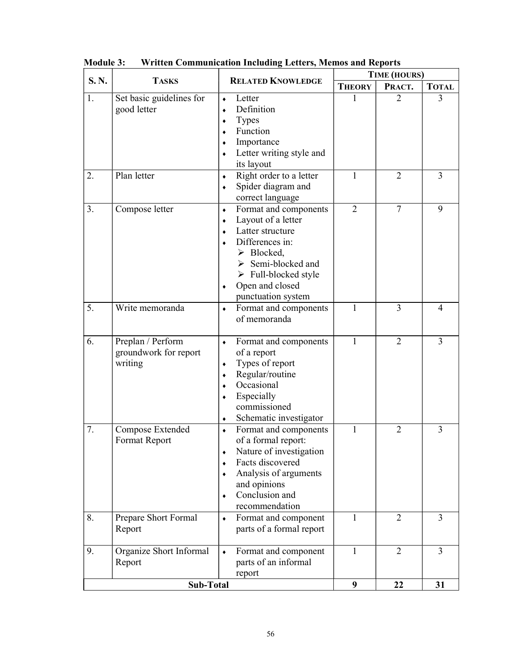| S.N. | <b>TASKS</b>                                          | <b>RELATED KNOWLEDGE</b>                                                                                                                                                                                                                                                            | TIME (HOURS)   |                |                |  |
|------|-------------------------------------------------------|-------------------------------------------------------------------------------------------------------------------------------------------------------------------------------------------------------------------------------------------------------------------------------------|----------------|----------------|----------------|--|
|      |                                                       |                                                                                                                                                                                                                                                                                     | <b>THEORY</b>  | PRACT.         | <b>TOTAL</b>   |  |
| 1.   | Set basic guidelines for<br>good letter               | Letter<br>$\blacklozenge$<br>Definition<br>٠<br><b>Types</b><br>۰<br>Function<br>٠<br>Importance<br>Letter writing style and<br>its layout                                                                                                                                          | 1              | 2              | 3              |  |
| 2.   | Plan letter                                           | Right order to a letter<br>٠<br>Spider diagram and<br>٠<br>correct language                                                                                                                                                                                                         | 1              | 2              | 3              |  |
| 3.   | Compose letter                                        | Format and components<br>$\blacklozenge$<br>Layout of a letter<br>٠<br>Latter structure<br>۰<br>Differences in:<br>$\bullet$<br>$\triangleright$ Blocked,<br>$\triangleright$ Semi-blocked and<br>$\triangleright$ Full-blocked style<br>Open and closed<br>٠<br>punctuation system | $\overline{2}$ | $\overline{7}$ | 9              |  |
| 5.   | Write memoranda                                       | Format and components<br>$\blacklozenge$<br>of memoranda                                                                                                                                                                                                                            | 1              | 3              | 4              |  |
| 6.   | Preplan / Perform<br>groundwork for report<br>writing | Format and components<br>٠<br>of a report<br>Types of report<br>٠<br>Regular/routine<br>۰<br>Occasional<br>٠<br>Especially<br>commissioned<br>Schematic investigator<br>٠                                                                                                           | 1              | $\overline{2}$ | $\overline{3}$ |  |
| 7.   | Compose Extended<br>Format Report                     | Format and components<br>$\bullet$<br>of a formal report:<br>Nature of investigation<br>٠<br>Facts discovered<br>Analysis of arguments<br>and opinions<br>Conclusion and<br>۰<br>recommendation                                                                                     | 1              | 2              | 3              |  |
| 8.   | Prepare Short Formal<br>Report                        | Format and component<br>$\blacklozenge$<br>parts of a formal report                                                                                                                                                                                                                 | 1              | 2              | 3              |  |
| 9.   | Organize Short Informal<br>Report                     | Format and component<br>$\blacklozenge$<br>parts of an informal<br>report                                                                                                                                                                                                           | $\mathbf{1}$   | $\overline{2}$ | $\overline{3}$ |  |
|      | <b>Sub-Total</b>                                      |                                                                                                                                                                                                                                                                                     | 9              | 22             | 31             |  |

Module 3: Written Communication Including Letters, Memos and Reports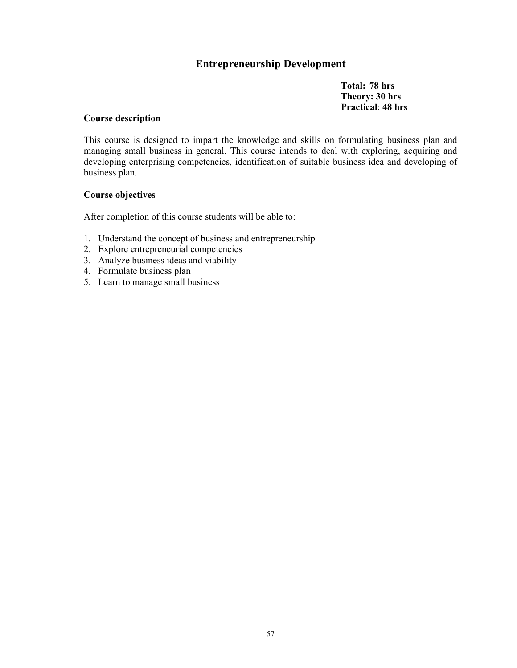### Entrepreneurship Development

Total: 78 hrs Theory: 30 hrs Practical: 48 hrs

#### Course description

This course is designed to impart the knowledge and skills on formulating business plan and managing small business in general. This course intends to deal with exploring, acquiring and developing enterprising competencies, identification of suitable business idea and developing of business plan.

### Course objectives

After completion of this course students will be able to:

- 1. Understand the concept of business and entrepreneurship
- 2. Explore entrepreneurial competencies
- 3. Analyze business ideas and viability
- 4. Formulate business plan
- 5. Learn to manage small business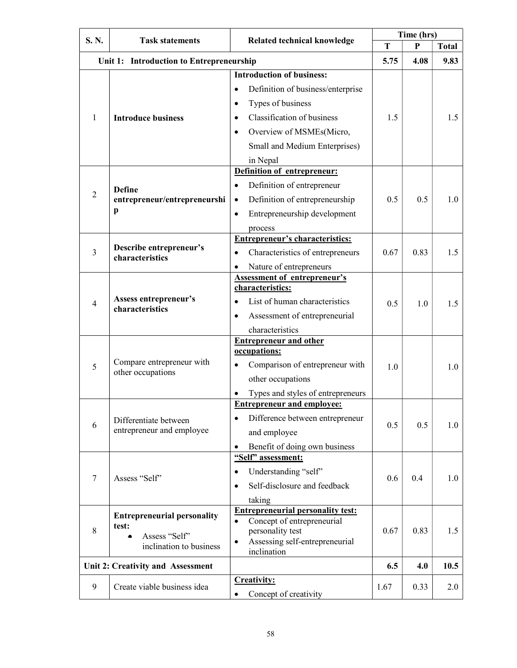| S.N.           | <b>Task statements</b>                             | <b>Related technical knowledge</b>                                     |      | Time (hrs) |              |
|----------------|----------------------------------------------------|------------------------------------------------------------------------|------|------------|--------------|
|                |                                                    |                                                                        | T    | P          | <b>Total</b> |
|                | Unit 1: Introduction to Entrepreneurship           |                                                                        | 5.75 | 4.08       | 9.83         |
|                |                                                    | <b>Introduction of business:</b>                                       |      |            |              |
|                |                                                    | Definition of business/enterprise<br>$\bullet$                         |      |            |              |
|                |                                                    | Types of business<br>$\bullet$                                         |      |            |              |
| 1              | <b>Introduce business</b>                          | <b>Classification of business</b><br>$\bullet$                         | 1.5  |            | 1.5          |
|                |                                                    | Overview of MSMEs(Micro,<br>$\bullet$                                  |      |            |              |
|                |                                                    | Small and Medium Enterprises)                                          |      |            |              |
|                |                                                    | in Nepal                                                               |      |            |              |
|                |                                                    | Definition of entrepreneur:                                            |      |            |              |
|                | <b>Define</b>                                      | Definition of entrepreneur<br>$\bullet$                                |      |            |              |
| $\overline{2}$ | entrepreneur/entrepreneurshi                       | Definition of entrepreneurship<br>$\bullet$                            | 0.5  | 0.5        | 1.0          |
|                | p                                                  | Entrepreneurship development<br>$\bullet$                              |      |            |              |
|                |                                                    | process                                                                |      |            |              |
|                |                                                    | <b>Entrepreneur's characteristics:</b>                                 |      |            |              |
| 3              | Describe entrepreneur's                            | Characteristics of entrepreneurs<br>$\bullet$                          | 0.67 | 0.83       | 1.5          |
|                | characteristics                                    | Nature of entrepreneurs                                                |      |            |              |
|                |                                                    | <b>Assessment of entrepreneur's</b>                                    |      |            |              |
|                | Assess entrepreneur's<br>characteristics           | characteristics:                                                       |      |            |              |
| $\overline{4}$ |                                                    | List of human characteristics<br>$\bullet$                             | 0.5  | 1.0        | 1.5          |
|                |                                                    | Assessment of entrepreneurial<br>٠                                     |      |            |              |
|                |                                                    | characteristics                                                        |      |            |              |
|                |                                                    | <b>Entrepreneur and other</b>                                          |      |            |              |
|                | Compare entrepreneur with                          | occupations:                                                           |      |            |              |
| 5              | other occupations                                  | Comparison of entrepreneur with<br>$\bullet$                           | 1.0  |            | 1.0          |
|                |                                                    | other occupations                                                      |      |            |              |
|                |                                                    | Types and styles of entrepreneurs<br><b>Entrepreneur and employee:</b> |      |            |              |
|                |                                                    |                                                                        |      |            |              |
| 6              | Differentiate between<br>entrepreneur and employee | Difference between entrepreneur<br>$\bullet$                           | 0.5  | 0.5        | 1.0          |
|                |                                                    | and employee                                                           |      |            |              |
|                |                                                    | Benefit of doing own business<br>"Self" assessment:                    |      |            |              |
|                |                                                    | Understanding "self"<br>$\bullet$                                      |      |            |              |
| $\tau$         | Assess "Self"                                      | Self-disclosure and feedback                                           | 0.6  | 0.4        | 1.0          |
|                |                                                    | $\bullet$                                                              |      |            |              |
|                |                                                    | taking<br><b>Entrepreneurial personality test:</b>                     |      |            |              |
| 8              | <b>Entrepreneurial personality</b><br>test:        | Concept of entrepreneurial<br>$\bullet$                                |      |            |              |
|                | Assess "Self"                                      | personality test                                                       | 0.67 | 0.83       | 1.5          |
|                | inclination to business                            | Assessing self-entrepreneurial<br>$\bullet$<br>inclination             |      |            |              |
|                | Unit 2: Creativity and Assessment                  |                                                                        | 6.5  | 4.0        | 10.5         |
|                |                                                    | <b>Creativity:</b>                                                     |      |            |              |
| 9              | Create viable business idea                        | Concept of creativity                                                  | 1.67 | 0.33       | 2.0          |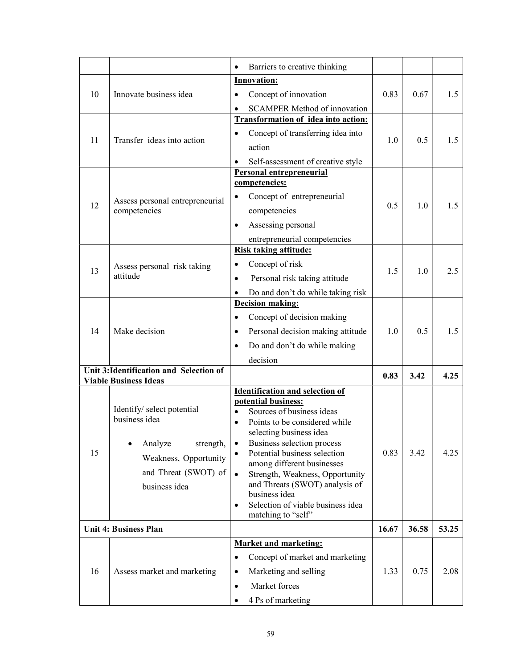|    |                                                 | Barriers to creative thinking                                 |       |       |       |
|----|-------------------------------------------------|---------------------------------------------------------------|-------|-------|-------|
|    |                                                 | <b>Innovation:</b>                                            |       |       |       |
| 10 | Innovate business idea                          | Concept of innovation                                         | 0.83  | 0.67  | 1.5   |
|    |                                                 | <b>SCAMPER Method of innovation</b>                           |       |       |       |
|    | Transfer ideas into action                      | <b>Transformation of idea into action:</b>                    |       |       |       |
| 11 |                                                 | Concept of transferring idea into                             | 1.0   | 0.5   | 1.5   |
|    |                                                 | action                                                        |       |       |       |
|    |                                                 | Self-assessment of creative style                             |       |       |       |
|    |                                                 | <b>Personal entrepreneurial</b><br>competencies:              |       |       |       |
|    |                                                 | Concept of entrepreneurial<br>$\bullet$                       |       |       |       |
| 12 | Assess personal entrepreneurial<br>competencies | competencies                                                  | 0.5   | 1.0   | 1.5   |
|    |                                                 | Assessing personal<br>$\bullet$                               |       |       |       |
|    |                                                 |                                                               |       |       |       |
|    |                                                 | entrepreneurial competencies<br>Risk taking attitude:         |       |       |       |
|    | Assess personal risk taking                     | Concept of risk<br>$\bullet$                                  |       |       |       |
| 13 | attitude                                        | Personal risk taking attitude<br>$\bullet$                    | 1.5   | 1.0   | 2.5   |
|    |                                                 | Do and don't do while taking risk                             |       |       |       |
|    |                                                 | <b>Decision making:</b>                                       |       |       |       |
|    | Make decision                                   | Concept of decision making<br>٠                               |       |       |       |
| 14 |                                                 | Personal decision making attitude<br>٠                        | 1.0   | 0.5   | 1.5   |
|    |                                                 | Do and don't do while making                                  |       |       |       |
|    |                                                 | decision                                                      |       |       |       |
|    | Unit 3: Identification and Selection of         |                                                               |       |       |       |
|    | <b>Viable Business Ideas</b>                    |                                                               | 0.83  | 3.42  | 4.25  |
|    |                                                 | <b>Identification and selection of</b><br>potential business: |       |       |       |
|    | Identify/ select potential                      | Sources of business ideas                                     |       |       |       |
|    | business idea                                   | Points to be considered while                                 |       |       |       |
|    |                                                 | selecting business idea                                       |       |       |       |
| 15 | Analyze<br>strength,                            | Business selection process<br>Potential business selection    | 0.83  | 3.42  | 4.25  |
|    | Weakness, Opportunity                           | among different businesses                                    |       |       |       |
|    | and Threat (SWOT) of                            | Strength, Weakness, Opportunity<br>$\bullet$                  |       |       |       |
|    | business idea                                   | and Threats (SWOT) analysis of<br>business idea               |       |       |       |
|    |                                                 | Selection of viable business idea<br>$\bullet$                |       |       |       |
|    |                                                 | matching to "self"                                            |       |       |       |
|    | <b>Unit 4: Business Plan</b>                    |                                                               | 16.67 | 36.58 | 53.25 |
|    |                                                 | <b>Market and marketing:</b>                                  |       |       |       |
|    |                                                 | Concept of market and marketing<br>$\bullet$                  |       |       |       |
| 16 | Assess market and marketing                     | Marketing and selling<br>$\bullet$                            | 1.33  | 0.75  | 2.08  |
|    |                                                 | Market forces<br>$\bullet$                                    |       |       |       |
|    |                                                 | 4 Ps of marketing<br>٠                                        |       |       |       |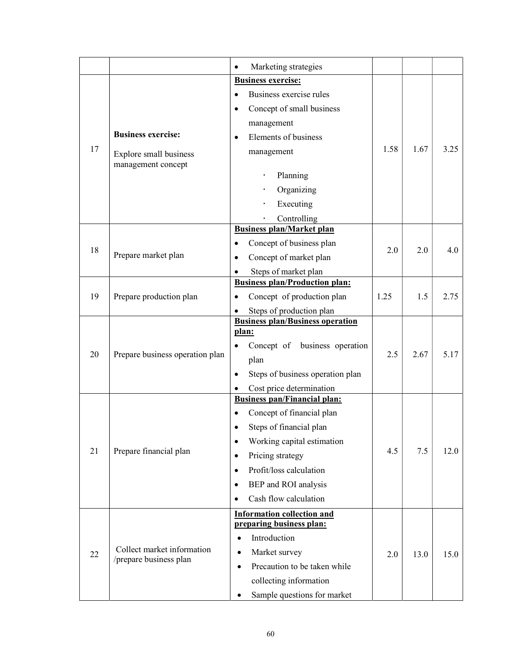|    |                                 | Marketing strategies<br>$\bullet$             |      |      |      |
|----|---------------------------------|-----------------------------------------------|------|------|------|
|    |                                 | <b>Business exercise:</b>                     |      |      |      |
|    |                                 | Business exercise rules<br>$\bullet$          |      |      |      |
|    |                                 | Concept of small business<br>$\bullet$        |      |      |      |
|    |                                 | management                                    |      |      |      |
|    | <b>Business exercise:</b>       | Elements of business<br>٠                     |      |      |      |
| 17 | Explore small business          | management                                    | 1.58 | 1.67 | 3.25 |
|    | management concept              |                                               |      |      |      |
|    |                                 | Planning                                      |      |      |      |
|    |                                 | Organizing                                    |      |      |      |
|    |                                 | Executing                                     |      |      |      |
|    |                                 | Controlling                                   |      |      |      |
|    |                                 | <b>Business plan/Market plan</b>              |      |      |      |
|    |                                 | Concept of business plan<br>$\bullet$         |      |      |      |
| 18 | Prepare market plan             | Concept of market plan<br>٠                   | 2.0  | 2.0  | 4.0  |
|    |                                 | Steps of market plan<br>٠                     |      |      |      |
|    |                                 | <b>Business plan/Production plan:</b>         |      |      |      |
| 19 | Prepare production plan         | Concept of production plan                    | 1.25 | 1.5  | 2.75 |
|    |                                 | Steps of production plan                      |      |      |      |
|    | Prepare business operation plan | <b>Business plan/Business operation</b>       |      |      |      |
|    |                                 | plan:                                         |      |      |      |
| 20 |                                 | Concept of business operation<br>٠            | 2.5  | 2.67 | 5.17 |
|    |                                 | plan                                          |      |      |      |
|    |                                 | Steps of business operation plan<br>$\bullet$ |      |      |      |
|    |                                 | Cost price determination                      |      |      |      |
|    |                                 | <b>Business pan/Financial plan:</b>           |      |      |      |
|    |                                 | Concept of financial plan<br>$\bullet$        |      |      |      |
|    |                                 | Steps of financial plan                       |      |      |      |
|    |                                 | Working capital estimation<br>$\bullet$       |      |      |      |
| 21 | Prepare financial plan          | Pricing strategy<br>٠                         | 4.5  | 7.5  | 12.0 |
|    |                                 | Profit/loss calculation<br>$\bullet$          |      |      |      |
|    |                                 | BEP and ROI analysis<br>$\bullet$             |      |      |      |
|    |                                 | Cash flow calculation<br>$\bullet$            |      |      |      |
|    |                                 | <b>Information collection and</b>             |      |      |      |
|    |                                 | preparing business plan:                      |      |      |      |
|    |                                 | Introduction<br>$\bullet$                     |      |      |      |
| 22 | Collect market information      | Market survey<br>$\bullet$                    | 2.0  | 13.0 | 15.0 |
|    | /prepare business plan          | Precaution to be taken while<br>$\bullet$     |      |      |      |
|    |                                 | collecting information                        |      |      |      |
|    |                                 | Sample questions for market<br>٠              |      |      |      |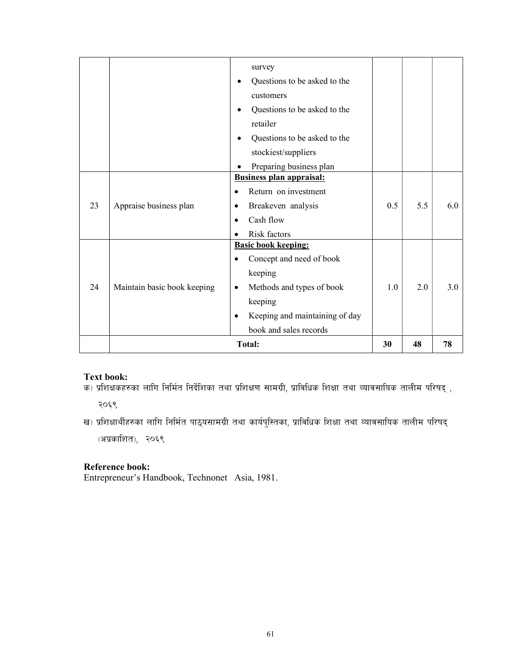|    |                             | survey                                      |     |     |               |
|----|-----------------------------|---------------------------------------------|-----|-----|---------------|
|    |                             | Questions to be asked to the                |     |     |               |
|    |                             | customers                                   |     |     |               |
|    |                             |                                             |     |     |               |
|    |                             | Questions to be asked to the<br>$\bullet$   |     |     |               |
|    |                             | retailer                                    |     |     |               |
|    |                             | Questions to be asked to the<br>٠           |     |     |               |
|    |                             | stockiest/suppliers                         |     |     |               |
|    |                             | Preparing business plan                     |     |     |               |
|    |                             | <b>Business plan appraisal:</b>             |     |     |               |
|    |                             | Return on investment                        |     |     |               |
| 23 | Appraise business plan      | Breakeven analysis                          | 0.5 | 5.5 | $6.0^{\circ}$ |
|    |                             | Cash flow                                   |     |     |               |
|    |                             | Risk factors                                |     |     |               |
|    |                             | <b>Basic book keeping:</b>                  |     |     |               |
|    |                             | Concept and need of book                    |     |     |               |
|    |                             | keeping                                     |     |     |               |
| 24 | Maintain basic book keeping | Methods and types of book<br>٠              | 1.0 | 2.0 | $3.0^{\circ}$ |
|    |                             | keeping                                     |     |     |               |
|    |                             | Keeping and maintaining of day<br>$\bullet$ |     |     |               |
|    |                             | book and sales records                      |     |     |               |
|    |                             | <b>Total:</b>                               | 30  | 48  | 78            |

#### Text book:

- sist boosit<br>क) प्रशिक्षकहरुका लागि निर्मित निर्देशिका तथा प्रशिक्षण सामग्री, प्राविधिक शिक्षा तथा व्यावसायिक तालीम परिषद् ,

२०६९

ख) प्रशिक्षार्थीहरुका लागि निर्मित पाठ्यसामग्री तथा कार्यपुस्तिका, प्राविधिक शिक्षा तथा व्यावसायिक तालीम परिषद् (अप्रकाशित), २०६९

### Reference book:

Entrepreneur's Handbook, Technonet Asia, 1981.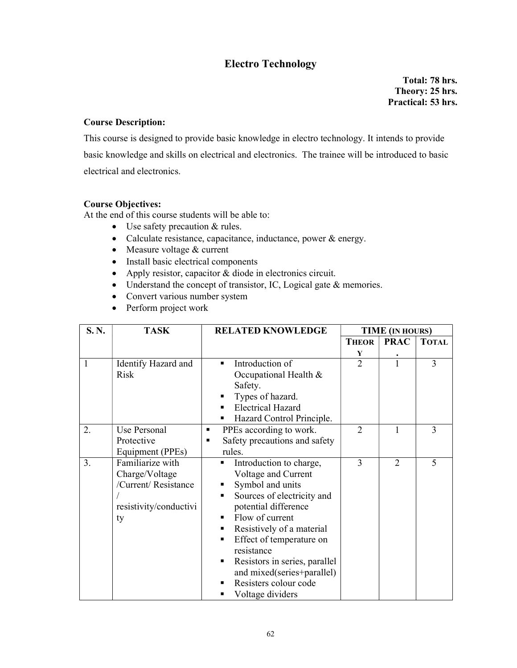### Electro Technology

 Total: 78 hrs. Theory: 25 hrs. Practical: 53 hrs.

### Course Description:

This course is designed to provide basic knowledge in electro technology. It intends to provide basic knowledge and skills on electrical and electronics. The trainee will be introduced to basic electrical and electronics.

### Course Objectives:

At the end of this course students will be able to:

- Use safety precaution & rules.
- Calculate resistance, capacitance, inductance, power & energy.
- Measure voltage & current
- Install basic electrical components
- Apply resistor, capacitor & diode in electronics circuit.
- Understand the concept of transistor, IC, Logical gate & memories.
- Convert various number system
- Perform project work

| S.N. | <b>TASK</b><br><b>RELATED KNOWLEDGE</b>                                                    |                                                                                                                                                                                                                                                                                                                                                              |                | <b>TIME</b> (IN HOURS)      |                |
|------|--------------------------------------------------------------------------------------------|--------------------------------------------------------------------------------------------------------------------------------------------------------------------------------------------------------------------------------------------------------------------------------------------------------------------------------------------------------------|----------------|-----------------------------|----------------|
|      |                                                                                            |                                                                                                                                                                                                                                                                                                                                                              | <b>THEOR</b>   | <b>PRAC</b>                 | <b>TOTAL</b>   |
|      |                                                                                            |                                                                                                                                                                                                                                                                                                                                                              | Y              |                             |                |
| 1    | Identify Hazard and<br><b>Risk</b>                                                         | Introduction of<br>$\blacksquare$<br>Occupational Health &<br>Safety.<br>Types of hazard.<br><b>Electrical Hazard</b><br>Hazard Control Principle.                                                                                                                                                                                                           | $\overline{2}$ |                             | 3              |
| 2.   | Use Personal<br>Protective<br>Equipment (PPEs)                                             | PPEs according to work.<br>٠<br>Safety precautions and safety<br>٠<br>rules.                                                                                                                                                                                                                                                                                 | $\overline{2}$ | 1                           | 3              |
| 3.   | Familiarize with<br>Charge/Voltage<br>/Current/ Resistance<br>resistivity/conductivi<br>ty | Introduction to charge,<br>٠<br>Voltage and Current<br>Symbol and units<br>Sources of electricity and<br>٠<br>potential difference<br>Flow of current<br>٠<br>Resistively of a material<br>٠<br>Effect of temperature on<br>٠<br>resistance<br>Resistors in series, parallel<br>٠<br>and mixed(series+parallel)<br>Resisters colour code<br>Voltage dividers | 3              | $\mathcal{D}_{\mathcal{A}}$ | $\overline{5}$ |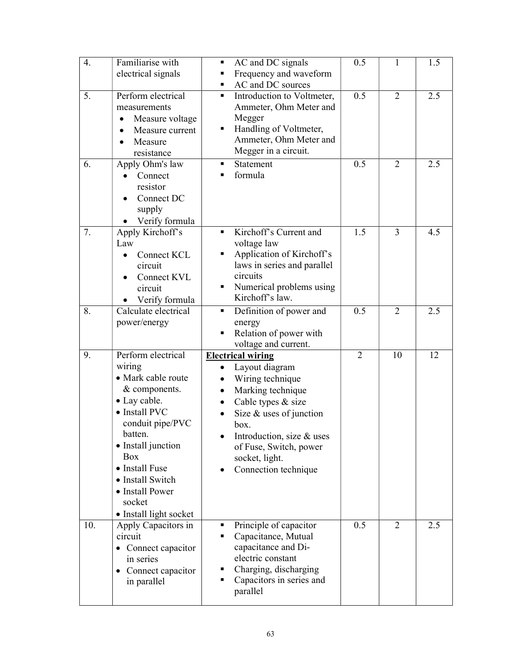| 4.  | Familiarise with<br>electrical signals                                                                                                                                                                                                                               | AC and DC signals<br>П<br>Frequency and waveform<br>AC and DC sources                                                                                                                                                                           | 0.5            | $\mathbf{1}$   | 1.5 |
|-----|----------------------------------------------------------------------------------------------------------------------------------------------------------------------------------------------------------------------------------------------------------------------|-------------------------------------------------------------------------------------------------------------------------------------------------------------------------------------------------------------------------------------------------|----------------|----------------|-----|
| 5.  | Perform electrical<br>measurements<br>Measure voltage<br>٠<br>Measure current<br>$\bullet$<br>Measure<br>resistance                                                                                                                                                  | Introduction to Voltmeter,<br>٠<br>Ammeter, Ohm Meter and<br>Megger<br>Handling of Voltmeter,<br>Ammeter, Ohm Meter and<br>Megger in a circuit.                                                                                                 | 0.5            | 2              | 2.5 |
| 6.  | Apply Ohm's law<br>Connect<br>resistor<br>Connect DC<br>supply<br>Verify formula                                                                                                                                                                                     | Statement<br>formula                                                                                                                                                                                                                            | 0.5            | $\overline{2}$ | 2.5 |
| 7.  | Apply Kirchoff's<br>Law<br>Connect KCL<br>$\bullet$<br>circuit<br>Connect KVL<br>circuit<br>Verify formula                                                                                                                                                           | Kirchoff's Current and<br>$\blacksquare$<br>voltage law<br>Application of Kirchoff's<br>laws in series and parallel<br>circuits<br>Numerical problems using<br>Kirchoff's law.                                                                  | 1.5            | 3              | 4.5 |
| 8.  | Calculate electrical<br>power/energy                                                                                                                                                                                                                                 | Definition of power and<br>٠<br>energy<br>Relation of power with<br>voltage and current.                                                                                                                                                        | 0.5            | 2              | 2.5 |
| 9.  | Perform electrical<br>wiring<br>• Mark cable route<br>& components.<br>• Lay cable.<br>• Install PVC<br>conduit pipe/PVC<br>batten.<br>• Install junction<br><b>Box</b><br>• Install Fuse<br>• Install Switch<br>• Install Power<br>socket<br>• Install light socket | <b>Electrical wiring</b><br>Layout diagram<br>Wiring technique<br>Marking technique<br>Cable types & size<br>Size $&$ uses of junction<br>box.<br>Introduction, size & uses<br>of Fuse, Switch, power<br>socket, light.<br>Connection technique | $\overline{2}$ | 10             | 12  |
| 10. | Apply Capacitors in<br>circuit<br>• Connect capacitor<br>in series<br>• Connect capacitor<br>in parallel                                                                                                                                                             | Principle of capacitor<br>٠<br>Capacitance, Mutual<br>capacitance and Di-<br>electric constant<br>Charging, discharging<br>Capacitors in series and<br>parallel                                                                                 | 0.5            | 2              | 2.5 |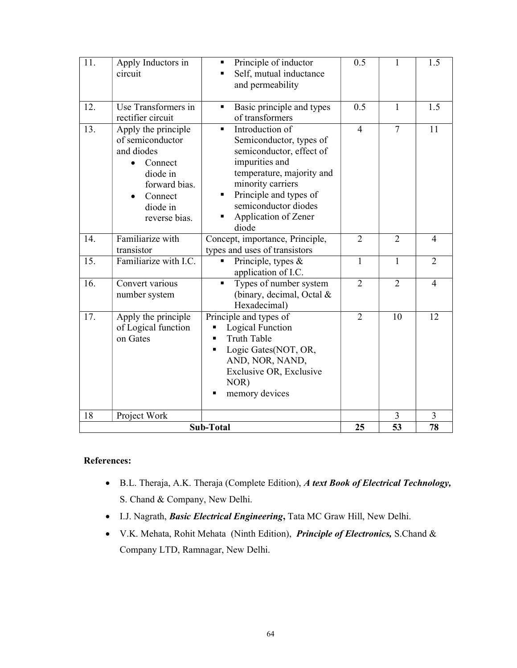| <b>Sub-Total</b>  |                                                                                                                                                                                   |                                                                                                                                                                                                                                                                                                 | 25                    | 53                             | 78             |
|-------------------|-----------------------------------------------------------------------------------------------------------------------------------------------------------------------------------|-------------------------------------------------------------------------------------------------------------------------------------------------------------------------------------------------------------------------------------------------------------------------------------------------|-----------------------|--------------------------------|----------------|
| 18                | Project Work                                                                                                                                                                      |                                                                                                                                                                                                                                                                                                 |                       | 3                              | 3              |
| 17.               | Apply the principle<br>of Logical function<br>on Gates                                                                                                                            | Principle and types of<br>Logical Function<br><b>Truth Table</b><br>Logic Gates(NOT, OR,<br>AND, NOR, NAND,<br>Exclusive OR, Exclusive<br>NOR)<br>memory devices                                                                                                                                | $\overline{2}$        | 10                             | 12             |
| 16.               | Convert various<br>number system                                                                                                                                                  | Types of number system<br>(binary, decimal, Octal &<br>Hexadecimal)                                                                                                                                                                                                                             | $\overline{2}$        | $\overline{2}$                 | $\overline{4}$ |
| $\overline{15}$ . | Familiarize with I.C.                                                                                                                                                             | Principle, types &<br>application of I.C.                                                                                                                                                                                                                                                       | $\mathbf{1}$          | $\mathbf{1}$                   | $\overline{2}$ |
| 14.               | Familiarize with<br>transistor                                                                                                                                                    | Concept, importance, Principle,<br>types and uses of transistors                                                                                                                                                                                                                                | $\overline{2}$        | $\overline{2}$                 | 4              |
| 12.<br>13.        | Use Transformers in<br>rectifier circuit<br>Apply the principle<br>of semiconductor<br>and diodes<br>Connect<br>diode in<br>forward bias.<br>Connect<br>diode in<br>reverse bias. | Basic principle and types<br>of transformers<br>Introduction of<br>$\blacksquare$<br>Semiconductor, types of<br>semiconductor, effect of<br>impurities and<br>temperature, majority and<br>minority carriers<br>Principle and types of<br>semiconductor diodes<br>Application of Zener<br>diode | 0.5<br>$\overline{4}$ | $\mathbf{1}$<br>$\overline{7}$ | 1.5<br>11      |
| 11.               | Apply Inductors in<br>circuit                                                                                                                                                     | Principle of inductor<br>Self, mutual inductance<br>and permeability                                                                                                                                                                                                                            | 0.5                   | 1                              | 1.5            |

### References:

- B.L. Theraja, A.K. Theraja (Complete Edition), A text Book of Electrical Technology, S. Chand & Company, New Delhi.
- $\bullet$  I.J. Nagrath, *Basic Electrical Engineering*, Tata MC Graw Hill, New Delhi.
- V.K. Mehata, Rohit Mehata (Ninth Edition), Principle of Electronics, S.Chand & Company LTD, Ramnagar, New Delhi.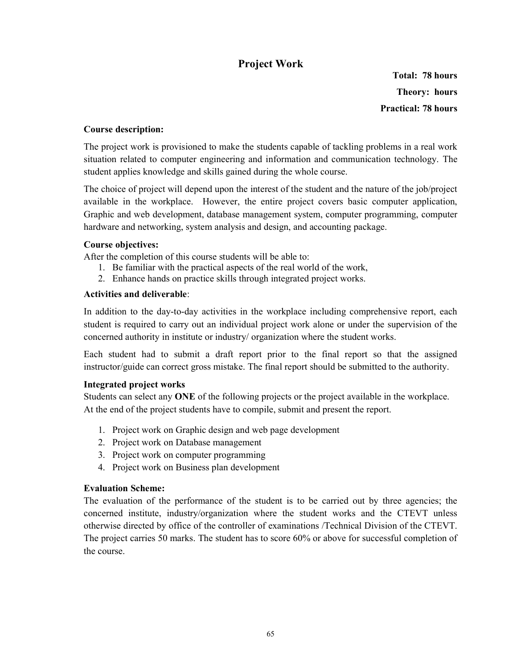### Project Work

Total: 78 hours Theory: hours Practical: 78 hours

### Course description:

The project work is provisioned to make the students capable of tackling problems in a real work situation related to computer engineering and information and communication technology. The student applies knowledge and skills gained during the whole course.

The choice of project will depend upon the interest of the student and the nature of the job/project available in the workplace. However, the entire project covers basic computer application, Graphic and web development, database management system, computer programming, computer hardware and networking, system analysis and design, and accounting package.

### Course objectives:

After the completion of this course students will be able to:

- 1. Be familiar with the practical aspects of the real world of the work,
- 2. Enhance hands on practice skills through integrated project works.

### Activities and deliverable:

In addition to the day-to-day activities in the workplace including comprehensive report, each student is required to carry out an individual project work alone or under the supervision of the concerned authority in institute or industry/ organization where the student works.

Each student had to submit a draft report prior to the final report so that the assigned instructor/guide can correct gross mistake. The final report should be submitted to the authority.

### Integrated project works

Students can select any ONE of the following projects or the project available in the workplace. At the end of the project students have to compile, submit and present the report.

- 1. Project work on Graphic design and web page development
- 2. Project work on Database management
- 3. Project work on computer programming
- 4. Project work on Business plan development

### Evaluation Scheme:

The evaluation of the performance of the student is to be carried out by three agencies; the concerned institute, industry/organization where the student works and the CTEVT unless otherwise directed by office of the controller of examinations /Technical Division of the CTEVT. The project carries 50 marks. The student has to score 60% or above for successful completion of the course.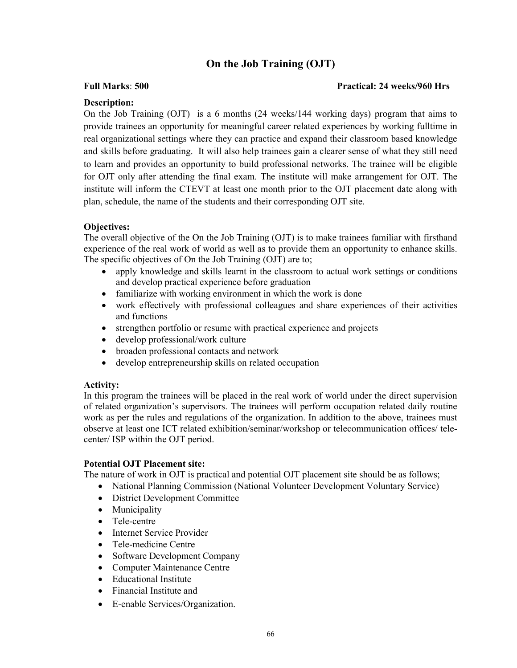### On the Job Training (OJT)

### Full Marks: 500 Practical: 24 weeks/960 Hrs

### Description:

On the Job Training (OJT) is a 6 months (24 weeks/144 working days) program that aims to provide trainees an opportunity for meaningful career related experiences by working fulltime in real organizational settings where they can practice and expand their classroom based knowledge and skills before graduating. It will also help trainees gain a clearer sense of what they still need to learn and provides an opportunity to build professional networks. The trainee will be eligible for OJT only after attending the final exam. The institute will make arrangement for OJT. The institute will inform the CTEVT at least one month prior to the OJT placement date along with plan, schedule, the name of the students and their corresponding OJT site.

### Objectives:

The overall objective of the On the Job Training (OJT) is to make trainees familiar with firsthand experience of the real work of world as well as to provide them an opportunity to enhance skills. The specific objectives of On the Job Training (OJT) are to;

- apply knowledge and skills learnt in the classroom to actual work settings or conditions and develop practical experience before graduation
- familiarize with working environment in which the work is done
- work effectively with professional colleagues and share experiences of their activities and functions
- strengthen portfolio or resume with practical experience and projects
- develop professional/work culture
- broaden professional contacts and network
- develop entrepreneurship skills on related occupation

### Activity:

In this program the trainees will be placed in the real work of world under the direct supervision of related organization's supervisors. The trainees will perform occupation related daily routine work as per the rules and regulations of the organization. In addition to the above, trainees must observe at least one ICT related exhibition/seminar/workshop or telecommunication offices/ telecenter/ ISP within the OJT period.

### Potential OJT Placement site:

The nature of work in OJT is practical and potential OJT placement site should be as follows;

- National Planning Commission (National Volunteer Development Voluntary Service)
- District Development Committee
- Municipality
- Tele-centre
- Internet Service Provider
- Tele-medicine Centre
- Software Development Company
- Computer Maintenance Centre
- Educational Institute
- Financial Institute and
- E-enable Services/Organization.